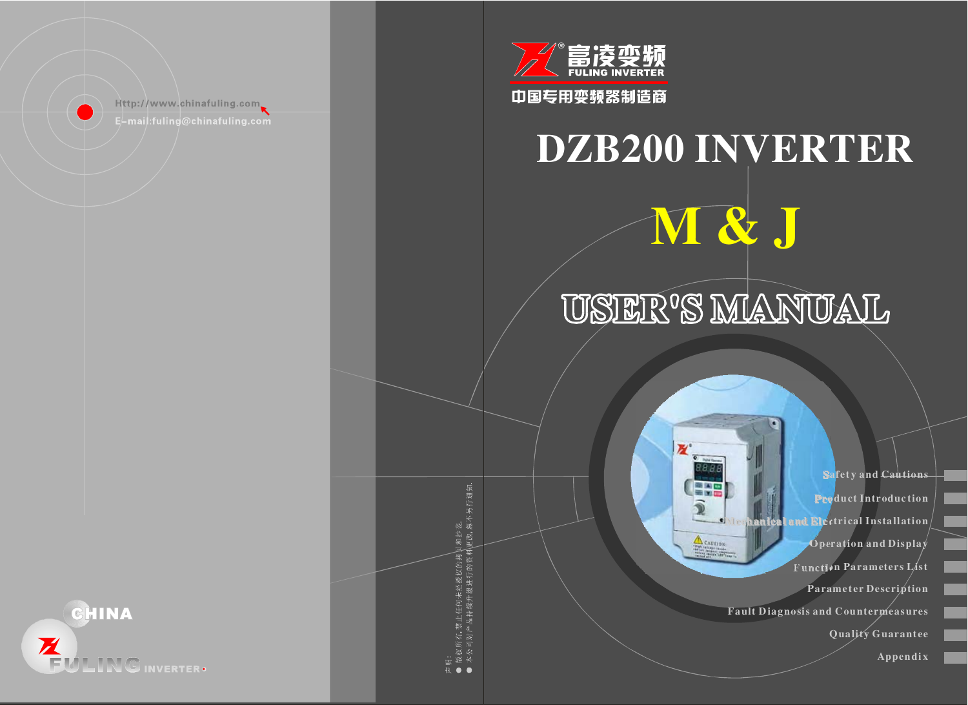

Http://www.chinafuling.com



# M&J DZB200 INVERTER

## USER'S MANUAL

Z

EME

 $\frac{\triangle}{\frac{1}{\log n} \cdot \frac{1}{\log n}}$ 

Safet y and Cautions Product Introduc tion Mechanical and Electrical Installation  $\overline{\mathcal{O}}$ peration and Display Function Parameters List Parameter Description Fault Diagnosis and Countermeasures Quality Guarantee Appendix

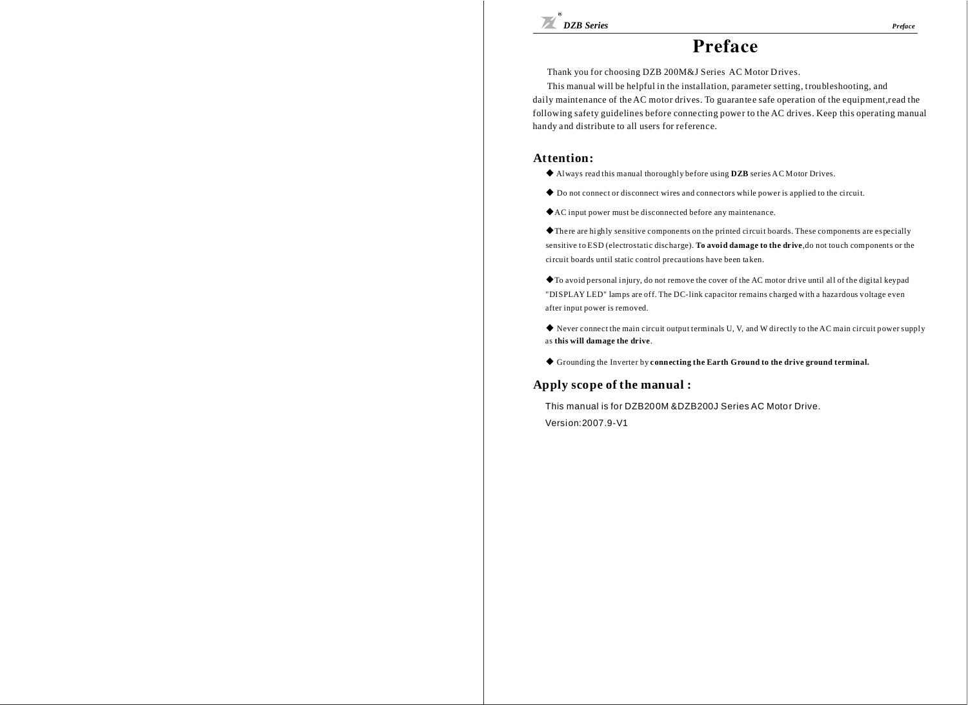Thank you for choosing DZB 200M&J Series AC Motor Drives.

This manual will be helpful in the installation, parameter setting, troubleshooting, and daily maintenance of the AC motor drives. To guarantee safe operation of the equipment,read the following safety guidelines before connecting powe r to the AC drives. Keep this operating manual han dy and distribute to all users for reference.

#### **Attention:**

- $\blacklozenge$  Always read this manual thoroughly before using  $DZB$  series AC Motor Drives.
- ◆ Do not connect or disconnect wires and connectors while power is applied to the circuit.
- ◆ AC input power must be disconnected before any maintenance.

◆The re are hi ghly sensitive components on the printed ci rcuit boards. These components are especially sensitive to ESD (electrostatic discharge). To avoid damage to the drive, do not touch components or the ci rcuit boards until static control precautions have been ta ken.

◆ To avoid personal injury, do not remove the cover of the AC motor drive until all of the digital keypad "DISPLAY LED" lamps are off. The DC-link capacitor remains charged with a hazardous voltage even after input power is removed.

◆ Never connect the main circuit output terminals U, V, and W directly to the AC main circuit power supply as this will damage the drive.

◆ Grounding the Inverter by **c onnecting the Earth Ground to the drive ground terminal.**

## **Apply scope of the manual :**

This manual is for DZB200M &DZB200J Series AC Motor Drive. Version:2007.9-V1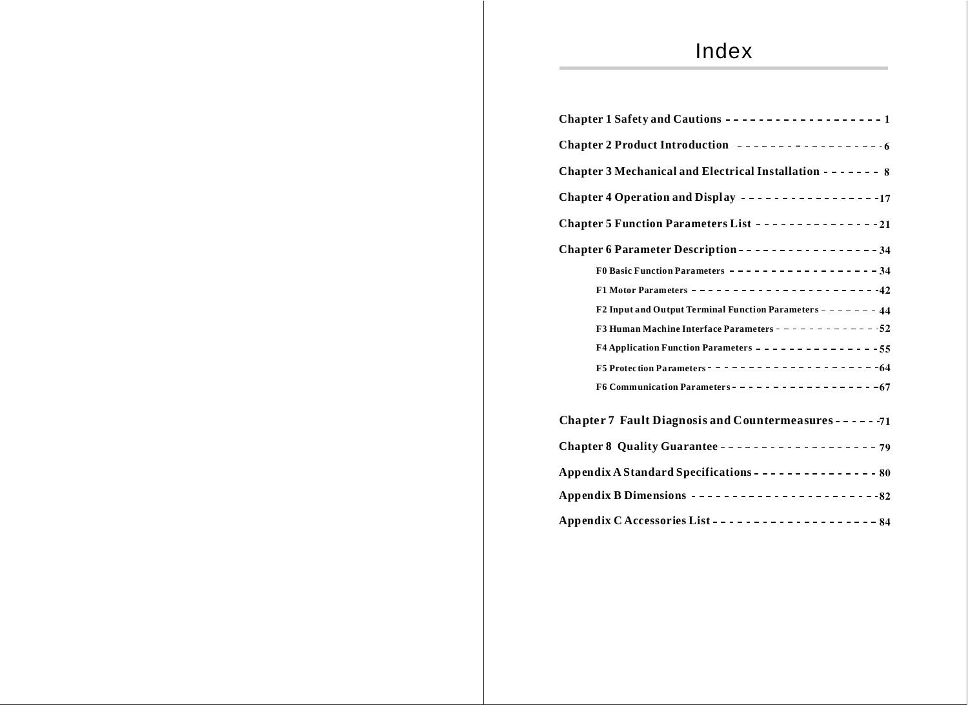| Chapter 1 Safety and Cautions -------------------------              |
|----------------------------------------------------------------------|
| Chapter 2 Product Introduction ---------------- 6                    |
| Chapter 3 Mechanical and Electrical Installation ------- 8           |
|                                                                      |
| Chapter 5 Function Parameters List ------------- 21                  |
| Chapter 6 Parameter Description - - - - - - - - - - - - - - - - - 34 |
| F0 Basic Function Parameters ------------------34                    |
|                                                                      |
| F2 Input and Output Terminal Function Parameters - - - - - - 44      |
| F3 Human Machine Interface Parameters - - - - - - - - - - - - 52     |
| F4 Application Function Parameters - - - - - - - - - - - - - - 55    |
|                                                                      |
|                                                                      |
| Chapter 7 Fault Diagnosis and Countermeasures ----- 71               |
|                                                                      |
| Appendix A Standard Specifications - --------------- 80              |
| Appendix B Dimensions - ------------------------82                   |
|                                                                      |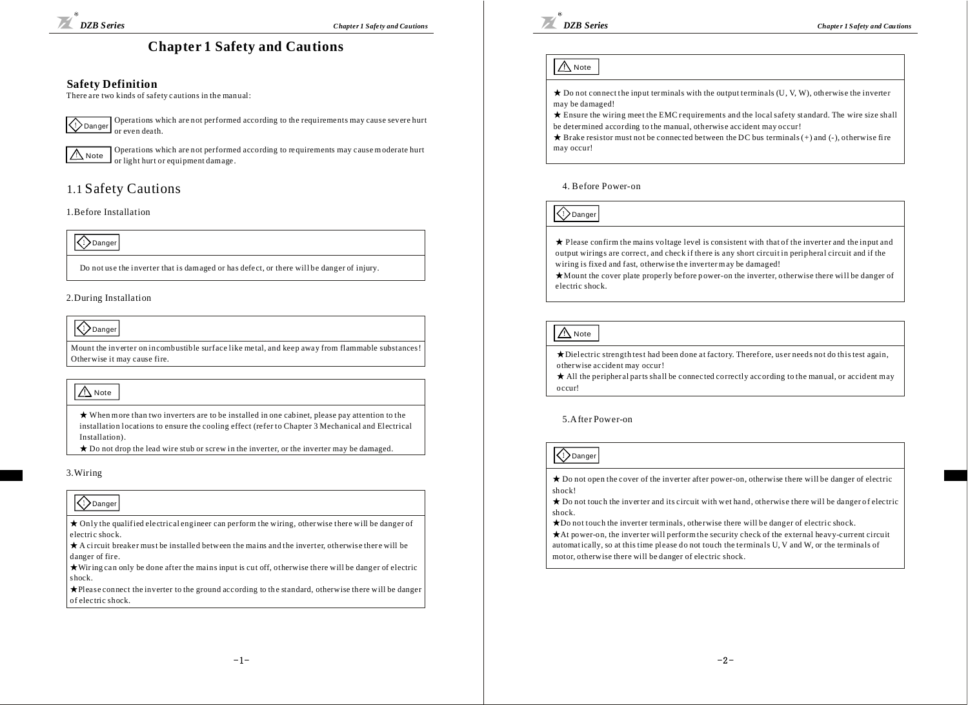## **Chapter 1 Safety and Cautions**

#### **Safety Definition**

There are two kinds of safety cautions in the manual



Operations which are not performed acco rding to the requireme nts may cause severe hurt  $\overline{\bigotimes_{\text{Danger}}}$  Operations where  $\overline{\bigotimes_{\text{or even death}}}$ 



Operations which are not performed according to requirements may cause moderate hurt  $\Delta$  Note or light hurt or equipment damage.

## 1.1 Safety Cautions

#### 1.Before Installation

## $\langle \cdot \rangle$ Danger

Do not use the inverter that is damaged or has defect, or there will be danger of injury.

2.During Installation

## $\bigotimes$ Danger

Mount the inverter on incombustible surface like metal, and keep away from flammable substances! Otherwise it may cause fire.

## $\bigwedge$  Note

★ When m ore than two inverters are to be installed in one cabinet, please pay attention to the installation locations to ensure the cooling effect (refer to Chapter 3 Mechanical and Electrical Installation).

★ Do not drop the lead wire stub or screw in the inverter, or the inverter may be damaged.

#### 3.Wiring

## $\bigotimes$ Danger

★ Only the qualified electrical engineer can per form the wiring, other wise there will be danger of electric shock.

★ A circuit breaker must be installed between the mains and the inverter, otherwise there will be danger of fire.

★ Wiring ca n only be done after the mains input is cut off, otherwise there will be danger of electric s hock.

★ Please connect the inverter to the ground according to the standard, otherwise there will be danger o f electric shock.



## $\triangle$  Note

 $\star$  Do not connect the input terminals with the output terminals (U, V, W), otherwise the inverter may be damaged!

★ Ensure the wiring meet the EMC requirements and the local safety standard. The wire size shall

be determined according to the manual, otherwise accident may occur!

★ Brake resistor must not be c onnected between the DC bus terminals (+) and (- ), otherwise fi re may occur!

4. Before Power-on

## $\bigotimes$ Danger

 $\star$  Please confirm the mains voltage level is consistent with that of the inverter and the input and output wirings are correct, and check if there is any short circuit in peripheral circuit and if the wiring is fixed and fast, otherwise the inverter may be damaged!

★ Mount the cover plate properly be fore power-on the inverter, otherwise there will be danger of electric shock.

## $\Lambda$ Note

★ Dielectric strength test had been done at factory. Therefore, user needs not do this test again, otherwise ac cident may occur !

 $\star$  All the peripheral parts shall be connected correctly according to the manual, or accident may occur!

#### 5.A fter Power-on

## $\langle \rangle$ Danger

★ Do not open the cover of the inverter after power-on, otherwise there will be danger of electric shock!

 $\star$  Do not touch the inverter and its circuit with wet hand, otherwise there will be danger of electric shock.

★Do not touch the inverter terminals, otherwise there will be danger of electric shock.

★ At power-on, the inverter will perform the security check of the external heavy-current circuit automatically, so at this time please do not touch the terminals U, V and W, or the terminals of motor, otherwise there will be danger of ele ctric shock.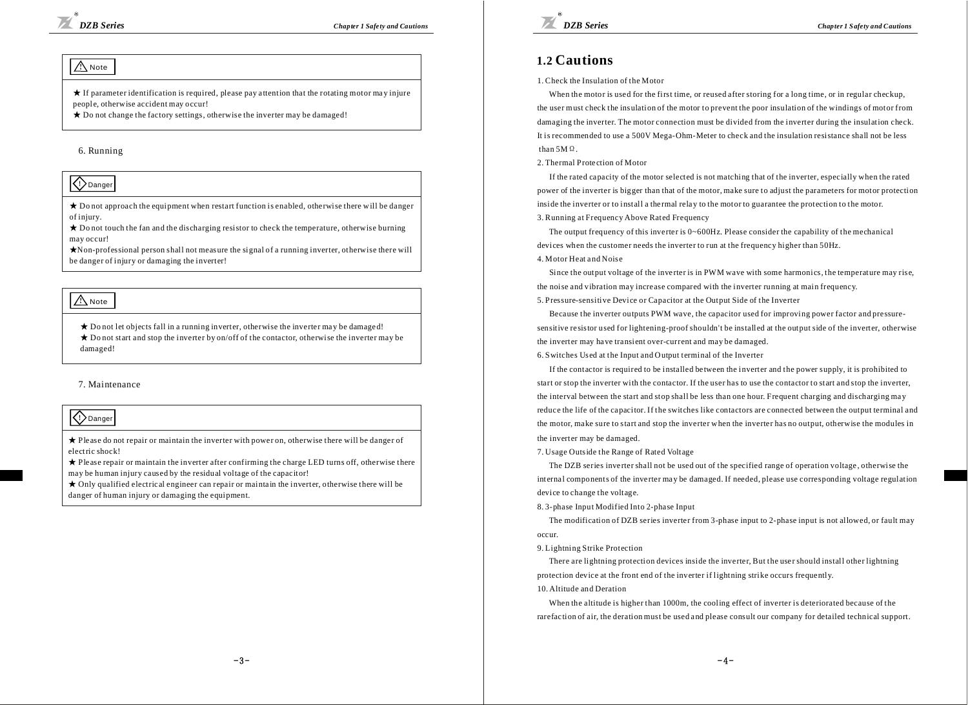## $\bigwedge$  Note

★ If parameter identification is required, please pay attention that the rotating motor ma y injure people, otherwise accident may occur!

★ Do not change the factory settings, otherwise the inverter may be damaged!

#### 6. Running

## $\langle \cdot \rangle$ Danger

★ Do not approach the equipment when restart function is enabled, otherwise there will be danger of injury.

★ Do not touch the fan and the discharging resistor to check the temperature, otherwise burning may occur!

★Non-professional person shall not measure the signal of a running inverter, otherwise there will be danger of injury or damaging the inverter!

#### $\triangle$  Note

★ Do not let objects fall in a running inverter, otherwise the inverter may be damaged! ★ Do not start and stop the i nverter by on/off of t he contactor, otherwise the inverter may be damaged!

#### 7. Maintenance

## **Danger**

★ Please do not repair or maintain the inverter with power on, otherwise there will be danger of elect ric shock!

★ Please repair or maintain the inverter after confirming the charge LED turns off, otherwise t here may be human injury caused by the residual voltage of the capacitor!

**★ Only qualified electrical engineer can repair or maintain the inverter, otherwise there will be** danger of human injury or damaging the equipment.



## **1.2 Cautions**

#### 1. Check the Insulation of the Motor

When the motor is used for the first time, or reused after storing for a long time, or in regular checkup, the user must check the insulation of the motor to prevent the poor insulation of the windings of motor from damaging the inverter. The motor connection must be divided from the inverter during the insulation check. It is recommended to use a 500V Mega-Ohm-Meter to check and the insulation resistance shall not be less than  $5M$   $\Omega$ .

2. Thermal Protection of Motor

If the rated capacity of the motor selected is not matching that of the inverter, especially when the rated power of the inverter is bigger than that of the motor, make sure to adjust the parameters for motor protection inside the inverter or to install a thermal relay to the motor to guarantee the protection to the motor. 3. Running at Frequency Above Rated Frequency

The output frequency of this inverter is  $0~600$ Hz. Please consider the capability of the mechanical devices when the customer needs the inverter to run at the frequency higher than 50Hz. 4. Motor Heat a nd Noise

Since the output voltage of the inverter is in PWM wave with some harmonics, the temperature may rise. the noise and vibration may increase compared with the inverter running at main frequency.

5. Pressure-sensitive Device or Capacitor at the Output Side of the Inverter

Because the inverter outputs PWM wave, the capacitor used for improving power factor and pressuresensitive resistor used for lightening-proof shouldn't be installed at the output side of the inverter, otherwise the inverter may ha ve tra nsient over-current and may be damaged.

6. Switches Used at the Input and Output terminal of the Inverter

If the contactor is required to be installed between the inverter and the power supply, it is prohibited to start or stop the inverter with the contactor. If the user has to use the contactor to start and stop the inverter. the interval between the start and stop shall be less than one hour. Frequent charging and discharging may reduce the life of the capacitor. If the switches like contactors are connected between the output terminal and the motor, make sure to start and stop the inverter when the inverter has no output, otherwise the modules in the inverter may be damaged.

7. Usage Outside the Range of Rated Voltage

The DZB series inverter shall not be used out of the specified range of operation voltage, otherwise the internal components of the inverter may be damaged. If needed, please use corresponding voltage regulation device to change the voltage.

8. 3-phase Input Modified Into 2-pha se Input

The modification of DZB series inverter from 3-phase input to 2-phase input is not allowed, or fault may occur.

9. Lightning Strike Protection

There are lightning protection devices inside the inverter. But the user should install other lightning protection device at the front end of the inverter if light ning stri ke occurs freque ntl y.

10. Altitude and Deration

When the altitude is higher than 1000m, the cooling effect of inverter is deteriorated because of the rarefaction of air, the deration must be used and please consult our company for detailed technical support.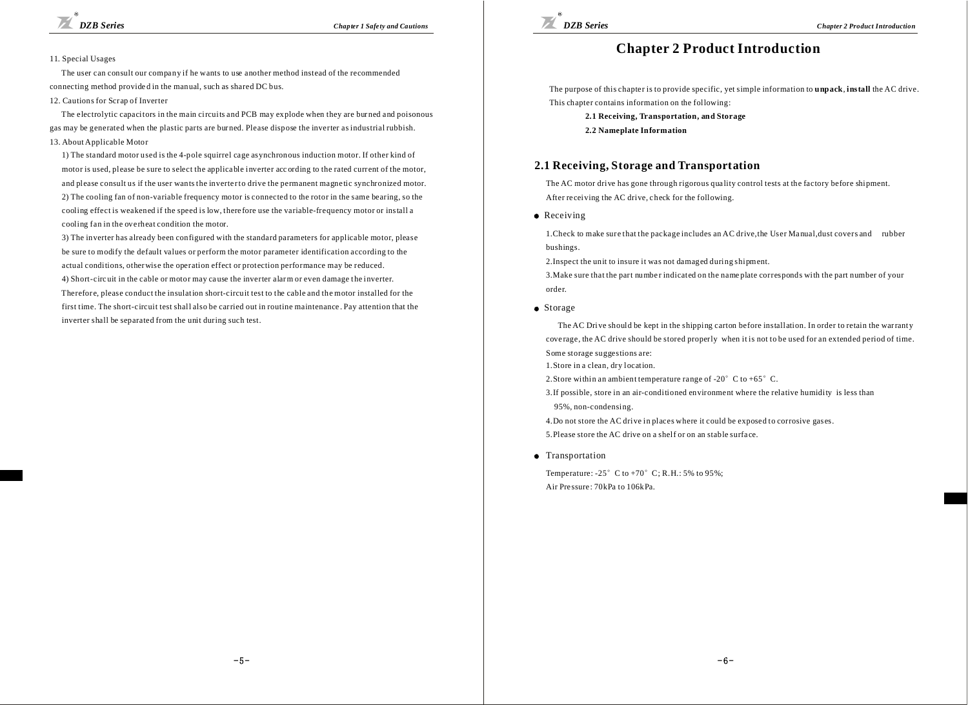#### 11. Special Usages

T he user can consult our compa ny if he wants to use another method instead of the recommended connecting method provide d in the manual, such as shared DC bus.

12. Cautions for Scrap of Inverter

The electrolytic capacitors in the main circuits and PCB may explode when they are burned and poisonous gas may be generated when the plastic parts are bur ned. Please dispose the inverter as industrial rubbish. 13. About Applicable Motor

1) The sta ndard motor used is the 4-pole squirrel cage asynchronous induction motor. If other kind of motor is used, please be sure to select the applicable inverter according to the rated current of the motor, and please consult us if the user wants the inverter to drive the permanent magnetic synchronized motor. 2) The cooling fan of non-variable frequency motor is connected to the rotor in the same bearing, so the cooling effect is weakened if the speed is low, t here fore use the variable-frequency motor or install a cooling fan in the ove rheat condition the motor.

3) The inverter has already been con figured with the standard parameters fo r applicable motor, please be sure to modify the default values or perform the moto r parameter identification according to the actual conditions, otherwise the operation effect or protection performance may be reduced. 4) Short-circ uit in the cable or moto r may ca use the inverter alarm or even damage t he inverter. Therefore, please conduct the insulation short-circuit test to the cable and the motor installed for the first time. The short-circuit test shall also be car ried out in routine maintenance . Pay attention that the inverter shall be separated from the unit during such test.

## **Chapter 2 Product Introduction**

The purpose of this chapter is to provide specific, yet simple information to **unpack**, install the AC drive. This chapter contains information on the following:

**.1 Receiving, Transportation, and Storage 2**

**2.2 Nameplate In formation**

#### **2.1 Receiving, Storage and Transportation**

The AC motor drive has gone through rigorous quality control tests at the factory before shipment. After receiving the AC drive, check for the following.

**Receiving** 

1. Check to make sure that the package includes an AC drive, the User Manual, dust covers and rubber bushings.

2. Inspect the unit to insure it was not damaged during shipment.

3. Make sure that the part number indicated on the name plate corresponds with the part number of your order.

 $\bullet$  Storage

The AC Drive should be kept in the shipping carton before installation. In order to retain the warranty cove rage, the AC drive should be stored properly when it is not to be used for an extended period of time. Some storage suggestions are:

1. Store in a clean, dry location.

2. Store within an ambient temperature range of  $-20^\circ$  C to  $+65^\circ$  C.

3. If possible, store in an air-conditioned environment where the relative humidity is less than 95%, non-condensing.

4. Do not store the AC drive in places where it could be exposed to corrosive gases.

5.Please store the AC drive on a shel f or on an stable surfa ce.

**•** Transportation

Temperature:  $-25^\circ$  C to  $+70^\circ$  C; R.H.: 5% to 95%; Air Pre ssure: 70kPa to 106kPa.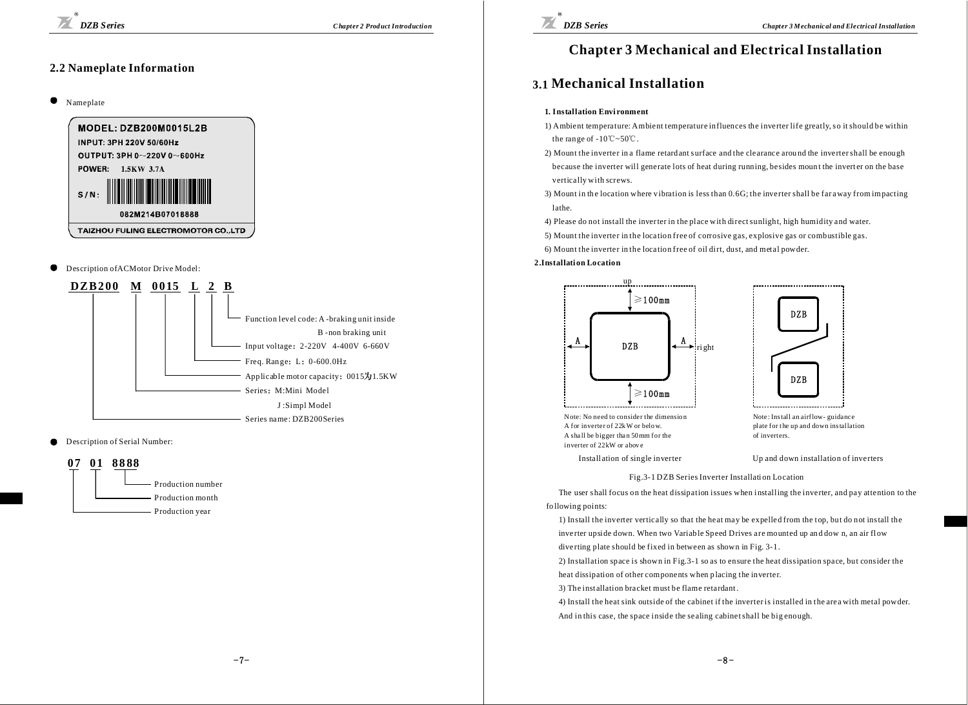## **2.2 Nameplate Information**

 $\bullet$ Nameplate



Description ofACMotor Drive Model:



Description of Serial Number:



## **Chapter 3 Mechanical and Electrical Installation**

## **3.1 Mechanical Installation**

#### **1. Installation Envi ronment**

- 1) Ambient temperature: Ambient temperature in fluences the inverter life greatly, so it should be within the range of  $-10^{\circ}$ C $\sim$ 50 $^{\circ}$ C.
- 2) Mount the inverter in a flame retard ant surface and the clearance around the inverter shall be enough because the inverter will generate lots of heat during running, besides mount the inverter on the base vertically with screws.
- 3) Mount in th e location where vibration is less than 0. 6G; the inve rter shall be far away from im pacting lathe.
- 4) Please do not install the inverter in the place with direct sunlight, high humidity a nd water.
- 5) Mount the inverter in the location free of corrosive gas, explosive gas or combustible gas.
- 6) Mount the inverter in the location free of oil dirt, dust, and metal powder.

#### **2.Installati on Location**





Note: No need to consider the dimension A for inve rter of 22kW or belo w. A shall be bigger tha n 50 mm for the inverter of 22kW or abov e

Note: Install an airflow- guidance plate for t he up and down installation of inverters.

Installation of single inverter Up and down installation of inverters

Fig.3-1 DZB Series Inverter Installation Location

The user shall focus on the heat dissipation issues when installing the inverter, and pay attention to the following points:

1) Install the inverter vertically so that the heat may be expelled from the top, but do not install the inverter upside down. When two Variable Speed Drives are mounted up and down, an air flow diverting plate should be fixed in between as shown in Fig. 3-1.

2) Installation space is show n in Fig.3-1 so as to en sure the heat dissipation space, but consider the

heat dissipation of other components when placing the inverter.

3) The installation bracket must be flame retardant.

4) Install the heat sink outside of the cabinet if the inverter is installed in t he area with metal pow der. And in this case, the space inside the sealing cabinet shall be big enough.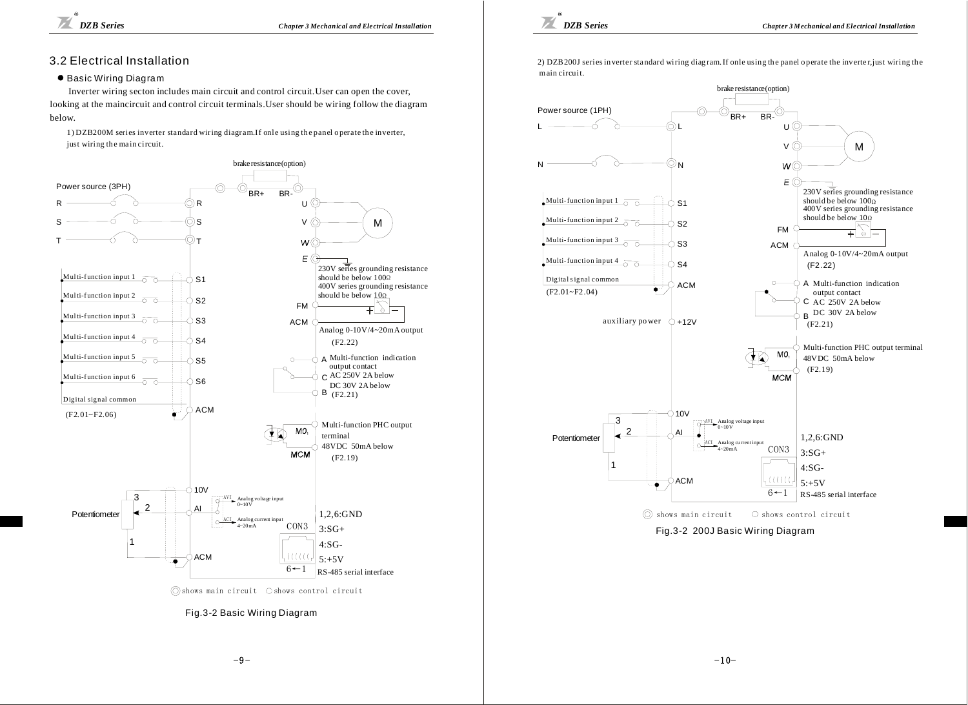## 3.2 Electrical Installation

#### $\bullet$  Basic Wiring Diagram

Inverter wiring secton includes main circuit and control circuit.User can open the cover, looking at the maincircuit and control circuit terminals.User should be wiring follow the diagram below.

1) DZB200M series inverter standard wiring diagram.If onle using the panel operate the inverter, just wiring the main circuit.





 $60$ 

2) DZB 200J series in verter standard wiring diagram. If onle using the panel operate the inverter, just wiring the m ain circuit.

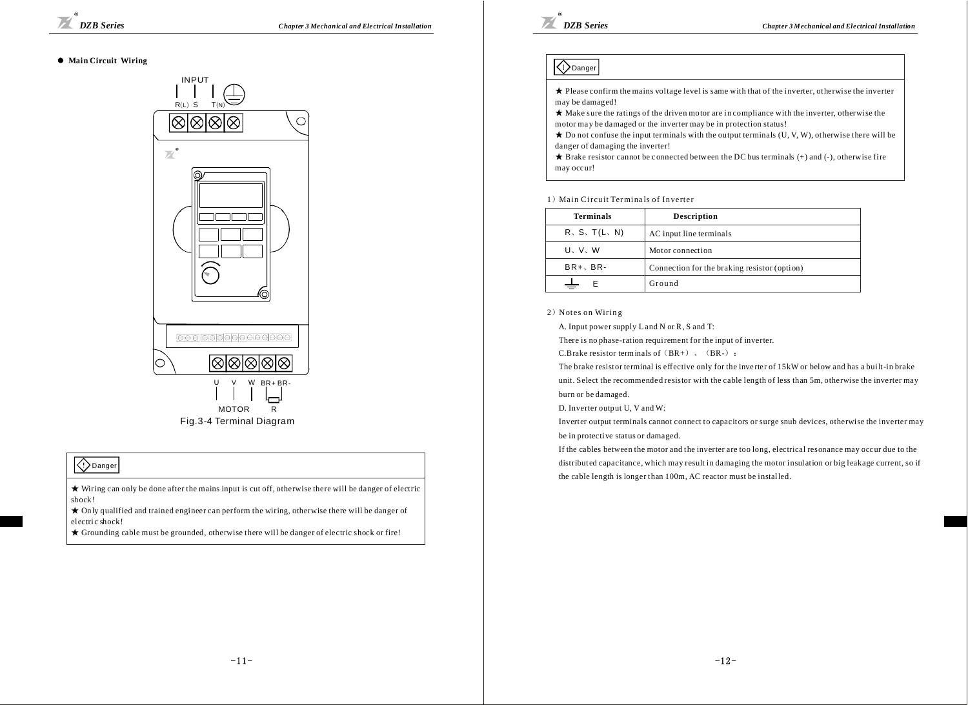#### **Main Circuit Wiring**



## Danger

★ Wiring c an only be done after the mains input is cut off, otherwise there will be danger of electric shock!

**★ Only qualified and trained engineer can perform the wiring, otherwise there will be danger of** electric shock !

**★ Grounding cable must be grounded, otherwise there will be danger of electric shock or fire!** 



## $\langle \cdot \rangle$ Danger

**★ Please confirm the mains voltage level is same with that of the inverter, otherwise the inverter** may be damaged!

**★ Make sure the ratings of the driven motor are in compliance with the inverter, otherwise the** motor ma y be damaged or the inverter may be in protection status !

 $\star$  Do not confuse the input terminals with the output terminals (U, V, W), otherwise there will be danger of damaging the inverter!

★ Brake resistor cannot be c onnected between the DC bus terminals (+) and (-), otherwise fi re may occ ur!

#### 1) Main Circuit Terminals of Inverter

| <b>Terminals</b> | Description                                  |
|------------------|----------------------------------------------|
| R, S, T(L, N)    | AC input line terminals                      |
| U, V, W          | Motor connection                             |
| $BR +$ , $BR -$  | Connection for the braking resistor (option) |
| $\div$           | Ground                                       |

#### 2) Notes on Wiring

A. Input power supply L and N or R, S and T:

There is no phase- ration requi rement for the input of inverter.

C.Brake resistor terminals of  $(BR+)$ ,  $(BR-)$ :

The brake resistor terminal is effective only for the inverter of 15kW or below and has a built-in brake unit. Select the recommended resistor with the cable length of less than 5m, otherwise the inverter may burn or be damaged.

D. Inverter output U, V and W:

Inverter output terminals cannot connect to capacitors or surge snub devices, otherwise the inverter may be in protective status or damaged.

If the cables between the motor and the inverter are too long, electrical resonance may occur due to the distributed capacitance, which may result in damaging the motor insulation or big leakage current, so if the cable length is longer than 100m, AC reactor must be installed.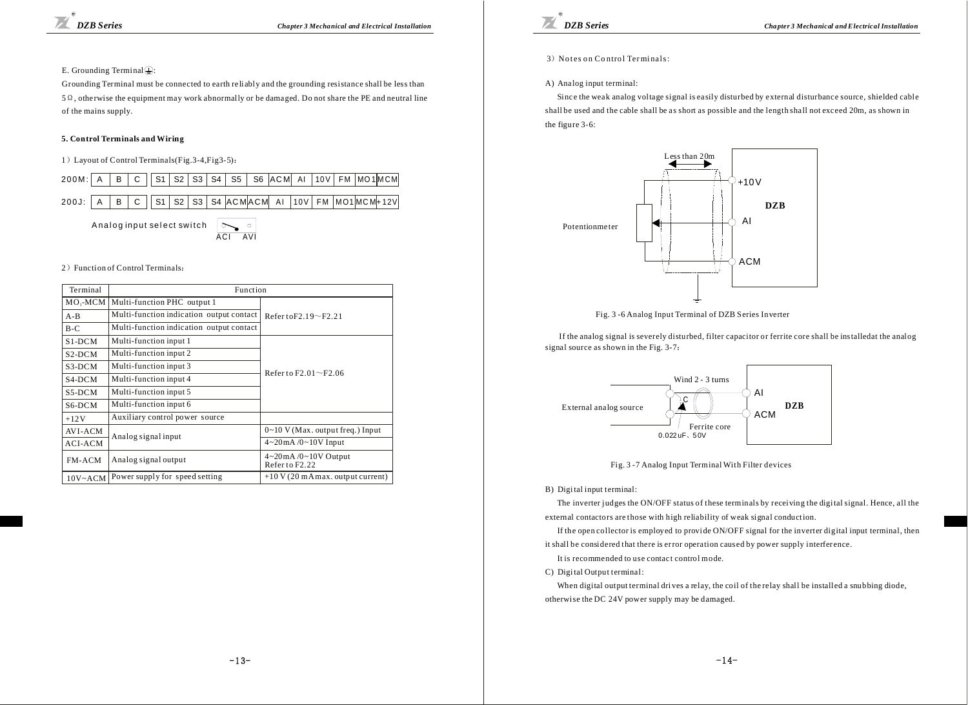#### 3) Notes on Control Terminals:

#### A) Analog input terminal:

Since the weak analog voltage signal is easily distu rbed by external disturbance source, shielded cable shall be used and the cable shall be as short as possible and the length shall not exceed 20m, as shown in the figure 3-6:



Fig. 3 -6 Analog Input Terminal of DZB Series Inverter

If the analog signal is severely disturbed, filter capacitor or ferrite core shall be installedat the analog signal source as shown in the Fig. 3-7:





B) Digital input terminal:

The inverter judges the ON/OFF status of these terminals by receiving the digital signal. Hence, all the external contactors are those with high reliability of weak signal conduction.

If the open collector is employed to provide ON/OFF signal for the inverter digital input terminal, then it shall be considered that there is error operation caused by power supply interference.

It is recommended to use contact control mode.

C) Digital Output terminal:

When digital output terminal drives a relay, the coil of the relay shall be installed a snubbing diode, otherwise the DC 24V power supply may be damaged.

#### E. Grounding Terminal $\bigodot$ :

Grounding Terminal must be connected to earth reliably and the grounding resistance shall be less than  $5\Omega$ , otherwise the equipment may work abnormally or be damaged. Do not share the PE and neutral line of the mains supply.

#### **5. Con trol Terminals and Wiring**

1) Layout of Control Terminals(Fig.3-4,Fig3-5):



#### 2) Function of Control Terminals:

| Terminal    | Function                                 |                                                        |  |
|-------------|------------------------------------------|--------------------------------------------------------|--|
| $MO1-MCM$   | Multi-function PHC output 1              |                                                        |  |
| $A - B$     | Multi-function indication output contact | Refer to F2.19~F2.21                                   |  |
| $B-C$       | Multi-function indication output contact |                                                        |  |
| S1-DCM      | Multi-function input 1                   |                                                        |  |
| $S2-DCM$    | Multi-function input 2                   |                                                        |  |
| S3-DCM      | Multi-function input 3                   |                                                        |  |
| $S4-DCM$    | Multi-function input 4                   | Refer to $F2.01 \sim F2.06$                            |  |
| S5-DCM      | Multi-function input 5                   |                                                        |  |
| S6-DCM      | Multi-function input 6                   |                                                        |  |
| $+12V$      | Auxiliary control power source           |                                                        |  |
| AVI-ACM     | Analog signal input                      | 0~10 V (Max. output freq.) Input                       |  |
| ACI-ACM     |                                          | $4 \sim 20$ mA $/0 \sim 10V$ Input                     |  |
| FM-ACM      | Analog signal output                     | $4 \sim 20$ mA $/0 \sim 10$ V Output<br>Refer to F2.22 |  |
| $10V - ACM$ | Power supply for speed setting           | $+10$ V (20 mA max. output current)                    |  |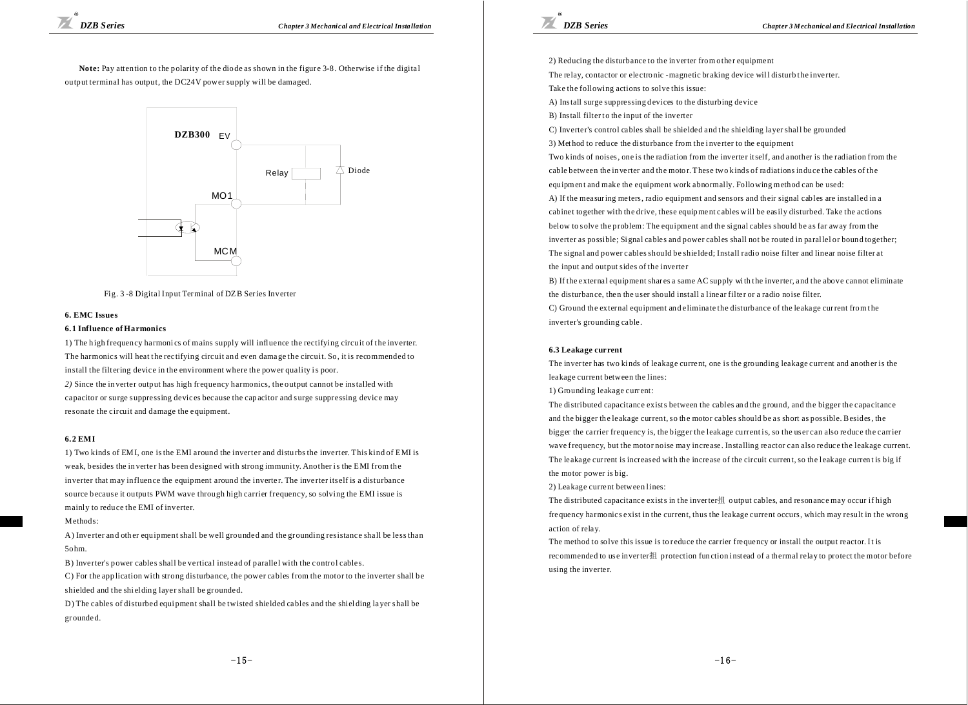2) Reducing the disturbance to the inverter from other equipment

The relay, contactor or electronic -magnetic braking device will disturb the inverter.

Take the following actions to solve this issue:

A) Install surge suppressing devices to the disturbing device

B) Install filter to the input of the inverter

C) Inverter's control cables shall be shielded and the shielding layer shall be grounded

3) Method to reduce the disturbance from the inverter to the equipment

Two kinds of noises, one is the radiation from the inverter itself, and another is the radiation from the cable between the inverter and the motor. These two kinds of radiations induce the cables of the equipment and make the equipment work abnormally. Follo wing method can be used: A) If the mea suring meters, radio equipment and sens ors and their signal cables are installed in a cabinet together with the drive, these equipment cables will be easily disturbed. Take the actions below to solve the problem: The equipment and the signal cables should be as far away from the inverter as possible; Signal cables and power cables shall not be routed in parallel or bound together; The signal and power cables should be shielde d; Install radio noise filter and linear noise filter at the input and output sides of the inverter

B) If the external equipment shares a same AC supply with the inverter, and the above cannot eliminate the disturbance, then the user should install a linear filter or a radio noise filter.

C) Ground the external equipment and eliminate the disturbance of the leakage current from the inverter's grounding cable.

#### **6.3 Leaka ge current**

The inverter has two kinds of leakage current, one is the grounding leakage current and another is the lea kage current between the lines:

1) Grou nding leakage curr ent:

The distributed capacitance exists between the cables and the ground, and the bigger the capacitance and the bigger the leakage current, so the motor cables should be as short as possible. Besides, the bigger the carrier frequency is, the bigger the leakage current is, so the user can also reduce the carrier wave frequency, but the motor noise may increase. Installing reactor can also reduce the leakage current. The leakage current is increased with the increase of the circuit current, so the leakage current is big if the motor power is big.

2) Lea kage current between lines:

The distributed capacitance exists in the inverter扣 output cables, and resonance may occur if high fre quency ha rmonics e xist in the current, thus the lea kage current occu rs, which may result in the wrong action of relay.

The method to solve this issue is to reduce the carrier frequency or install the output reactor. It is recommended to use inverter<br>H protection function instead of a thermal relay to protect the motor before using the inverter.





Fig. 3 -8 Digital Input Terminal of DZB Series Inverter

#### **6. EMC Issue s**

#### **6 1 Influence of Harmonics .**

1) The high f requency ha rmoni cs of m ains supply will influe nce the rectifying circuit of t he inverter. The harmonics will heat the rectifying circuit and even damage the circuit. So, it is recommended to install the filtering device in the environment where the power quality is poor.

2) Since the inverter output has high frequency harmonics, the output cannot be installed with ca pacitor or surge suppressing devices because the capacitor and surge suppressing device may re sonate the circuit and damage the e quipment.

#### **6.2 EMI**

1) Two kinds of EM I, one is the EMI around the inverter and distu rbs the inve rter. T his kind of EMI is weak, besides the inverter has been designed with strong immunity. Another is the EMI from the inverter that may influence the equipment around the inverter. The inverter itself is a disturbance source because it outputs PWM wave through high carrier frequency, so solving the EMI issue is mainly to reduce the EMI of inverter.

M ethods:

A) Inverter and other equipment shall be well grounded and the grounding resistance shall be less than 5ohm.

B) Inverter's power cables shall be vertical instead of parallel with the control cables.

C) For the application with strong disturbance, the power cables from the motor to the inverter shall be shielded and the shi elding layer shall be grounded.

D ) The cables of distu rbe d equi pment shall be twisted shielded ca bles and the shiel ding la yer s hall be gr ounde d.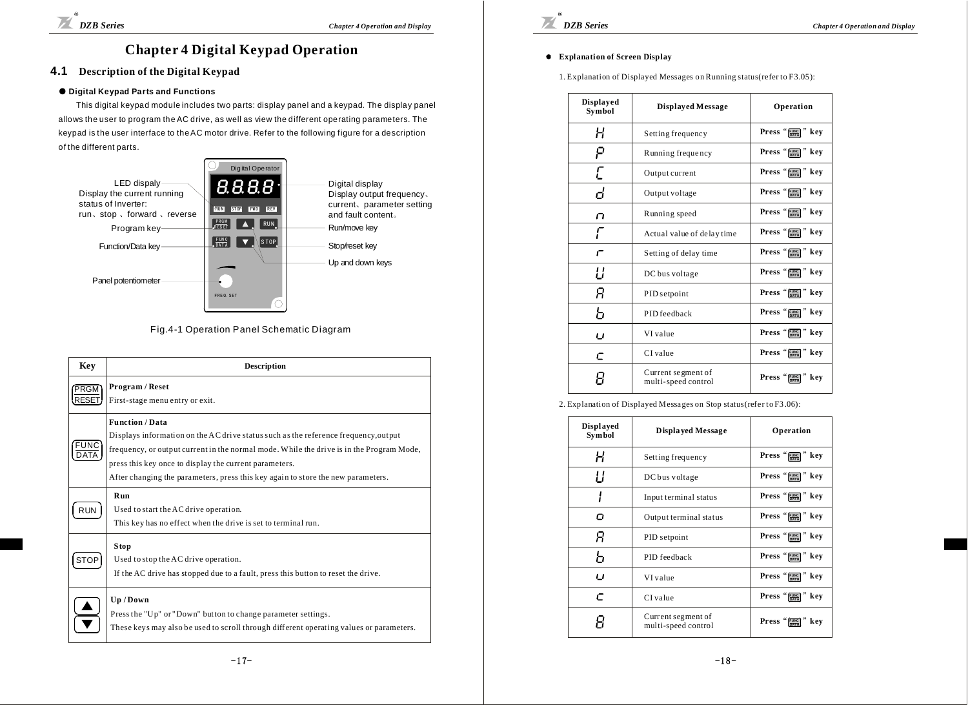## **Chapter 4 Digital Keypad Operation**

#### **4.1 Description of the Digital Keypad**

#### ● **Digital Keypad Parts and Functions**

This digital keypad module includes two parts: display panel and a keypad. The display panel allows the user to program the AC drive, as well as view the different operating parameters. The keypad is the user interface to the AC motor drive. Refer to the following figure for a description of the different parts.



#### F ig.4-1 Operation Panel Schematic Diagram

| Key                  | <b>Description</b>                                                                                                                                                                                                                                                                                                                                      |
|----------------------|---------------------------------------------------------------------------------------------------------------------------------------------------------------------------------------------------------------------------------------------------------------------------------------------------------------------------------------------------------|
| PRGM<br><b>RESET</b> | Program / Reset<br>First-stage menu entry or exit.                                                                                                                                                                                                                                                                                                      |
| FUNC                 | <b>Function / Data</b><br>Displays information on the AC drive status such as the reference frequency, output<br>frequency, or output current in the normal mode. While the drive is in the Program Mode,<br>press this key once to display the current parameters.<br>After changing the parameters, press this key again to store the new parameters. |
| <b>RUN</b>           | Run<br>Used to start the AC drive operation.<br>This key has no effect when the drive is set to terminal run.                                                                                                                                                                                                                                           |
| STOP                 | Stop<br>Used to stop the AC drive operation.<br>If the AC drive has stopped due to a fault, press this button to reset the drive.                                                                                                                                                                                                                       |
|                      | Up / Down<br>Press the "Up" or "Down" button to change parameter settings.<br>These keys may also be used to scroll through different operating values or parameters.                                                                                                                                                                                   |

#### **Expl anati on of Screen Display**

1. Explanation of Displayed Messages on Running status (refer to F3.05):

| <b>Displayed</b><br>Symbol | <b>Displayed Message</b>                  | Operation                                    |
|----------------------------|-------------------------------------------|----------------------------------------------|
| Н                          | Setting frequency                         | Press "                                      |
| Ρ                          | Running frequency                         | Press "[UNC]" key                            |
| Г                          | Output current                            | Press "[EME]" key                            |
| d                          | Output voltage                            | Press "[ME]" key                             |
| Π                          | Running speed                             | Press " $\left[\frac{muc}{mru}\right]$ " key |
|                            | Actual value of delay time                | Press "[ENC]" key                            |
| r                          | Setting of delay time                     | Press "[ME]" key                             |
| ! !                        | DC bus voltage                            | Press "[ENC]" key                            |
| я                          | PID setpoint                              |                                              |
| ь                          | PID feedback                              | Press "[UNC]" key                            |
| u                          | VI value                                  | Press "[UNC]" key                            |
| c                          | CI value                                  | Press "[UNC]" key                            |
|                            | Current segment of<br>multi-speed control | Press "<br>' key                             |

2. Explanation of Displayed Messages on Stop status (refer to F3.06):

| <b>Displayed</b><br><b>Symbol</b> | <b>Displayed Message</b>                  | Operation                       |
|-----------------------------------|-------------------------------------------|---------------------------------|
| н                                 | Setting frequency                         | Press "[UNC]" key               |
| ! !                               | DC bus voltage                            | Press "[                        |
|                                   | Input terminal status                     | Press "[                        |
| ο                                 | Output terminal status                    | Press "[FEEE]" key              |
| Я                                 | PID setpoint                              | Press "            key          |
| 'n                                | PID feedback                              | Press "[UNC]" key               |
| ,,                                | <b>VI</b> value                           | Press "                         |
|                                   | <b>CI</b> value                           | Press "          key            |
|                                   | Current segment of<br>multi-speed control | Press '<br>' kev<br><b>FUNC</b> |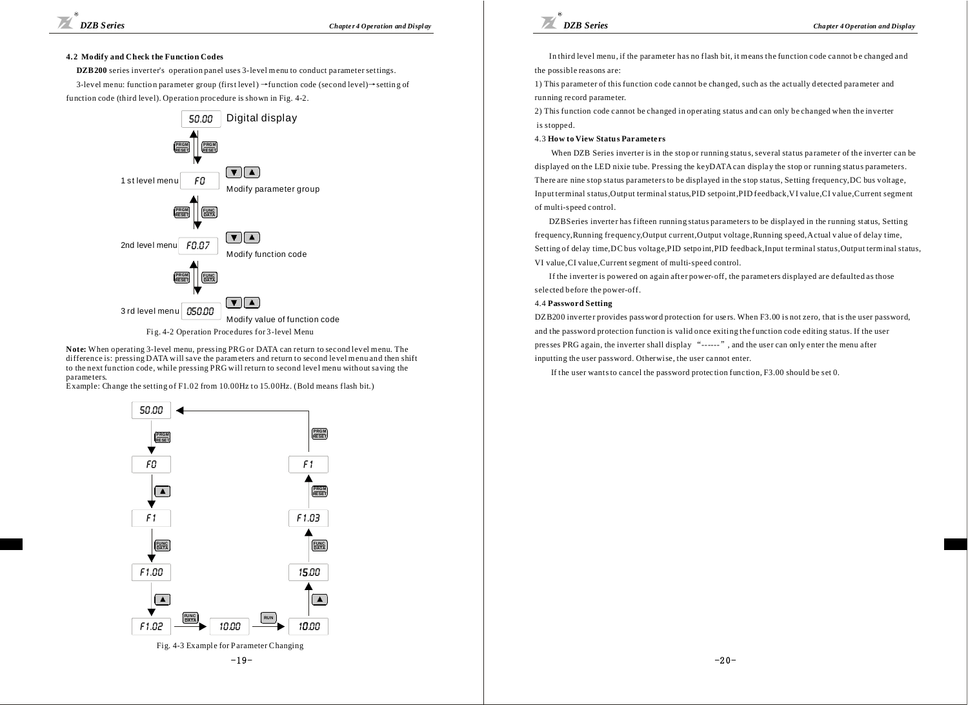#### **4.2 Modify and Check t he Function Codes**

**DZB 200** series inverter's operation panel use s 3-level m enu to conduct pa rameter settings.

3-level menu: function parameter group (first level) → function code (second level) → setting of function code (third level). Operation procedure is shown in Fig. 4-2.



**Note:** W hen operating 3-level menu, pressing PRG or DATA can return to second level menu. The difference is: pressing DATA will save the parameters and return to second level menu and then shift to the next function code, while pressing PRG will return to second level menu with out saving the pa rameters.

Example: Change the setting of F1.02 from 10.00Hz to 15.00Hz. (Bold means flash bit.)



In third level menu, if the parameter has no flash bit, it means the function code cannot be changed and the possible reas ons are:

1) This parameter of this function code cannot be changed, such as the actually detected parameter and running re cord parameter.

2) This function code cannot be changed in operating status and can only be changed when the inverter is stopped.

#### 4.3 **How to View Statu s Parameters**

When DZB Series inverter is in the stop or running status, several status parameter of the inverter can be displayed on the LED nixie tube. Pressing the keyDATA can displa y the stop or runnin g status parameters. The re are nine stop status parameters to be displayed in the stop status, Setting frequency,DC bus v oltage, . of multi-speed control Input terminal status, Output terminal status, PID setpoint, PID feedback, VI value, CI value, Current segment

DZBS eries inverter has fifteen running status parameters to be displayed in the running status, Setting VI value, CI value, Current segment of multi-speed control. frequency, Running frequency, Output current, Output voltage, Running speed, Actual v alue of delay time, Setting of delay time, DC bus voltage, PID setpoint, PID feedback, Input terminal status, Output terminal status,

If the inverter is powered on again after power-off, the parameters displayed are defaulted as those selected before the power-off.

#### 4.4 **Password Setting**

DZB200 inverter provides password protection for users. When F3.00 is not zero, that is the user password, and the password protection function is valid once exiting the function code editing status. If the user presses PRG again, the inverter shall display "------", and the user can only enter the menu after inputting the user password. Otherwise, the user ca nnot enter.

If the user wants to cancel the password protection function, F3.00 should be set 0.

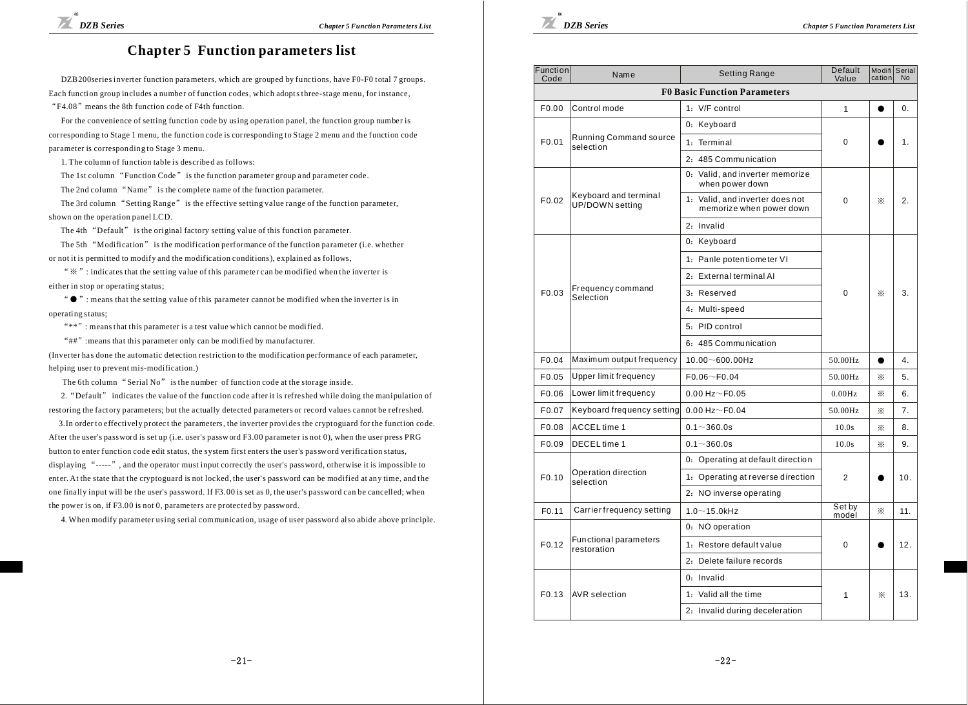DZB200series inverter function parameters, which are grouped by functions, have F0-F0 total 7 groups. Each function group includes a number of function codes, which adopts three-stage menu, for instance, "F4.08" means the 8th function code of F4th function.

For the convenience of setting function code by using operation panel, the function group number is corresponding to Stage 1 menu, the function code is corresponding to Stage 2 menu and the function code parameter is corresponding to Stage 3 menu.

1. The column of function table is described as follows:

The 1st column "Function Code" is the function parameter group and parameter code.

The 2nd column "Name" is the complete name of the function parameter.

The 3rd column "Setting Range" is the effective setting value range of the function parameter, shown on the operation panel LCD.

The 4th "Default" is the original factory setting value of this function parameter.

The 5th "Modification" is the modification performance of the function parameter (i.e. whether or not it is permitted to modify and the modification conditions ), explained as follows,

 $\cdot$   $\cdot$   $\cdot$   $\cdot$   $\cdot$   $\cdot$  indicates that the setting value of this parameter can be modified when the inverter is either in stop or operating status;

: means that the setting value of this parameter cannot be modified when the inverter is in "●" operating status;

 $"$ : means that this parameter is a test value which cannot be modified.

"##" : means that this parameter only can be modified by manufacturer.

(Inverter ha s done the automatic detection restriction to the modification performance of each parameter, hel ping user to prevent mis-modification.)

The 6th column "Serial No" is the number of function code at the storage inside.

2. "Default" indicates the value of the function code after it is refreshed while doing the manipulation of restoring the factory parameters; but the actually detected parameters or record values cannot be refreshed.

3. In order to effectively protect the parameters, the inverter provides the cryptoguard for the function code. After the user's password is set up (i.e. user's passw ord F3.00 parameter is not 0), when the user press PRG button to enter function code edit status, the system first enters the user's password verification status, displaying "-----", and the operator must input correctly the user's password, otherwise it is impossible to enter. At the state that the cryptoguard is not locked, the user's password can be modified at any time, and the one finally input will be the user's password. If F3.00 is set as 0, the user's password can be cancelled; when t he pow er is on, if F3.00 is not 0, parameters are protected by password.

4. When modify parameter using serial communication, usage of user password also abide above principle.

| Function<br>Code  | Name                                     | <b>Setting Range</b>                                        | Default<br>Value | Modifi Serial<br>cation | <b>No</b>        |
|-------------------|------------------------------------------|-------------------------------------------------------------|------------------|-------------------------|------------------|
|                   |                                          | <b>F0 Basic Function Parameters</b>                         |                  |                         |                  |
| F0.00             | Control mode                             | 1: V/F control                                              | $\mathbf{1}$     |                         | 0.               |
|                   |                                          | 0. Keyboard                                                 |                  |                         |                  |
| F <sub>0.01</sub> | Running Command source<br>selection      | 1: Terminal                                                 | 0                |                         | 1.               |
|                   |                                          | 2: 485 Communication                                        |                  |                         |                  |
|                   |                                          | 0. Valid, and inverter memorize<br>when power down          |                  |                         |                  |
| F <sub>0.02</sub> | Keyboard and terminal<br>UP/DOWN setting | 1: Valid, and inverter does not<br>memorize when power down | $\Omega$         | X.                      | $\mathbf{2}$ .   |
|                   |                                          | 2: Invalid                                                  |                  |                         |                  |
|                   |                                          | 0: Keyboard                                                 |                  |                         |                  |
|                   |                                          | 1: Panle potentiometer VI                                   |                  |                         |                  |
|                   |                                          | 2. External terminal Al                                     |                  |                         |                  |
| F0.03             | Frequency command<br>Selection           | 3: Reserved                                                 | $\Omega$         | ፠                       | 3.               |
|                   |                                          | 4: Multi-speed                                              |                  |                         |                  |
|                   |                                          | 5. PID control                                              |                  |                         |                  |
|                   | 6: 485 Communication                     |                                                             |                  |                         |                  |
| F0.04             | Maximum output frequency                 | 10.00~600.00Hz                                              | 50.00Hz          |                         | $\overline{4}$ . |
| F0.05             | Upper limit frequency                    | $F0.06 - F0.04$                                             | 50.00Hz          | ※                       | 5.               |
| F <sub>0.06</sub> | Lower limit frequency                    | $0.00$ Hz $\sim$ F0.05                                      | 0.00Hz           | ※                       | 6.               |
| F <sub>0.07</sub> | Keyboard frequency setting               | $0.00$ Hz $\sim$ F0.04                                      | 50.00Hz          | ※                       | 7.               |
| F0.08             | ACCEL time 1                             | $0.1 - 360.0s$                                              | 10.0s            | ※                       | 8.               |
| F <sub>0.09</sub> | DECEL time 1                             | $0.1 - 360.0s$                                              | 10.0s            | ※                       | 9.               |
|                   |                                          | 0: Operating at default direction                           |                  |                         |                  |
| F0.10             | Operation direction<br>selection         | 1: Operating at reverse direction                           | $\overline{2}$   |                         | 10.              |
|                   |                                          | 2. NO inverse operating                                     |                  |                         |                  |
| F0.11             | Carrier frequency setting                | $1.0 - 15.0$ kHz                                            | Set by<br>model  | ※                       | 11.              |
|                   |                                          | 0: NO operation                                             |                  |                         |                  |
| F <sub>0.12</sub> | Functional parameters<br>restoration     | 1. Restore default value                                    | 0                |                         | 12.              |
|                   |                                          | 2. Delete failure records                                   |                  |                         |                  |
|                   |                                          | 0: Invalid                                                  |                  |                         |                  |
| F0.13             | AVR selection                            | 1: Valid all the time                                       | 1                | ፠                       | 13.              |
|                   |                                          | 2. Invalid during deceleration                              |                  |                         |                  |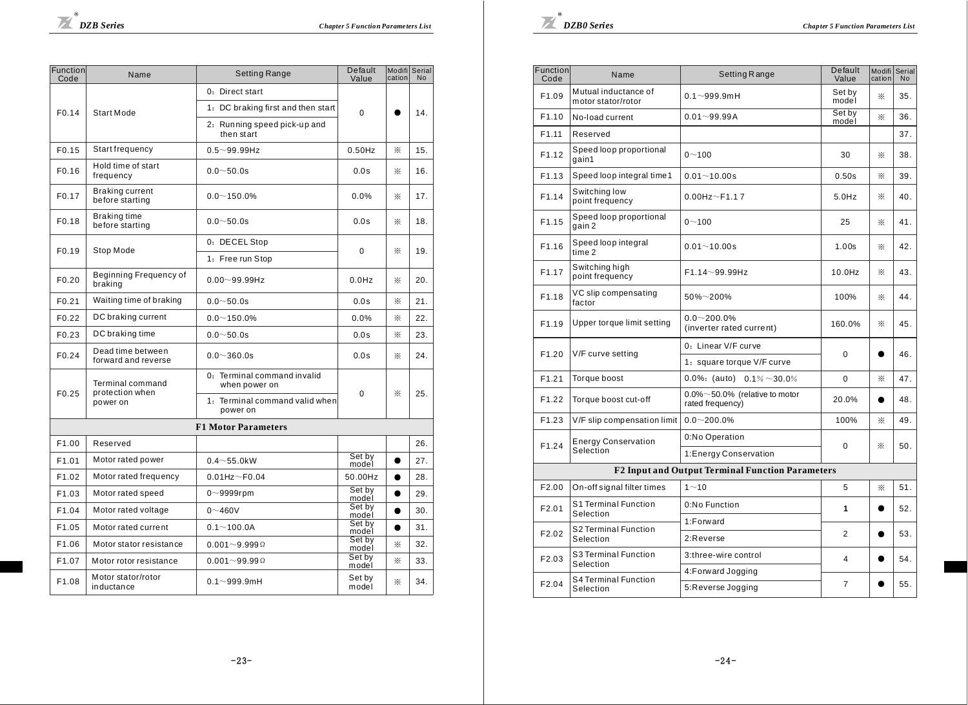| Eunction<br>Code  | Name                                     | Setting Range                                | Default<br>Value | cation    | Modifil Serial<br><b>No</b> |
|-------------------|------------------------------------------|----------------------------------------------|------------------|-----------|-----------------------------|
|                   |                                          | 0: Direct start                              |                  |           |                             |
| F <sub>0.14</sub> | Start Mode                               | 1: DC braking first and then start           | 0                |           | 14.                         |
|                   |                                          | 2: Running speed pick-up and<br>then start   |                  |           |                             |
| F <sub>0.15</sub> | Start frequency                          | $0.5 - 99.99$ Hz                             | $0.50$ Hz        | ×.        | 15.                         |
| F <sub>0.16</sub> | Hold time of start<br>frequency          | $0.0 - 50.0s$                                | 0.0s             | ⋇         | 16.                         |
| F0.17             | Braking current<br>before starting       | $0.0 - 150.0%$                               | 0.0%             | ⋇         | 17.                         |
| F0.18             | Braking time<br>before starting          | $0.0 - 50.0s$                                | 0.0s             | ⋇         | 18.                         |
| F <sub>0.19</sub> | Stop Mode                                | 0: DECEL Stop                                | $\Omega$         | ⋇         | 19.                         |
|                   |                                          | 1: Free run Stop                             |                  |           |                             |
| F0.20             | Beginning Frequency of<br>braking        | $0.00 - 99.99$ Hz                            | $0.0$ Hz         | ⋇         | 20.                         |
| F0.21             | Waiting time of braking                  | $0.0 - 50.0s$                                | 0.0s             | ※         | 21.                         |
| F0.22             | DC braking current                       | $0.0 - 150.0%$                               | 0.0%             | ⋇         | 22.                         |
| F <sub>0.23</sub> | DC braking time                          | $0.0 - 50.0s$                                | 0.0s             | ⋇         | 23.                         |
| F <sub>0.24</sub> | Dead time between<br>forward and reverse | $0.0 - 360.0s$                               | 0.0s             | ×.        | 24.                         |
| F <sub>0.25</sub> | Terminal command<br>protection when      | 0: Terminal command invalid<br>when power on | $\Omega$         | ⋇         | 25.                         |
|                   | power on                                 | 1: Terminal command valid when<br>power on   |                  |           |                             |
|                   |                                          | <b>F1 Motor Parameters</b>                   |                  |           |                             |
| F1.00             | Reserved                                 |                                              |                  |           | 26.                         |
| F1.01             | Motor rated power                        | $0.4 - 55.0$ kW                              | Set by<br>model  | $\bullet$ | 27.                         |
| F1.02             | Motor rated frequency                    | $0.01$ Hz $\sim$ F0.04                       | 50.00Hz          | $\bullet$ | 28.                         |
| F1.03             | Motor rated speed                        | $0$ ~9999rpm                                 | Set by<br>model  | $\bullet$ | 29.                         |
| F1.04             | Motor rated voltage                      | $0 - 460V$                                   | Set by<br>model  | $\bullet$ | 30.                         |
| F1.05             | Motor rated current                      | $0.1 - 100.0A$                               | Set by<br>model  |           | 31.                         |
| F1.06             | Motor stator resistance                  | $0.001 - 9.999$                              | Set by<br>model  | ※         | 32.                         |
| F1.07             | Motor rotor resistance                   | $0.001 - 99.99 \Omega$                       | Set by<br>model  | ×.        | 33.                         |
| F1.08             | Motor stator/rotor<br>inductance         | $0.1 - 999.9$ mH                             | Set by<br>model  | ⋇         | 34.                         |

| Function<br>Code  | Name                                       | Setting Range                                              | Default<br>Value | Modifil<br>cation | Serial<br>N <sub>0</sub> |
|-------------------|--------------------------------------------|------------------------------------------------------------|------------------|-------------------|--------------------------|
| F1.09             | Mutual inductance of<br>motor stator/rotor | $0.1 - 999.9mH$                                            | Set by<br>model  | ×.                | 35.                      |
| F1.10             | No-load current                            | $0.01 - 99.99A$                                            | Set by<br>model  | ×.                | 36.                      |
| F1.11             | Reserved                                   |                                                            |                  |                   | 37.                      |
| F1.12             | Speed loop proportional<br>gain1           | $0 - 100$                                                  | 30               | ×.                | 38.                      |
| F1.13             | Speed loop integral time 1                 | $0.01 - 10.00s$                                            | 0.50s            | ×.                | 39.                      |
| F1.14             | Switching low<br>point frequency           | $0.00Hz \sim$ F1.17                                        | $5.0$ Hz         | ×.                | 40.                      |
| F <sub>1.15</sub> | Speed loop proportional<br>aain 2          | $0 - 100$                                                  | 25               | ×.                | 41.                      |
| F1.16             | Speed loop integral<br>time 2              | $0.01 - 10.00s$                                            | 1.00s            | ×.                | 42.                      |
| F1.17             | Switching high<br>point frequency          | F1.14~99.99Hz                                              | 10.0Hz           | ×.                | 43.                      |
| F1.18             | VC slip compensating<br>factor             | 50%~200%                                                   | 100%             | ⋇                 | 44.                      |
| F1.19             | Upper torque limit setting                 | $0.0 - 200.0\%$<br>(inverter rated current)                | 160.0%           | ≫.                | 45.                      |
| F <sub>1.20</sub> |                                            | 0: Linear V/F curve                                        |                  |                   |                          |
|                   | V/F curve setting                          | 1: square torque V/F curve                                 | $\Omega$         |                   | 46.                      |
| F1.21             | Torque boost                               | 0.0%: (auto) $0.1\% \sim 30.0\%$                           | $\Omega$         | ×.                | 47.                      |
| F1.22             | Torque boost cut-off                       | $0.0\% \sim 50.0\%$ (relative to motor<br>rated frequency) | 20.0%            |                   | 48.                      |
| F <sub>1.23</sub> | V/F slip compensation limit                | $0.0 - 200.0\%$                                            | 100%             | ×.                | 49.                      |
| F1.24             | <b>Energy Conservation</b>                 | 0:No Operation                                             | 0                | ⋇                 | 50.                      |
|                   | Selection                                  | 1: Energy Conservation                                     |                  |                   |                          |
|                   |                                            | <b>F2 Input and Output Terminal Function Parameters</b>    |                  |                   |                          |
| F2.00             | On-off signal filter times                 | $1 - 10$                                                   | 5                | Х.                | 51.                      |
| F <sub>2.01</sub> | S1 Terminal Function<br>Selection          | 0:No Function                                              | 1                |                   | 52.                      |
| F <sub>2.02</sub> | S2 Terminal Function                       | 1:Forward                                                  | $\overline{2}$   |                   | 53.                      |
|                   | Selection<br>S3 Terminal Function          | 2:Reverse                                                  |                  |                   |                          |
| F <sub>2.03</sub> | Selection                                  | 3:three-wire control<br>4: Forward Jogging                 | 4                |                   | 54.                      |
| F <sub>2.04</sub> | S4 Terminal Function<br>Selection          | 5:Reverse Jogging                                          | $\overline{7}$   |                   | 55.                      |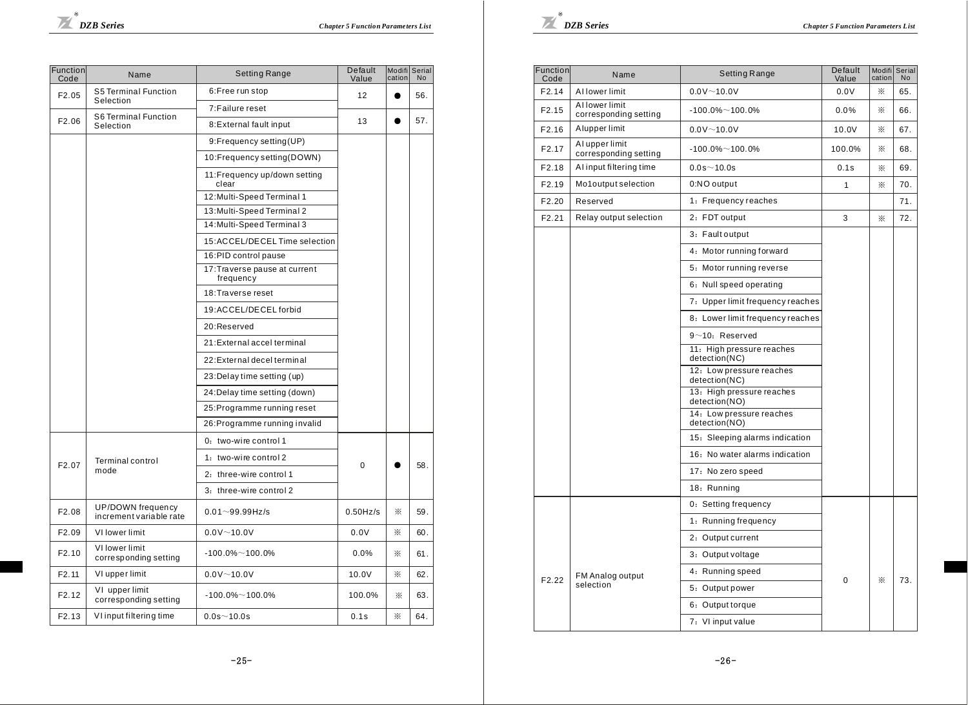| Function<br>Code  | Name                                         | Setting Range                              | Default<br>Value | cation | Modifil Serial<br><b>No</b> |
|-------------------|----------------------------------------------|--------------------------------------------|------------------|--------|-----------------------------|
| F <sub>2.05</sub> | S5 Terminal Function<br>Selection            | 6:Free run stop                            | 12               |        | 56.                         |
|                   | S6 Terminal Function                         | 7: Failure reset                           |                  |        |                             |
| F <sub>2.06</sub> | Selection                                    | 8: External fault input                    | 13               |        | 57.                         |
|                   |                                              | 9: Frequency setting (UP)                  |                  |        |                             |
|                   |                                              | 10:Frequency setting(DOWN)                 |                  |        |                             |
|                   |                                              | 11: Frequency up/down setting<br>clear     |                  |        |                             |
|                   |                                              | 12: Multi-Speed Terminal 1                 |                  |        |                             |
|                   |                                              | 13: Multi-Speed Terminal 2                 |                  |        |                             |
|                   |                                              | 14: Multi-Speed Terminal 3                 |                  |        |                             |
|                   |                                              | 15:ACCEL/DECEL Time selection              |                  |        |                             |
|                   |                                              | 16:PID control pause                       |                  |        |                             |
|                   |                                              | 17: Traverse pause at current<br>frequency |                  |        |                             |
|                   |                                              | 18: Traverse reset                         |                  |        |                             |
|                   |                                              | 19:ACCEL/DECEL forbid                      |                  |        |                             |
|                   |                                              | 20:Reserved                                |                  |        |                             |
|                   |                                              | 21: External accel terminal                |                  |        |                             |
|                   |                                              | 22: External decel terminal                |                  |        |                             |
|                   |                                              | 23: Delay time setting (up)                |                  |        |                             |
|                   |                                              | 24:Delay time setting (down)               |                  |        |                             |
|                   |                                              | 25: Programme running reset                |                  |        |                             |
|                   |                                              | 26: Programme running invalid              |                  |        |                             |
|                   |                                              | 0: two-wire control 1                      |                  |        |                             |
| F <sub>2.07</sub> | <b>Terminal control</b>                      | 1: two-wire control 2                      | 0                |        | 58.                         |
|                   | mode                                         | 2: three-wire control 1                    |                  |        |                             |
|                   |                                              | 3. three-wire control 2                    |                  |        |                             |
| F <sub>2.08</sub> | UP/DOWN frequency<br>increment variable rate | $0.01 - 99.99$ Hz/s                        | $0.50$ Hz/s      | ፠      | 59.                         |
| F <sub>2.09</sub> | VI lower limit                               | $0.0V - 10.0V$                             | 0.0V             | ×.     | 60.                         |
| F <sub>2.10</sub> | VI lower limit<br>corresponding setting      | $-100.0\%$ ~100.0%                         | 0.0%             | ⋇      | 61.                         |
| F <sub>2.11</sub> | VI upper limit                               | $0.0V - 10.0V$                             | 10.0V            | ⋇      | 62.                         |
| F <sub>2.12</sub> | VI upper limit<br>corresponding setting      | $-100.0\%$ ~ 100.0%                        | 100.0%           | X.     | 63.                         |
| F <sub>2.13</sub> | VI input filtering time                      | $0.0s - 10.0s$                             | 0.1s             | ⋇      | 64.                         |

| Function<br>Code  | Name                                    | Setting Range                              | Default<br>Value | cation | Modifil Serial<br>No |
|-------------------|-----------------------------------------|--------------------------------------------|------------------|--------|----------------------|
| F <sub>2.14</sub> | Al lower limit                          | $0.0V - 10.0V$                             | 0.0V             | ⋇      | 65.                  |
| F2.15             | Allower limit<br>corresponding setting  | $-100.0\%$ ~ 100.0%                        | 0.0%             | ×.     | 66.                  |
| F2.16             | Alupper limit                           | $0.0V - 10.0V$                             | 10.0V            | ×.     | 67.                  |
| F <sub>2.17</sub> | Al upper limit<br>corresponding setting | $-100.0\%$ ~ 100.0%                        | 100.0%           | Ж      | 68.                  |
| F2.18             | Al input filtering time                 | $0.0s - 10.0s$                             | 0.1s             | X.     | 69.                  |
| F2.19             | Mo1output selection                     | 0:NO output                                | 1                | ⋇      | 70.                  |
| F2.20             | Reserved                                | 1: Frequency reaches                       |                  |        | 71.                  |
| F <sub>2.21</sub> | Relay output selection                  | 2: FDT output                              | 3                | ⋇      | 72.                  |
|                   |                                         | 3: Fault output                            |                  |        |                      |
|                   |                                         | 4: Motor running forward                   |                  |        |                      |
|                   |                                         | 5: Motor running reverse                   |                  |        |                      |
|                   |                                         | 6: Null speed operating                    |                  |        |                      |
|                   |                                         | 7: Upper limit frequency reaches           |                  |        |                      |
|                   |                                         | 8: Lower limit frequency reaches           |                  |        |                      |
|                   |                                         | $9 - 10$ : Reserved                        |                  |        |                      |
|                   |                                         | 11: High pressure reaches<br>detection(NC) |                  |        |                      |
|                   |                                         | 12: Low pressure reaches<br>detection(NC)  |                  |        |                      |
|                   |                                         | 13: High pressure reaches<br>detection(NO) |                  |        |                      |
|                   |                                         | 14: Low pressure reaches<br>detection(NO)  |                  |        |                      |
|                   |                                         | 15: Sleeping alarms indication             |                  |        |                      |
|                   |                                         | 16. No water alarms indication             |                  |        |                      |
|                   |                                         | 17: No zero speed                          |                  |        |                      |
|                   |                                         | 18: Running                                |                  |        |                      |
|                   |                                         | 0: Setting frequency                       |                  |        |                      |
|                   |                                         | 1: Running frequency                       |                  |        |                      |
|                   |                                         | 2: Output current                          |                  |        |                      |
|                   |                                         | 3: Output voltage                          |                  |        |                      |
|                   | FM Analog output                        | 4: Running speed                           |                  |        |                      |
| F <sub>2.22</sub> | selection                               | 5: Output power                            | $\Omega$         | ⋇      | 73.                  |
|                   |                                         | 6: Output torque                           |                  |        |                      |
|                   |                                         | 7: VI input value                          |                  |        |                      |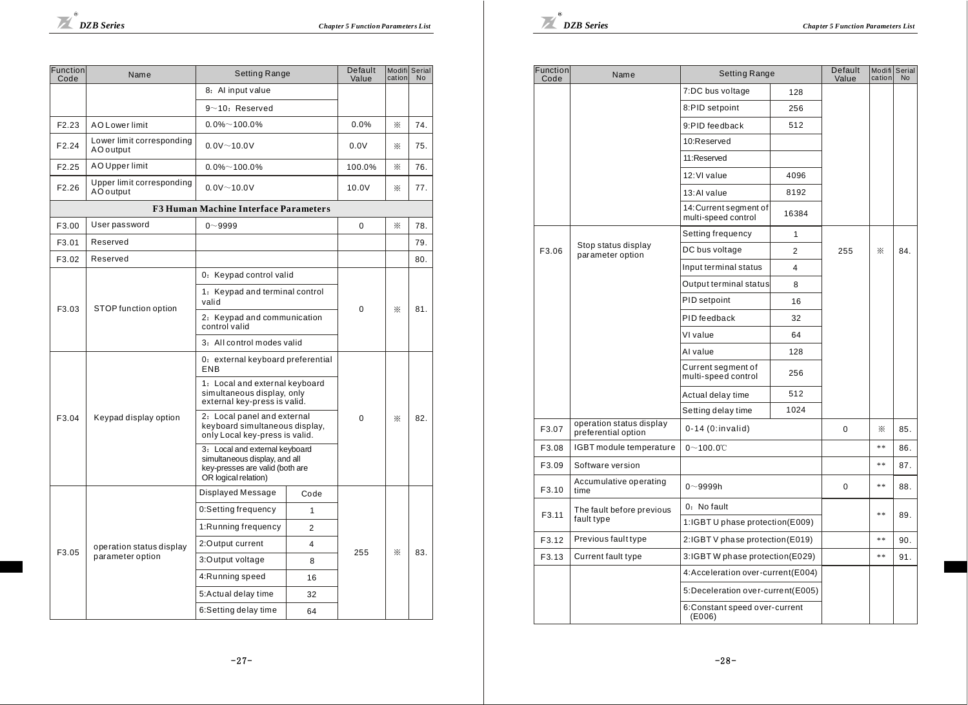| Function<br>Code  | Name                                   | Setting Range                                                                                                              |                | Default<br>Value | cation | Modifil Serial<br><b>No</b> |
|-------------------|----------------------------------------|----------------------------------------------------------------------------------------------------------------------------|----------------|------------------|--------|-----------------------------|
|                   |                                        | 8: Al input value                                                                                                          |                |                  |        |                             |
|                   |                                        | $9 - 10$ : Reserved                                                                                                        |                |                  |        |                             |
| F <sub>2.23</sub> | <b>AO Lower limit</b>                  | $0.0\%$ ~ 100.0%                                                                                                           |                | 0.0%             | Х.     | 74.                         |
| F2.24             | Lower limit corresponding<br>AO output | $0.0V - 10.0V$                                                                                                             |                |                  | Х.     | 75.                         |
| F <sub>2.25</sub> | AO Upper limit                         | $0.0\%$ ~ 100.0%                                                                                                           |                | 100.0%           | Х.     | 76.                         |
| F <sub>2.26</sub> | Upper limit corresponding<br>AO output | $0.0V - 10.0V$                                                                                                             |                | 10.0V            | ⋇      | 77.                         |
|                   |                                        | <b>F3 Human Machine Interface Parameters</b>                                                                               |                |                  |        |                             |
| F3.00             | User password                          | $0 - 9999$                                                                                                                 |                | 0                | Х.     | 78.                         |
| F3.01             | Reserved                               |                                                                                                                            |                |                  |        | 79.                         |
| F3.02             | Reserved                               |                                                                                                                            |                |                  |        | 80.                         |
|                   |                                        | 0: Keypad control valid                                                                                                    |                |                  |        |                             |
| F3.03             | STOP function option                   | 1: Keypad and terminal control<br>valid                                                                                    |                | 0                | ×.     | 81.                         |
|                   |                                        | 2: Keypad and communication<br>control valid                                                                               |                |                  |        |                             |
|                   |                                        | 3. All control modes valid                                                                                                 |                |                  |        |                             |
|                   |                                        | 0: external keyboard preferential<br><b>ENB</b>                                                                            |                |                  | ×.     | 82.                         |
|                   |                                        | 1: Local and external keyboard<br>simultaneous display, only<br>external key-press is valid.                               |                |                  |        |                             |
| F3.04             | Keypad display option                  | 2: Local panel and external<br>keyboard simultaneous display,<br>only Local key-press is valid.                            |                | 0                |        |                             |
|                   |                                        | 3: Local and external keyboard<br>simultaneous display, and all<br>key-presses are valid (both are<br>OR logical relation) |                |                  |        |                             |
|                   |                                        | Displayed Message                                                                                                          | Code           |                  |        |                             |
|                   |                                        | 0:Setting frequency                                                                                                        | 1              |                  |        |                             |
|                   |                                        | 1:Running frequency                                                                                                        | $\overline{2}$ |                  |        |                             |
|                   | operation status display               | 2:Output current                                                                                                           | 4              | 255              |        |                             |
| F3.05             | parameter option                       | 3:Output voltage                                                                                                           | 8              |                  | ⋇      | 83.                         |
|                   |                                        | 4: Running speed                                                                                                           | 16             |                  |        |                             |
|                   |                                        | 5:Actual delay time                                                                                                        | 32             |                  |        |                             |
|                   |                                        | 6:Setting delay time                                                                                                       | 64             |                  |        |                             |
|                   |                                        |                                                                                                                            |                |                  |        |                             |

| Function<br>Code | Name                                            | <b>Setting Range</b>                                                                                      |                | Default<br>Value | Modifi<br>cation | Serial<br><b>No</b> |
|------------------|-------------------------------------------------|-----------------------------------------------------------------------------------------------------------|----------------|------------------|------------------|---------------------|
|                  |                                                 | 7:DC bus voltage                                                                                          | 128            |                  |                  |                     |
|                  |                                                 | 8:PID setpoint                                                                                            | 256            |                  |                  |                     |
|                  |                                                 | 9:PID feedback                                                                                            | 512            |                  |                  |                     |
|                  |                                                 | 10:Reserved                                                                                               |                |                  |                  |                     |
|                  |                                                 | 11:Reserved                                                                                               |                |                  |                  |                     |
|                  |                                                 | 12: VI value                                                                                              | 4096           |                  |                  |                     |
|                  |                                                 | 13:Al value                                                                                               | 8192           |                  |                  |                     |
|                  |                                                 | 14: Current segment of<br>multi-speed control                                                             | 16384          |                  |                  |                     |
|                  |                                                 | Setting frequency                                                                                         | 1              |                  |                  |                     |
| F3.06            | Stop status display<br>parameter option         | DC bus voltage                                                                                            | $\overline{c}$ | 255              | ⋇                | 84.                 |
|                  |                                                 | Input terminal status                                                                                     | 4              |                  |                  |                     |
|                  |                                                 | Output terminal status                                                                                    | 8              |                  |                  |                     |
|                  |                                                 | PID setpoint                                                                                              | 16             |                  |                  |                     |
|                  |                                                 | PID feedback                                                                                              | 32             |                  |                  |                     |
|                  |                                                 | VI value                                                                                                  | 64             |                  |                  |                     |
|                  |                                                 | Al value                                                                                                  | 128            |                  |                  |                     |
|                  |                                                 | Current segment of<br>multi-speed control                                                                 | 256            |                  |                  |                     |
|                  |                                                 | Actual delay time                                                                                         | 512            |                  |                  |                     |
|                  |                                                 | Setting delay time                                                                                        | 1024           |                  |                  |                     |
| F3.07            | operation status display<br>preferential option | $0-14$ (0: invalid)                                                                                       |                | 0                | ※                | 85.                 |
| F3.08            | IGBT module temperature                         | $0 - 100.0$ °C                                                                                            |                |                  | $* *$            | 86.                 |
| F3.09            | Software version                                |                                                                                                           |                |                  | $* *$            | 87.                 |
| F3.10            | Accumulative operating<br>time                  | $0 - 9999h$                                                                                               |                | $\Omega$         | $* *$            | 88.                 |
| F3.11            | The fault before previous                       | 0: No fault<br>1:IGBT U phase protection(E009)                                                            |                |                  | $* *$            | 89.                 |
|                  | fault type                                      |                                                                                                           |                |                  |                  |                     |
| F3.12            | Previous fault type                             | 2:IGBT V phase protection (E019)                                                                          |                |                  | **               | 90.                 |
| F3.13            | Current fault type                              | 3:IGBT W phase protection(E029)<br>4:Acceleration over-current(E004)<br>5:Deceleration over-current(E005) |                |                  | $* *$            | 91.                 |
|                  |                                                 |                                                                                                           |                |                  |                  |                     |
|                  |                                                 |                                                                                                           |                |                  |                  |                     |
|                  |                                                 | 6:Constant speed over-current<br>(E006)                                                                   |                |                  |                  |                     |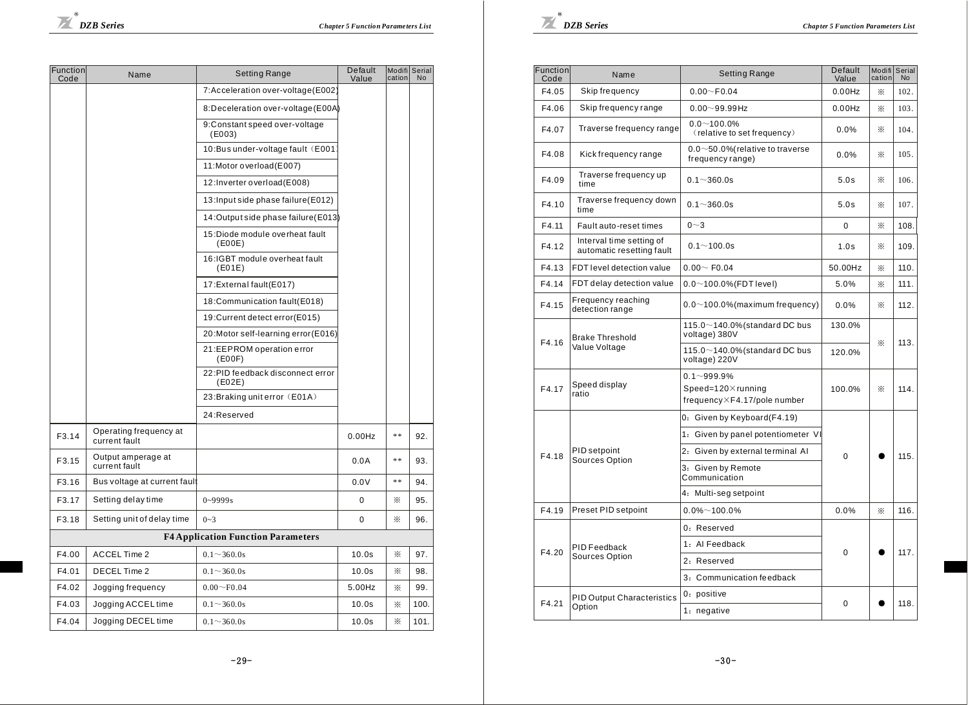| Function<br>Code | Name                                    | Setting Range                              | Default<br>Value | cation      | Modifil Serial<br><b>No</b> |
|------------------|-----------------------------------------|--------------------------------------------|------------------|-------------|-----------------------------|
|                  |                                         | 7:Acceleration over-voltage(E002           |                  |             |                             |
|                  |                                         | 8:Deceleration over-voltage (E00A)         |                  |             |                             |
|                  |                                         | 9: Constant speed over-voltage<br>(E003)   |                  |             |                             |
|                  |                                         | 10:Bus under-voltage fault (E001)          |                  |             |                             |
|                  |                                         | 11:Motor overload(E007)                    |                  |             |                             |
|                  |                                         | 12:Inverter overload(E008)                 |                  |             |                             |
|                  |                                         | 13: Input side phase failure (E012)        |                  |             |                             |
|                  |                                         | 14:Output side phase failure (E013)        |                  |             |                             |
|                  |                                         | 15:Diode module overheat fault<br>(EOOE)   |                  |             |                             |
|                  |                                         | 16:IGBT module overheat fault<br>(EO1E)    |                  |             |                             |
|                  |                                         | 17: External fault (E017)                  |                  |             |                             |
|                  |                                         | 18:Communication fault(E018)               |                  |             |                             |
|                  |                                         | 19: Current detect error (E015)            |                  |             |                             |
|                  |                                         | 20:Motor self-learning error(E016)         |                  |             |                             |
|                  |                                         | 21:EEPROM operation error<br>(EOOF)        |                  |             |                             |
|                  |                                         | 22:PID feedback disconnect error<br>(EO2E) |                  |             |                             |
|                  |                                         | 23: Braking unit error (E01A)              |                  |             |                             |
|                  |                                         | 24:Reserved                                |                  |             |                             |
| F3.14            | Operating frequency at<br>current fault |                                            | $0.00$ Hz        | $\pm$ $\pm$ | 92.                         |
| F3.15            | Output amperage at<br>current fault     |                                            | 0.0A             | **          | 93.                         |
| F3.16            | Bus voltage at current fault            |                                            | 0.0V             | **          | 94.                         |
| F3.17            | Setting delay time                      | $0 - 9999s$                                | 0                | ⋇           | 95.                         |
| F3.18            | Setting unit of delay time              | $0 - 3$                                    | 0                | ※           | 96.                         |
|                  |                                         | <b>F4 Application Function Parameters</b>  |                  |             |                             |
| F4.00            | <b>ACCEL Time 2</b>                     | $0.1 - 360.0s$                             | 10.0s            | ⋇           | 97.                         |
| F4.01            | DECEL Time 2                            | $0.1 - 360.0s$                             | 10.0s            | ×.          | 98.                         |
| F4.02            | Jogging frequency                       | $0.00 - F0.04$                             | 5.00Hz           | ⋇           | 99.                         |
| F4.03            | Jogging ACCEL time                      | $0.1 \sim 360.0s$                          | 10.0s            | ⋇           | 100.                        |
| F4.04            | Jogging DECEL time                      | $0.1 \sim 360.0s$                          | 10.0s            | ⋇           | 101.                        |



| Function<br>Code | Name                                                  | <b>Setting Range</b>                                               | Default<br>Value | cation | Modifi Serial<br><b>No</b> |
|------------------|-------------------------------------------------------|--------------------------------------------------------------------|------------------|--------|----------------------------|
| F4.05            | Skip frequency                                        | $0.00 - F0.04$                                                     | $0.00$ Hz        | ×.     | 102.                       |
| F4.06            | Skip frequency range                                  | $0.00 - 99.99$ Hz                                                  | $0.00$ Hz        | X.     | 103.                       |
| F4.07            | Traverse frequency range                              | $0.0 - 100.0\%$<br>(relative to set frequency)                     | 0.0%             | ⋇      | 104.                       |
| F4.08            | Kick frequency range                                  | $0.0 \sim 50.0$ % relative to traverse<br>frequency range)         | 0.0%             | X.     | 105.                       |
| F4.09            | Traverse frequency up<br>time                         | $0.1 - 360.0s$                                                     | 5.0s             | ⋇      | 106.                       |
| F4.10            | Traverse frequency down<br>time                       | $0.1 - 360.0s$                                                     | 5.0s             | ⋇      | 107.                       |
| F4.11            | Fault auto-reset times                                | $0 - 3$                                                            | 0                | ⋇      | 108.                       |
| F4.12            | Interval time setting of<br>automatic resetting fault | $0.1 - 100.0s$                                                     | 1.0s             | ⋇      | 109.                       |
| F4.13            | FDT level detection value                             | $0.00 - F0.04$                                                     | 50.00Hz          | ⋇      | 110.                       |
| F4.14            | FDT delay detection value                             | $0.0 \sim 100.0\%$ (FDT level)                                     | 5.0%             | ⋇      | 111.                       |
| F4.15            | Frequency reaching<br>detection range                 | $0.0 \sim 100.0\%$ (maximum frequency)                             | 0.0%             | ⋇      | 112.                       |
| F4.16            | <b>Brake Threshold</b><br>Value Voltage               | 115.0~140.0% (standard DC bus<br>voltage) 380V                     | 130.0%           | ⋇      | 113.                       |
|                  |                                                       | 115.0~140.0% (standard DC bus<br>voltage) 220V                     | 120.0%           |        |                            |
| F4.17            | Speed display<br>ratio                                | $0.1 - 999.9%$<br>Speed=120×running<br>frequency×F4.17/pole number | 100.0%           | ⋇      | 114.                       |
|                  |                                                       | 0: Given by Keyboard(F4.19)                                        |                  |        |                            |
|                  |                                                       | 1: Given by panel potentiometer V                                  |                  |        | 115.                       |
| F4.18            | PID setpoint                                          | 2: Given by external terminal Al                                   | $\Omega$         |        |                            |
|                  | Sources Option                                        | 3: Given by Remote<br>Communication                                |                  |        |                            |
|                  |                                                       | 4: Multi-seg setpoint                                              |                  |        |                            |
| F4.19            | Preset PID setpoint                                   | $0.0\%$ ~100.0%                                                    | 0.0%             | X.     | 116.                       |
|                  |                                                       | 0: Reserved                                                        |                  |        |                            |
| F4.20            | PID Feedback                                          | 1: Al Feedback                                                     | 0                |        | 117.                       |
|                  | Sources Option                                        | 2: Reserved                                                        |                  |        |                            |
|                  |                                                       | 3: Communication feedback                                          |                  |        |                            |
| F4.21            | PID Output Characteristics                            | 0: positive                                                        | 0                |        | 118.                       |
|                  | Option                                                | 1: negative                                                        |                  |        |                            |
|                  |                                                       |                                                                    |                  |        |                            |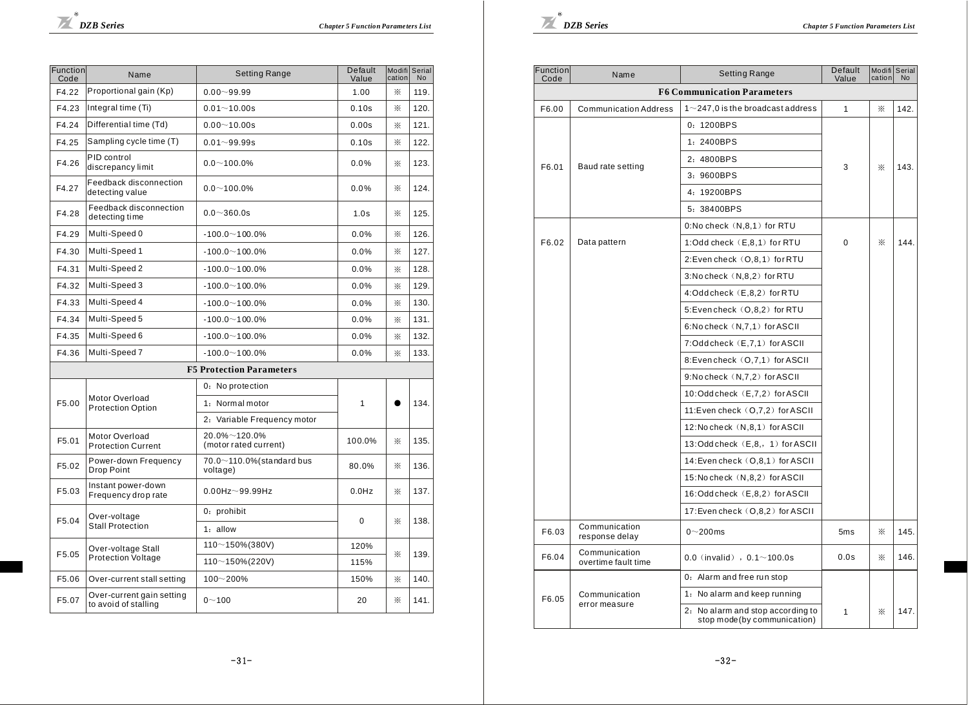| Function<br>Code | Name                                              | Setting Range                                 | Default<br>Value | cation | Modifil Serial<br><b>No</b> |
|------------------|---------------------------------------------------|-----------------------------------------------|------------------|--------|-----------------------------|
| F4.22            | Proportional gain (Kp)                            | $0.00 - 99.99$                                | 1.00             | ×.     | 119.                        |
| F4.23            | Integral time (Ti)                                | $0.01 - 10.00s$                               | 0.10s            | ⋇      | 120.                        |
| F4.24            | Differential time (Td)                            | $0.00 - 10.00s$                               | 0.00s            | ×.     | 121.                        |
| F4.25            | Sampling cycle time (T)                           | $0.01 - 99.99s$                               | 0.10s            | ×.     | 122.                        |
| F4.26            | PID control<br>discrepancy limit                  | $0.0 - 100.0\%$                               | $0.0\%$          | ⋇      | 123.                        |
| F4.27            | Feedback disconnection<br>detecting value         | $0.0 - 100.0%$                                | 0.0%             | ⋇      | 124.                        |
| F4.28            | Feedback disconnection<br>detecting time          | $0.0 - 360.0s$                                | 1.0s             | ⋇      | 125.                        |
| F4.29            | Multi-Speed 0                                     | $-100.0 - 100.0%$                             | 0.0%             | ×.     | 126.                        |
| F4.30            | Multi-Speed 1                                     | $-100.0 - 100.0%$                             | 0.0%             | ⋇      | 127.                        |
| F4.31            | Multi-Speed 2                                     | $-100.0 - 100.0%$                             | 0.0%             | ⋇      | 128.                        |
| F4.32            | Multi-Speed 3                                     | $-100.0 - 100.0%$                             | 0.0%             | ⋇      | 129.                        |
| F4.33            | Multi-Speed 4                                     | $-100.0 - 100.0%$                             | 0.0%             | ⋇      | 130.                        |
| F4.34            | Multi-Speed 5                                     | $-100.0 - 100.0%$                             | 0.0%             | ×.     | 131.                        |
| F4.35            | Multi-Speed 6                                     | $-100.0 - 100.0%$                             | 0.0%             | ×.     | 132.                        |
| F4.36            | Multi-Speed 7                                     | $-100.0 - 100.0%$                             | $0.0\%$          | ⋇      | 133.                        |
|                  |                                                   | <b>F5 Protection Parameters</b>               |                  |        |                             |
|                  |                                                   | 0: No protection                              |                  |        |                             |
| F5.00            | Motor Overload<br>Protection Option               | 1: Normal motor                               | 1                |        | 134.                        |
|                  |                                                   | 2: Variable Frequency motor                   |                  |        |                             |
| F5.01            | Motor Overload<br><b>Protection Current</b>       | 20.0%~120.0%<br>(motor rated current)         | 100.0%           | ⋇      | 135.                        |
| F5.02            | Power-down Frequency<br>Drop Point                | $70.0 \sim 110.0\%$ (standard bus<br>voltage) | 80.0%            | ⋇      | 136.                        |
| F5.03            | Instant power-down<br>Frequency drop rate         | $0.00$ Hz $\sim$ 99.99Hz                      | $0.0$ Hz         | ⋇      | 137.                        |
| F5.04            | Over-voltage                                      | 0: prohibit                                   | 0                | ×.     | 138.                        |
|                  | Stall Protection                                  | $1:$ allow                                    |                  |        |                             |
| F5.05            | Over-voltage Stall                                | 110~150%(380V)                                | 120%             |        | 139.                        |
|                  | Protection Voltage                                | 110~150%(220V)                                | 115%             | ⋇      |                             |
| F5.06            | Over-current stall setting                        | $100 - 200%$                                  | 150%             | ⋇      | 140.                        |
| F5.07            | Over-current gain setting<br>to avoid of stalling | $0 - 100$                                     | 20               | ⋇      | 141.                        |

| Function<br>Code | Name                                 | <b>Setting Range</b>                                              | Default<br>Value | Modifi Serial<br>cation | No   |
|------------------|--------------------------------------|-------------------------------------------------------------------|------------------|-------------------------|------|
|                  |                                      | <b>F6 Communication Parameters</b>                                |                  |                         |      |
| F6.00            | <b>Communication Address</b>         | $1 \sim$ 247,0 is the broadcast address                           | 1                | ×.                      | 142. |
|                  |                                      | 0: 1200BPS                                                        |                  |                         |      |
|                  |                                      | 1: 2400BPS                                                        |                  |                         |      |
| F6.01            | Baud rate setting                    | 2: 4800BPS                                                        | 3                | ×.                      | 143. |
|                  |                                      | 3: 9600BPS                                                        |                  |                         |      |
|                  |                                      | 4: 19200BPS                                                       |                  |                         |      |
|                  |                                      | 5: 38400BPS                                                       |                  |                         |      |
|                  |                                      | 0:No check (N,8,1) for RTU                                        |                  |                         |      |
| F6.02            | Data pattern                         | 1:Odd check (E,8,1) for RTU                                       | $\Omega$         | ※                       | 144. |
|                  |                                      | 2:Even check (O,8,1) for RTU                                      |                  |                         |      |
|                  |                                      | 3:No check (N,8,2) for RTU                                        |                  |                         |      |
|                  |                                      | 4:Oddcheck (E,8,2) for RTU                                        |                  |                         |      |
|                  |                                      | 5:Even check (O,8,2) for RTU                                      |                  |                         |      |
|                  |                                      | 6:No check (N,7,1) for ASCII                                      |                  |                         |      |
|                  |                                      | 7:Oddcheck (E,7,1) for ASCII                                      |                  |                         |      |
|                  |                                      | 8:Even check (O,7,1) for ASCII                                    |                  |                         |      |
|                  |                                      | 9:No check (N,7,2) for ASCII                                      |                  |                         |      |
|                  |                                      | 10:Odd check (E.7.2) for ASCII                                    |                  |                         |      |
|                  |                                      | 11:Even check (0,7,2) for ASCII                                   |                  |                         |      |
|                  |                                      | 12:No check (N,8,1) for ASCII                                     |                  |                         |      |
|                  |                                      | 13:Odd check (E,8,, 1) for ASCII                                  |                  |                         |      |
|                  |                                      | 14: Even check (O,8,1) for ASCII                                  |                  |                         |      |
|                  |                                      | 15:No check (N,8,2) for ASCII                                     |                  |                         |      |
|                  |                                      | 16:Odd check (E,8,2) for ASCII                                    |                  |                         |      |
|                  |                                      | 17: Even check (O,8,2) for ASCII                                  |                  |                         |      |
| F6.03            | Communication<br>response delay      | $0 - 200$ ms                                                      | 5ms              | ※                       | 145. |
| F6.04            | Communication<br>overtime fault time | $0.0$ (invalid), $0.1 \sim 100.0$ s                               | 0.0s             | X.                      | 146. |
|                  |                                      | 0: Alarm and free run stop                                        |                  |                         |      |
| F6.05            | Communication                        | 1: No alarm and keep running                                      |                  |                         |      |
|                  | error measure                        | 2. No alarm and stop according to<br>stop mode (by communication) | 1                | X.                      | 147. |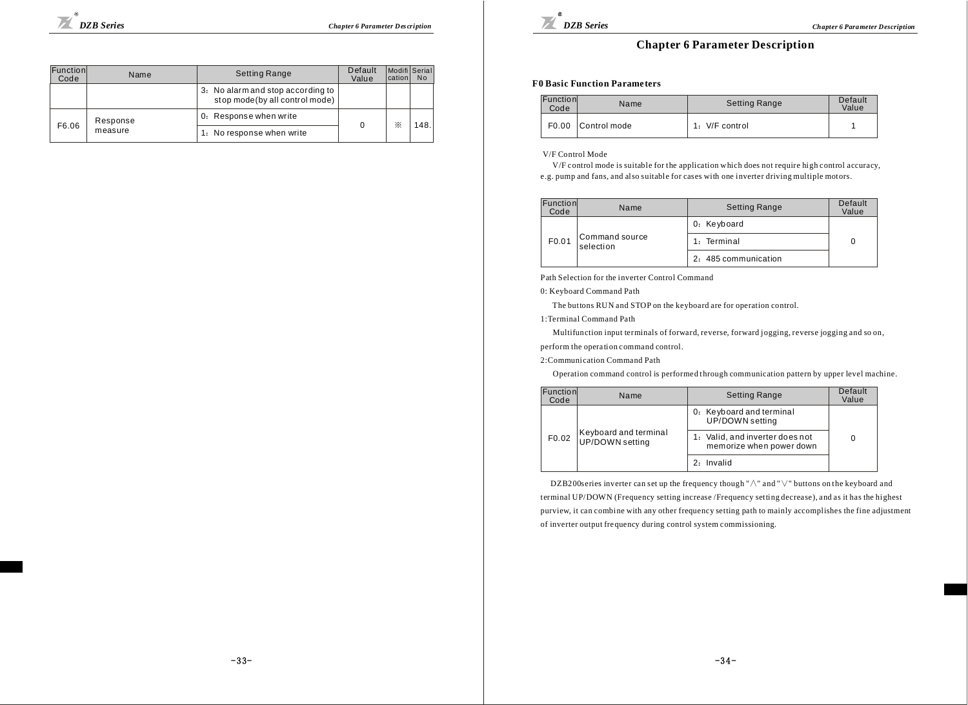| Function<br>Code | Name     | Setting Range                                                       | Default<br>Value | cation | Modifi Serial<br><b>No</b> |
|------------------|----------|---------------------------------------------------------------------|------------------|--------|----------------------------|
|                  |          | 3. No alarm and stop according to<br>stop mode(by all control mode) |                  |        |                            |
|                  | Response | 0: Response when write                                              |                  | ⋇      |                            |
| F6.06            | measure  | 1. No response when write                                           | $\Omega$         |        | 148.                       |



## **Chapter 6 Parameter Description**

#### **F0 Basic Function Parame ters**

| Function<br>Code | Name               | <b>Setting Range</b> | Default<br>Value |
|------------------|--------------------|----------------------|------------------|
|                  | F0.00 Control mode | 1: V/F control       |                  |

V/F Control Mode

V/F c ontrol mode is suitable for the application w hich does not require hi gh c ontrol accuracy, e.g. pump and fans, and also suitable for cases with one inverter driving multiple motors.

| Function<br>Code | Name                        | <b>Setting Range</b> | Default<br>Value |
|------------------|-----------------------------|----------------------|------------------|
|                  | Command source<br>selection | 0: Keyboard          |                  |
| F0.01            |                             | 1: Terminal          |                  |
|                  |                             | 2: 485 communication |                  |

Path Selection for the inverter Control Command

0: Keyboard Command Path

The buttons RUN and STOP on the keyboard are for operation control.

1:Terminal Command Path

Multifunction input terminals of forward, reverse, forward jogging, reverse jogging and so on,

perform the operation command control.

2:Communication Command Path

Operation command control is performed through communication pattern by upper level machine.

| Function<br>Code | Name                                     | <b>Setting Range</b>                                        | Default<br>Value |
|------------------|------------------------------------------|-------------------------------------------------------------|------------------|
|                  |                                          | 0: Keyboard and terminal<br>UP/DOWN setting                 |                  |
| F0.02            | Keyboard and terminal<br>UP/DOWN setting | 1: Valid, and inverter does not<br>memorize when power down |                  |
|                  |                                          | 2: Invalid                                                  |                  |

DZB200series inverter can set up the frequency though "  $\wedge$  " and "  $\vee$  " buttons on the keyboard and terminal UP/DOWN (Frequency setting increase /Frequency setting decrease), and as it has the highest purview, it can combine with any other frequency setting path to mainly accomplishes the fine adjustment of inverter output fre quency during control system c ommissioning.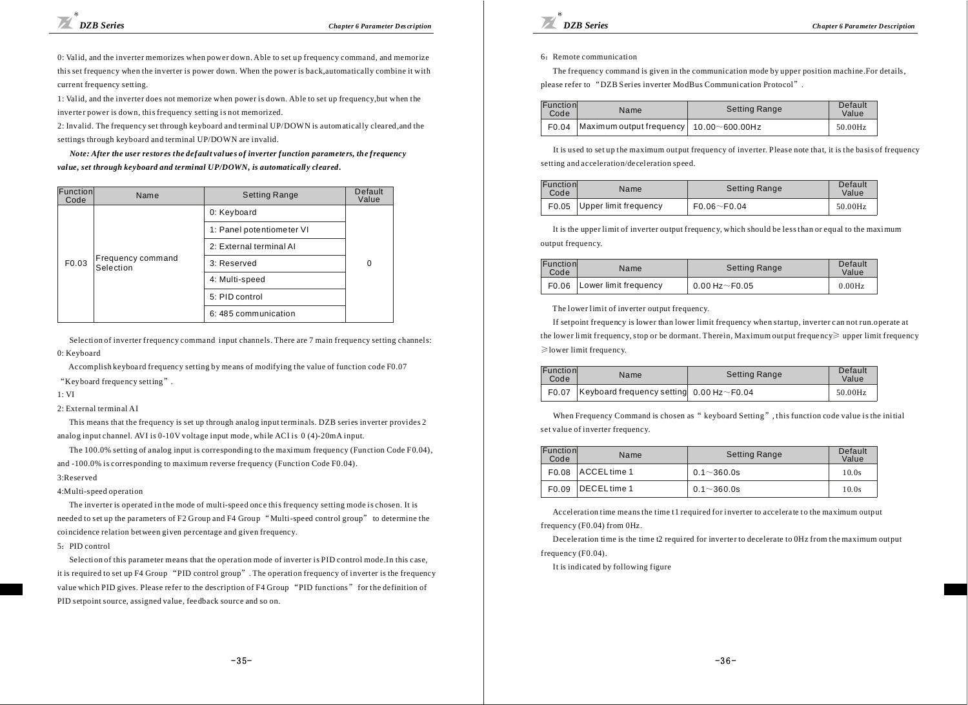0: Valid, and the inverter memorizes when power down. Able to set up frequency command, and memorize this set frequency when the inverter is power down. When the power is back,automatically combine it with current frequency setting.

1: Valid, and the inverter does not memorize when power i s down. Able to set up frequency,but when the inverter power is down, this frequency setting is not memorized.

2: Invalid. The frequency set through keyboard and terminal UP/DOWN is automatically cleared,and the settings through keyboard and terminal UP/DOWN are invalid.

*Note: After the user restores the default value s of inverter function paramete rs, the frequency value, set through keyboard and terminal UP/DOWN, is automatically cleared.*

| Function<br>Code | Name                           | <b>Setting Range</b>      | Default<br>Value |
|------------------|--------------------------------|---------------------------|------------------|
|                  |                                | 0: Keyboard               |                  |
|                  |                                | 1: Panel potentiometer VI |                  |
|                  |                                | 2: External terminal AI   |                  |
| F0.03            | Frequency command<br>Selection | 3: Reserved               | $\Omega$         |
|                  |                                | 4: Multi-speed            |                  |
|                  |                                | 5: PID control            |                  |
|                  |                                | 6: 485 communication      |                  |

Selection of inverter frequency command input channels. There are 7 main frequency setting channels: 0: Keyboard

Ac complish keyboard frequency setting by me ans of modifying the value of function code F0.07 "Keyboard frequency setting".

#### 1: VI

#### 2: External terminal AI

This means that the frequency is set up through analog input terminals. DZB series inverter provides 2 analog input channel. AVI is 0-10V voltage input mode, while ACI is 0 (4)-20mA input.

The  $100.0\%$  setting of analog input is corresponding to the maximum frequency (Function Code F0.04), and -100.0% is corresponding to maximum reverse frequency (Function Code F0.04).

#### 3:Reserved

#### 4:Multi-speed operation

The inverter is operated in the mode of multi-speed once this frequency setting mode is chosen. It is needed to set up the parameters of F2 Group and F4 Group "Multi-speed control group" to determine the coi ncidence relation between given pe rcentage and given frequency.

#### 5: PID control

Selection of this parameter means that the operation mode of inverter is PID control mode.In this case, it is required to set up F4 Group "PID control group". The operation frequency of inverter is the frequency value which PID gives. Please refer to the description of F4 Group "PID functions" for the definition of PID setpoint source, assigned value, fee dback source and so on.



#### 6: Remote communication

The frequency command is given in the communication mode by upper position machine.For details, please refer to "DZB Series inverter ModBus Communication Protocol".

| Function<br>Code | Name                                                    | <b>Setting Range</b> | Default<br>Value |  |
|------------------|---------------------------------------------------------|----------------------|------------------|--|
|                  | F0.04 $\vert$ Maximum output frequency   10.00~600.00Hz |                      | 50.00Hz          |  |

It is used to set up the maximum output frequency of inverter. Please note that, it is the basis of frequency setting and acceleration/de celeration speed.

| Function<br>Code | Name                        | <b>Setting Range</b> | Default<br>Value |
|------------------|-----------------------------|----------------------|------------------|
|                  | F0.05 Upper limit frequency | $F0.06 \sim F0.04$   | 50.00Hz          |

It is the upper limit of inverter output frequency, which should be less than or equal to the maximum output frequency.

| Function<br>Code | Name                        | <b>Setting Range</b>   | Default<br><b>Value</b> |
|------------------|-----------------------------|------------------------|-------------------------|
|                  | F0.06 Lower limit frequency | $0.00$ Hz $\sim$ F0.05 | 0.00Hz                  |

The lower limit of inverter output frequency.

If setpoint frequency is lower than lower limit frequency when startup, inverter can not run.operate at the lower limit frequency, stop or be dormant. Therein, Maximum output frequency $\geqslant$  upper limit frequency ≥lower limit frequency.

| Function<br>Code | Name                                           | <b>Setting Range</b> | Default<br>Value |
|------------------|------------------------------------------------|----------------------|------------------|
|                  | F0.07 Keyboard frequency setting 0.00 Hz~F0.04 |                      | 50.00Hz          |

When Frequency Command is chosen as "keyboard Setting", this function code value is the initial set value of inverter frequency.

| Function<br>Code | Name                 | <b>Setting Range</b> | Default<br>Value |
|------------------|----------------------|----------------------|------------------|
|                  | F0.08 ACCEL time 1   | $0.1 \sim 360.0$ s   | 10.0s            |
|                  | F0.09   DECEL time 1 | $0.1 \sim 360.0$ s   | 10.0s            |

Acceleration time means the time t1 required for inverter to accelerate to the maximum output frequency (F0.04) from 0Hz.

Deceleration time is the time t2 required for inverter to decelerate to 0Hz from the maximum output frequency (F0.04).

It is indicated by following figure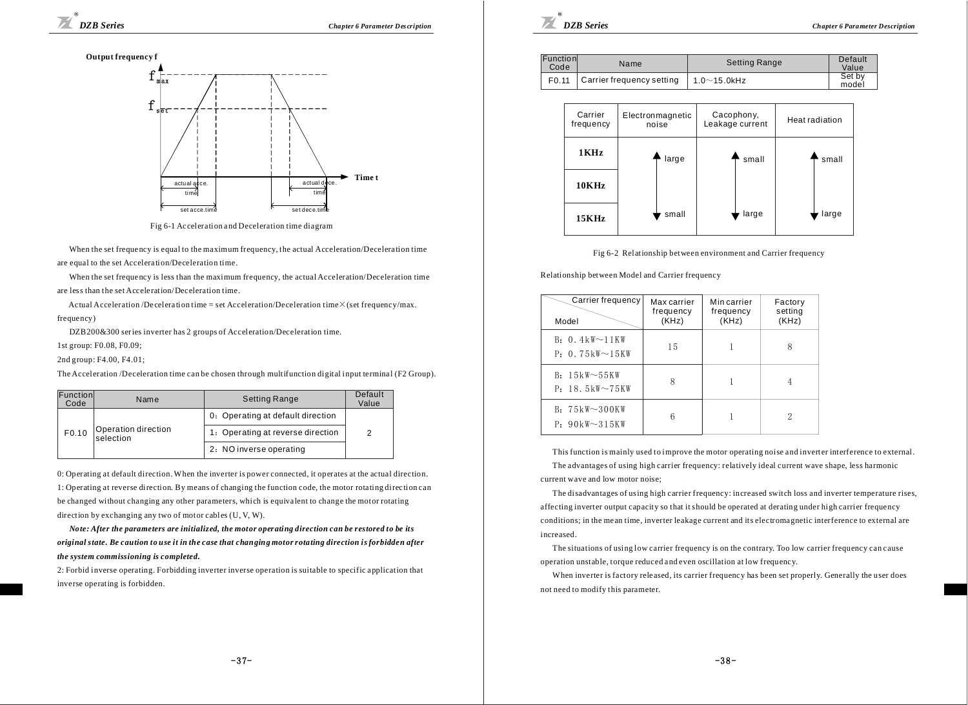*DZB Series Cha pter 6 Parameter D es cription*





Fig 6-1 Acceleration and Deceleration time diagram

When the set frequency is equal to the maximum frequency, the actual Acceleration/Deceleration time are equal to the set Acceleration/Deceleration time.

When the set freque ncy is less than the maximum frequency, the actual Acceleration/Deceleration time

are less than the set Acceleration/Deceleration time.

Actual Acceleration /Deceleration time = set Acceleration/Deceleration time $\times$  (set frequency/max. freque ncy )

DZB200&300 series inverter has 2 groups of Acceleration/Deceleration time.

1st group: F0.08, F0.09;

2nd group: F4.00, F4.01;

The Acceleration /Deceleration time can be chosen through multifunction digital input terminal (F2 Group).

| Function<br>Code | Name                             | Setting Range                     | Default<br>Value |
|------------------|----------------------------------|-----------------------------------|------------------|
|                  |                                  | 0: Operating at default direction |                  |
| F0.10            | Operation direction<br>selection | 1: Operating at reverse direction |                  |
|                  |                                  | 2: NO inverse operating           |                  |

0: Operating at default di rection. When the inverter is power connected, it operates at the actual direction. 1: Operating at reverse direction. By means of changing the function code, the motor rotating direction can be changed without changing any other parameters, which is equivalent to change the motor rotating direction by exchanging any two of motor cables (U, V, W).

*Note: After the parameters are initialized, the motor operating direction can be restored to be its original state. Be caution to use it in the case that changing motor rotating direction is forbidden after the system commissioning is completed.*

2: Forbid inverse operating. Forbidding inverter inverse operation is suitable to specific application that inverse operating is forbidden.



| Function<br>Code | Name                      | <b>Setting Range</b> | Default<br>Value |
|------------------|---------------------------|----------------------|------------------|
| F0.11            | Carrier frequency setting | $1.0 \sim 15.0$ kHz  | Set by<br>model  |

| Carrier<br>frequency | Electronmagnetic<br>noise | Cacophony,<br>Leakage current | <b>Heat radiation</b> |
|----------------------|---------------------------|-------------------------------|-----------------------|
| 1 KH z               | large                     | small                         | small                 |
| 10KHz                |                           |                               |                       |
| 15KHz                | small                     | large                         | large                 |

Fig 6-2 Relationship between environment and Carrier frequency

Relationship between Model and Carrier frequency

| Carrier frequency<br>Model                    | Max carrier<br>frequency<br>(KHz) | Min carrier<br>frequency<br>(KHz) | Factory<br>setting<br>(KHz) |
|-----------------------------------------------|-----------------------------------|-----------------------------------|-----------------------------|
| $B: 0.4kW \sim 11KW$<br>$P: 0.75kW \sim 15KW$ | 15                                |                                   | 8                           |
| B: $15kW \sim 55KW$<br>$P: 18.5kW \sim 75kW$  | 8                                 |                                   |                             |
| B: 75kW~300KW<br>$P: 90kW \sim 315KW$         | 6                                 |                                   | 2                           |

This function is mainly used to improve the motor operating noise and inverter interference to external. The a dvantages of using high carrier frequency: relatively ideal current wave shape, less harmonic current wave and low motor noise;

The disadvantages of using high carrier frequency: increased switch loss and inverter temperature rises, affecting inverter output capacity so that it should be operated at derating under high carrier frequency conditions; in the me an time, inverter leakage current and its electromagnetic interference to external are increased.

The situations of using low carrier frequency is on the contrary. Too low carrier frequency can cause operation unstable, torque reduced and even oscillation at low frequency.

When inverter is factory released, its carrier frequency has been set properly. Generally the user does not need to modify this parameter.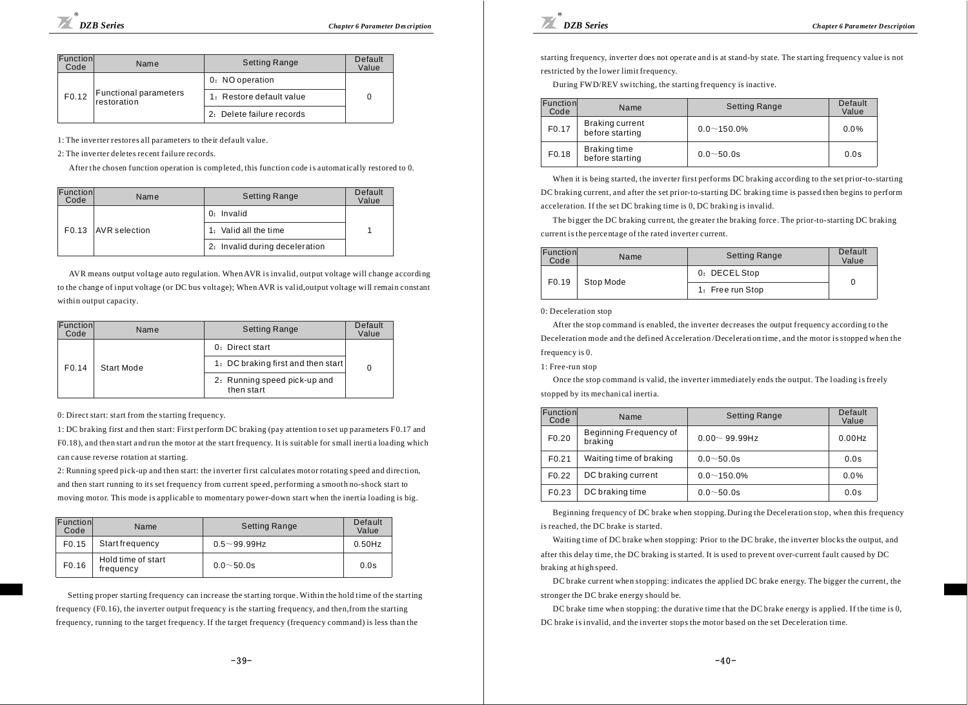| Function<br>Code | Name                                 | <b>Setting Range</b>      | Default<br>Value |
|------------------|--------------------------------------|---------------------------|------------------|
|                  |                                      | 0: NO operation           |                  |
| F0.12            | Functional parameters<br>restoration | 1: Restore default value  |                  |
|                  |                                      | 2. Delete failure records |                  |

1: The inverter restores all parameters to their default value.

2: The inve rter deletes recent failu re records.

After the chosen function operation is completed, this function code is automatically restored to 0.

| Function<br>Code | Name                | <b>Setting Range</b>           | Default<br>Value |
|------------------|---------------------|--------------------------------|------------------|
|                  |                     | $0:$ Invalid                   |                  |
|                  | F0.13 AVR selection | 1: Valid all the time          |                  |
|                  |                     | 2. Invalid during deceleration |                  |

AVR means output voltage auto regulation. When AVR is invalid, output voltage will change according to the change of input voltage (or DC bus voltage); When AVR is valid,output voltage will remain constant within output capacity.

| Function<br>Code | Name       | <b>Setting Range</b>                       | Default<br>Value |
|------------------|------------|--------------------------------------------|------------------|
|                  |            | $0.$ Direct start                          |                  |
| F0.14            | Start Mode | 1: DC braking first and then start         |                  |
|                  |            | 2: Running speed pick-up and<br>then start |                  |

0: Direct start: start from the starting frequency.

1: DC braking first and then start: First perform DC braking (pay attention to set up parameters F0.17 and F0.18), and then start and run the motor at the start frequency. It is suitable for small inertia loading which can cause reverse rotation at starting.

2: Running speed pick-up and then start: the inverter first calculates motor rotating speed and direction, and then start running to its set frequency from current speed, performing a smooth no-shock start to moving motor. This mode is applicable to momentary power-down start when the inertia loading is big.

| Function<br>Code  | Name                            | <b>Setting Range</b> | Default<br>Value |
|-------------------|---------------------------------|----------------------|------------------|
| F0.15             | Start frequency                 | $0.5 - 99.99$ Hz     | $0.50$ Hz        |
| F <sub>0.16</sub> | Hold time of start<br>frequency | $0.0 - 50.0s$        | 0.0s             |

Setting proper starting frequency can increase the starting torque. Within the hold time of the starting frequency (F0.16), the inverter output frequency is the starting frequency, and then,from the starting frequency, running to the target frequency. If the target frequency (frequency command) is less than the



starting frequency, inverter does not operate and is at stand-by state. The starting frequency value is not restricted by the lower limit frequency.

During FWD/REV switching, the starting frequency is inactive.

| Function<br>Code | Name                                      | <b>Setting Range</b> | Default<br>Value |
|------------------|-------------------------------------------|----------------------|------------------|
| F0.17            | <b>Braking current</b><br>before starting | $0.0 - 150.0\%$      | 0.0%             |
| F0.18            | <b>Braking time</b><br>before starting    | $0.0 - 50.0s$        | 0.0s             |

When it is being started, the inverter first performs DC braking according to the set prior-to-starting DC braking current, and after the set prior-to-starting DC braking time is passed then begins to perform acceleration. If the set DC braking time is 0, DC braking is invalid.

The bigger the DC braking current, the greater the braking force. The prior-to-starting DC braking current is the percentage of the rated inverter current.

| Function<br>Code | Name      | <b>Setting Range</b> | Default<br>Value |
|------------------|-----------|----------------------|------------------|
| F0.19            | Stop Mode | 0: DECEL Stop        |                  |
|                  |           | 1: Free run Stop     |                  |

0: Deceleration stop

After the stop command is enabled, the inverter decreases the output frequency according to the Deceleration mode and the defined Acceleration /Deceleration time, and the motor is stopped when the frequency is 0.

1: Free-run stop

Once the stop command is valid, the inverter immediately ends the output. The loading is freely stopped by its mechanical inertia.

| Function<br>Code | Name                              | <b>Setting Range</b> | Default<br>Value |
|------------------|-----------------------------------|----------------------|------------------|
| F0.20            | Beginning Frequency of<br>braking | $0.00 - 99.99$ Hz    | $0.00$ Hz        |
| F0.21            | Waiting time of braking           | $0.0 \sim 50.0$ s    | 0.0s             |
| F0.22            | DC braking current                | $0.0 - 150.0%$       | 0.0%             |
| F0.23            | DC braking time                   | $0.0 - 50.0s$        | 0.0s             |

Beginning frequency of DC brake when stopping. During the Deceleration stop, when this frequency is reached, the DC brake is started.

Waiting time of DC brake when stopping: Prior to the DC brake, the inverter blocks the output, and after this delay time, the DC braking is started. It is used to prevent over-current fault caused by DC braking at hi gh speed.

DC brake current when stopping: indicates the applied DC brake energy. The bigger the current, the stronger the DC brake energy should be.

DC brake time when stopping: the durative time that the DC brake energy is applied. If the time is  $0$ , DC brake is invalid, and the inverter stops the motor based on the set Deceleration time.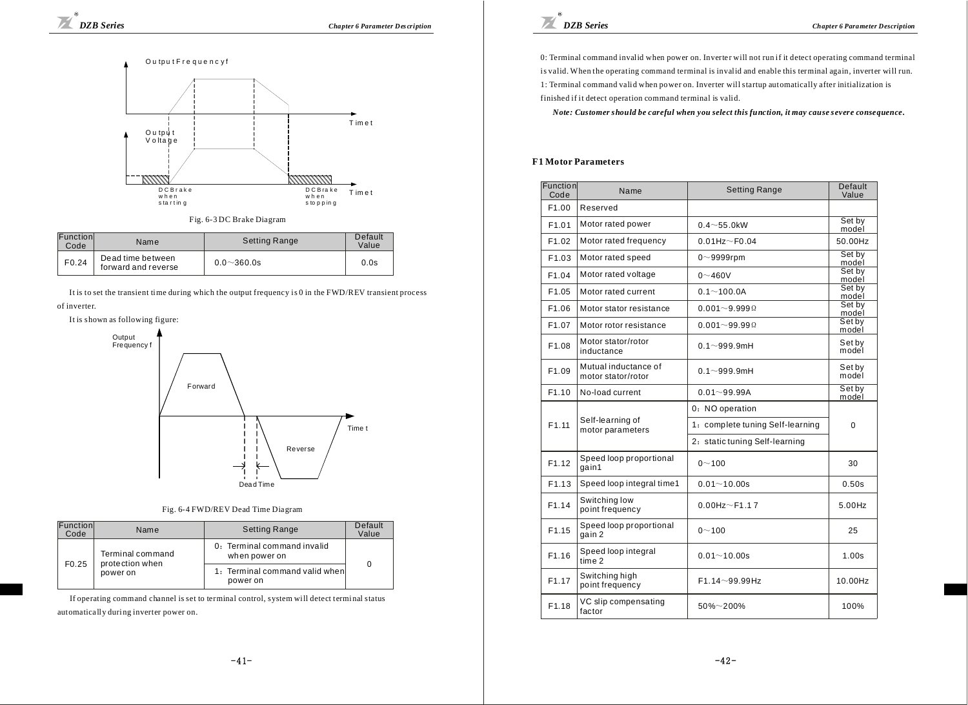

Fig. 6-3 DC Brake Diagram

| Function<br>Code | Name                                     | <b>Setting Range</b> | Default<br>Value |
|------------------|------------------------------------------|----------------------|------------------|
| F0.24            | Dead time between<br>forward and reverse | $0.0 - 360.0s$       | 0.0s             |

It is to set the transient time during which the output frequency is 0 in the FWD/REV transient process of inverter.



#### Fig. 6-4 FWD/REV Dead Time Dia gram

| Function<br>Code | Name                                | <b>Setting Range</b>                         | Default<br>Value |
|------------------|-------------------------------------|----------------------------------------------|------------------|
|                  | Terminal command<br>protection when | 0: Terminal command invalid<br>when power on |                  |
| F0.25            | power on                            | 1: Terminal command valid when<br>power on   |                  |

If operating command channel is set to terminal control, system will detect terminal status aut omaticall y duri ng inverter power on.

 $60$ 

0: Terminal command invalid when power on. Inverter will not run if it detect operating command terminal is valid. When the operating command terminal is invalid and enable this terminal again, inverter will run. 1: Terminal command valid when power on. Inverter will startup aut omatically after initialization is finished if it detect operation command terminal is valid.

*Note: Customer should be careful when you select this function, it may cause severe conse quence.*

#### **F1 Mo tor Parameters**

| Function<br>Code  | Name                                       | <b>Setting Range</b>             | Default<br>Value |
|-------------------|--------------------------------------------|----------------------------------|------------------|
| F1.00             | Reserved                                   |                                  |                  |
| F1.01             | Motor rated power                          | $0.4 - 55.0$ kW                  | Set by<br>model  |
| F1.02             | Motor rated frequency                      | $0.01Hz \sim$ F0.04              | 50.00Hz          |
| F1.03             | Motor rated speed                          | $0\neg 9999$ rpm                 | Set by<br>model  |
| F1.04             | Motor rated voltage                        | $0 - 460V$                       | Set by<br>model  |
| F1.05             | Motor rated current                        | $0.1 - 100.0A$                   | Set by<br>model  |
| F1 06             | Motor stator resistance                    | $0.001 - 9.999\Omega$            | Set by<br>model  |
| F1.07             | Motor rotor resistance                     | $0.001 - 99.99\Omega$            | Set by<br>model  |
| F1.08             | Motor stator/rotor<br>inductance           | $0.1 - 999.9$ mH                 | Set by<br>model  |
| F1.09             | Mutual inductance of<br>motor stator/rotor | $0.1 - 999.9$ mH                 | Set by<br>model  |
| F1.10             | No-load current                            | $0.01 - 99.99A$                  | Set by<br>model  |
|                   |                                            | 0: NO operation                  |                  |
| F1.11             | Self-learning of<br>motor parameters       | 1: complete tuning Self-learning | $\Omega$         |
|                   |                                            | 2: static tuning Self-learning   |                  |
| F1 12             | Speed loop proportional<br>gain1           | $0 - 100$                        | 30               |
| F <sub>1.13</sub> | Speed loop integral time1                  | $0.01 - 10.00s$                  | 0.50s            |
| F1.14             | Switching low<br>point frequency           | $0.00Hz \sim$ F1.17              | 5.00Hz           |
| F1.15             | Speed loop proportional<br>gain 2          | $0 - 100$                        | 25               |
| F1.16             | Speed loop integral<br>time 2              | $0.01 - 10.00s$                  | 1.00s            |
| F1.17             | Switching high<br>point frequency          | $F1.14 - 99.99$ Hz               | 10.00Hz          |
| F1.18             | VC slip compensating<br>factor             | $50\% - 200\%$                   | 100%             |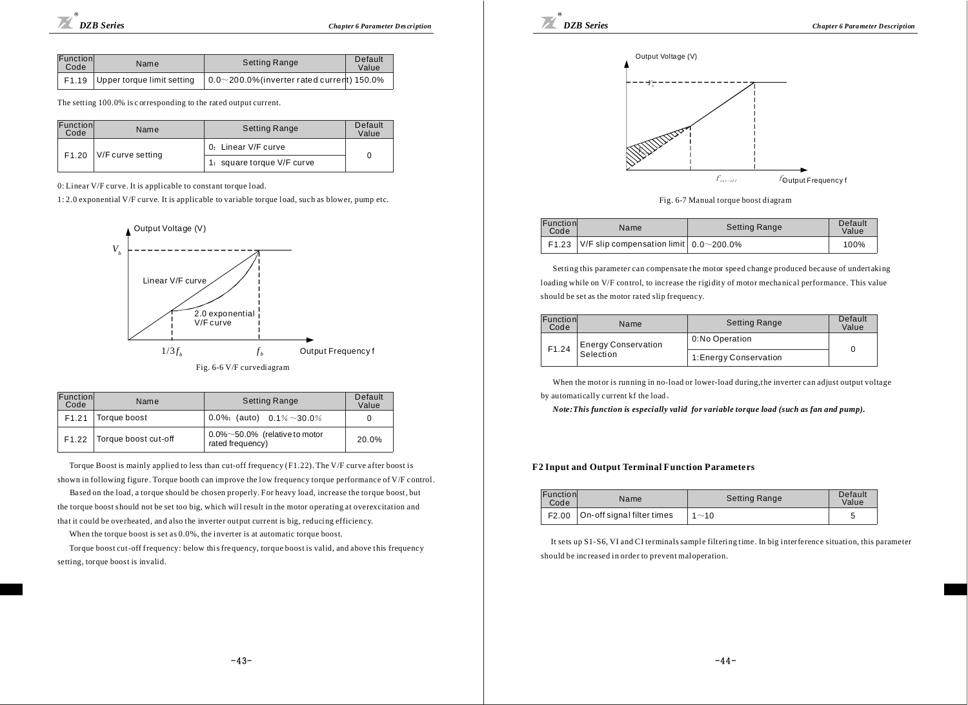| Function<br>Code | Name | Setting Range                                                                               | Default<br>Value |
|------------------|------|---------------------------------------------------------------------------------------------|------------------|
|                  |      | $\vert$ F1.19 Upper torque limit setting $\vert$ 0.0~200.0% (inverter rated current) 150.0% |                  |

The setting 100.0% is corresponding to the rated output current.

| Function<br>Code | Name              | <b>Setting Range</b>       | Default<br>Value |
|------------------|-------------------|----------------------------|------------------|
| F1.20            | V/F curve setting | 0: Linear V/F curve        |                  |
|                  |                   | 1: square torque V/F curve |                  |

0: Linear V/F curve. It is applicable to constant torque load.

1: 2.0 exponential V/F curve. It is applicable to variable torque load, such as blower, pump etc.



|  |  |  | Fig. 6-6 V/F curvediagram |  |  |
|--|--|--|---------------------------|--|--|
|--|--|--|---------------------------|--|--|

| Function<br>Code | Name                 | <b>Setting Range</b>                                  | Default<br>Value |
|------------------|----------------------|-------------------------------------------------------|------------------|
| F1.21            | Torque boost         | 0.0%: (auto) $0.1\% \sim 30.0\%$                      |                  |
| F1.22            | Torque boost cut-off | $0.0\%$ ~50.0% (relative to motor<br>rated frequency) | 20.0%            |

Torque Boost is mainly applied to less than cut-off frequency (F1.22). The V/F curve after boost is shown in following figure. Torque booth can improve the low frequency torque performance of V/F control.

Based on the load, a torque should be chosen properly. For heavy load, increase the torque boost, but

the torque boost should not be set too big, which will result in the motor operating at overexcitation and that it could be overheated, and also the inverter output current is big, reducing efficiency.

When the torque boost is set as 0.0%, the inverter is at automatic torque boost.

Torque boost cut-off frequency: below this frequency, torque boost is valid, and above this frequency setting, torque boost is invalid.

*DZB Series Chapter 6 Parameter Description*



Fig. 6-7 Manual torque boost diagram

| Function<br>Code | Name                                                   | <b>Setting Range</b> | Default<br>Value |
|------------------|--------------------------------------------------------|----------------------|------------------|
|                  | F1.23   V/F slip compensation limit $0.0 \sim 200.0\%$ |                      | 100%             |

Setting this parameter can compensate the motor speed change produced because of undertaking loading while on V/F control, to increase the rigidity of motor mechanical performance. This value should be set as the motor rated slip frequency.

| Function<br>Code | Name                             | <b>Setting Range</b>   | Default<br>Value |
|------------------|----------------------------------|------------------------|------------------|
| F1.24            |                                  | 0: No Operation        |                  |
|                  | Energy Conservation<br>Selection | 1: Energy Conservation |                  |

When the motor is running in no-load or lower-load during, the inverter can adjust output voltage by automatically c urrent kf the load。

*Note:This function is especi ally valid for variable torque load (such as fan and pump).*

#### **F2 Input and Output Terminal Function Parameters**

| Function<br>Code | Name                               | <b>Setting Range</b> | Default<br>Value |
|------------------|------------------------------------|----------------------|------------------|
|                  | F2.00   On-off signal filter times | $1 - 10$             |                  |

It sets up S1-S6, VI and CI terminals sample filtering time. In big interference situation, this parameter should be increased in order to prevent mal operation.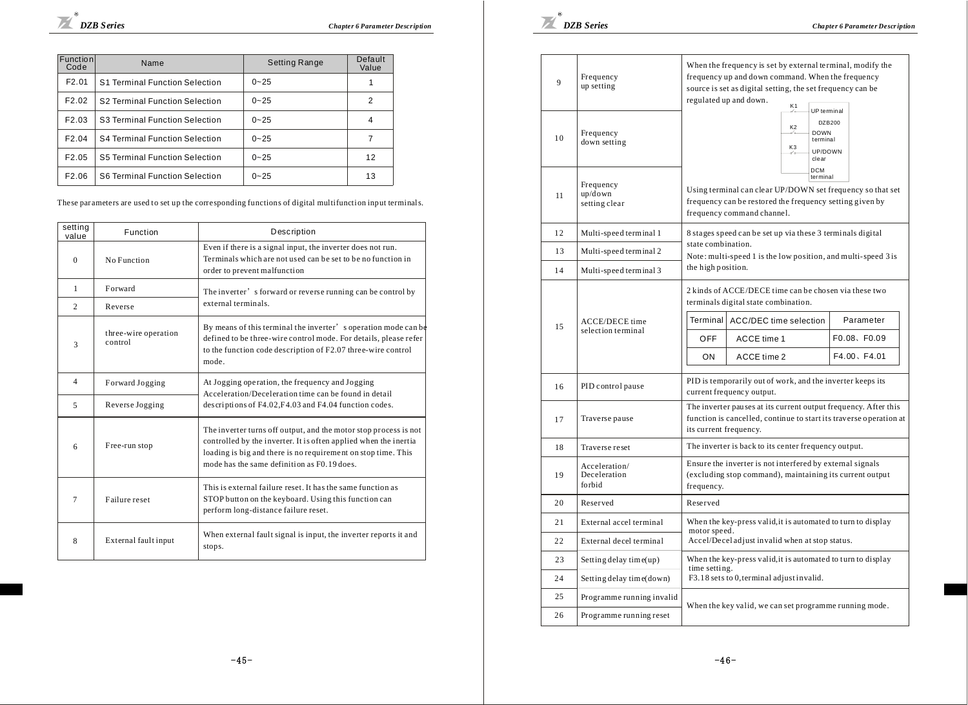| Function<br>Code  | Name                           | Setting Range | Default<br>Value |
|-------------------|--------------------------------|---------------|------------------|
| F <sub>2.01</sub> | S1 Terminal Function Selection | $0 - 25$      |                  |
| F <sub>2.02</sub> | S2 Terminal Function Selection | $0 - 25$      | $\overline{2}$   |
| F <sub>2.03</sub> | S3 Terminal Function Selection | $0 - 25$      | 4                |
| F <sub>2.04</sub> | S4 Terminal Function Selection | $0 - 25$      |                  |
| F <sub>2.05</sub> | S5 Terminal Function Selection | $0 - 25$      | 12               |
| F <sub>2.06</sub> | S6 Terminal Function Selection | $0 - 25$      | 13               |

The se par ameters are used to set up the corresponding functions of digital multifunction input terminals.

| setting<br>value | Function                        | Description                                                                                                                                                                                                                                          |
|------------------|---------------------------------|------------------------------------------------------------------------------------------------------------------------------------------------------------------------------------------------------------------------------------------------------|
| $\Omega$         | No Function                     | Even if there is a signal input, the inverter does not run.<br>Terminals which are not used can be set to be no function in<br>order to prevent malfunction                                                                                          |
| 1                | Forward                         | The inverter's forward or reverse running can be control by                                                                                                                                                                                          |
| $\overline{c}$   | Reverse                         | external terminals.                                                                                                                                                                                                                                  |
| 3                | three-wire operation<br>control | By means of this terminal the inverter' s operation mode can be<br>defined to be three-wire control mode. For details, please refer<br>to the function code description of F2.07 three-wire control<br>mode.                                         |
| $\overline{4}$   | Forward Jogging                 | At Jogging operation, the frequency and Jogging<br>Acceleration/Deceleration time can be found in detail                                                                                                                                             |
| 5                | Reverse Jogging                 | descriptions of F4.02, F4.03 and F4.04 function codes.                                                                                                                                                                                               |
| 6                | Free-run stop                   | The inverter turns off output, and the motor stop process is not<br>controlled by the inverter. It is often applied when the inertia<br>loading is big and there is no requirement on stop time. This<br>mode has the same definition as F0.19 does. |
| $\tau$           | Failure reset                   | This is external failure reset. It has the same function as<br>STOP button on the keyboard. Using this function can<br>perform long-distance failure reset.                                                                                          |
| 8                | External fault input            | When external fault signal is input, the inverter reports it and<br>stops.                                                                                                                                                                           |



| 9  | Frequency<br>up setting                     |                                                                                                                                                                 | When the frequency is set by external terminal, modify the<br>frequency up and down command. When the frequency<br>source is set as digital setting, the set frequency can be<br>regulated up and down.<br>K1<br>UP terminal |              |
|----|---------------------------------------------|-----------------------------------------------------------------------------------------------------------------------------------------------------------------|------------------------------------------------------------------------------------------------------------------------------------------------------------------------------------------------------------------------------|--------------|
| 10 | Frequency<br>down setting                   |                                                                                                                                                                 | K2<br><b>DOWN</b><br>terminal<br>K3<br><b>UP/DOWN</b><br>clear                                                                                                                                                               | DZB200       |
| 11 | Frequency<br>up/down<br>setting clear       |                                                                                                                                                                 | <b>DCM</b><br>terminal<br>Using terminal can clear UP/DOWN set frequency so that set<br>frequency can be restored the frequency setting given by<br>frequency command channel.                                               |              |
| 12 | Multi-speed terminal 1                      |                                                                                                                                                                 | 8 stages speed can be set up via these 3 terminals digital                                                                                                                                                                   |              |
| 13 | Multi-speed terminal 2                      | state combination.<br>Note: multi-speed 1 is the low position, and multi-speed 3 is                                                                             |                                                                                                                                                                                                                              |              |
| 14 | Multi-speed terminal 3                      | the high position.                                                                                                                                              |                                                                                                                                                                                                                              |              |
|    |                                             |                                                                                                                                                                 | 2 kinds of ACCE/DECE time can be chosen via these two<br>terminals digital state combination.                                                                                                                                |              |
| 15 | <b>ACCE/DECE</b> time<br>selection terminal | Terminal                                                                                                                                                        | ACC/DEC time selection                                                                                                                                                                                                       | Parameter    |
|    |                                             | OFF                                                                                                                                                             | ACCE time 1                                                                                                                                                                                                                  | F0.08、F0.09  |
|    |                                             | ON                                                                                                                                                              | ACCE time 2                                                                                                                                                                                                                  | F4.00 \F4.01 |
| 16 | PID control pause                           | PID is temporarily out of work, and the inverter keeps its<br>current frequency output.                                                                         |                                                                                                                                                                                                                              |              |
| 17 | Traverse pause                              | The inverter pauses at its current output frequency. After this<br>function is cancelled, continue to start its traverse operation at<br>its current frequency. |                                                                                                                                                                                                                              |              |
| 18 | Traverse reset                              | The inverter is back to its center frequency output.                                                                                                            |                                                                                                                                                                                                                              |              |
|    |                                             |                                                                                                                                                                 |                                                                                                                                                                                                                              |              |
| 19 | Acceleration/<br>Deceleration<br>forbid     | frequency.                                                                                                                                                      | Ensure the inverter is not interfered by external signals<br>(excluding stop command), maintaining its current output                                                                                                        |              |
| 20 | Reserved                                    | Reserved                                                                                                                                                        |                                                                                                                                                                                                                              |              |
| 21 | External accel terminal                     |                                                                                                                                                                 | When the key-press valid, it is automated to turn to display                                                                                                                                                                 |              |
| 22 | External decel terminal                     | motor speed.                                                                                                                                                    | Accel/Decel adjust invalid when at stop status.                                                                                                                                                                              |              |
| 23 | Setting delay time(up)                      |                                                                                                                                                                 | When the key-press valid, it is automated to turn to display                                                                                                                                                                 |              |
| 24 | Setting delay time(down)                    | time setting.                                                                                                                                                   | F3.18 sets to 0, terminal adjust invalid.                                                                                                                                                                                    |              |
| 25 | Programme running invalid                   |                                                                                                                                                                 | When the key valid, we can set programme running mode.                                                                                                                                                                       |              |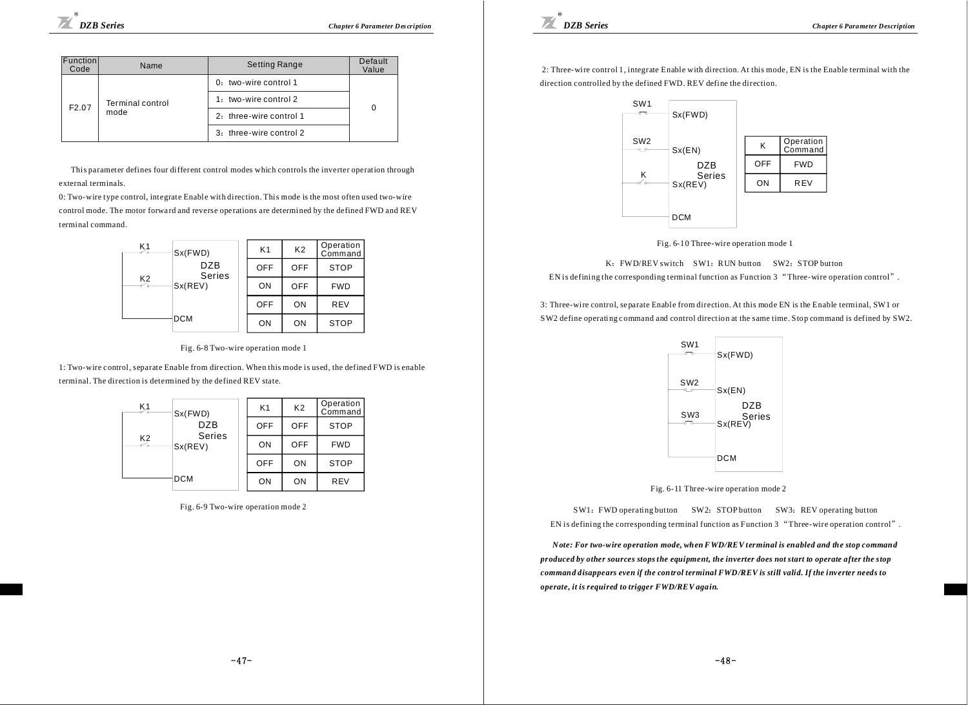| Function<br>Code | Name                            | <b>Setting Range</b>    | Default<br>Value |
|------------------|---------------------------------|-------------------------|------------------|
| F2.07            | <b>Terminal control</b><br>mode | 0: two-wire control 1   |                  |
|                  |                                 | 1: two-wire control 2   | 0                |
|                  |                                 | 2. three-wire control 1 |                  |
|                  |                                 | 3: three-wire control 2 |                  |

This parameter defines four different control modes which controls the inverter operation through external terminals.

0: Two-wire type control, integrate Enable with direction. This mode is the most often used two-wire control mode. The motor forward and reverse operations are determined by the defined FWD and REV terminal command.

| Ķ1<br>Sx(FWD)             | K <sub>1</sub> | K <sub>2</sub> | Operation<br>Command |
|---------------------------|----------------|----------------|----------------------|
| <b>DZB</b><br>Series      | OFF            | OFF            | <b>STOP</b>          |
| K <sub>2</sub><br>Sx(REV) | ON             | OFF            | <b>FWD</b>           |
|                           | OFF            | ON             | <b>REV</b>           |
| DCM                       | ON             | ON             | <b>STOP</b>          |

Fig. 6-8 Two-wire operation mode 1

1: Two-wire c ontrol, separate Enable from direction. When this mode i s used, the defined FWD is enable terminal. The direction is determined by the defined REV state.

| 51                  | Sx(FWD)           | K <sub>1</sub> | K <sub>2</sub> | Operation<br>Command |
|---------------------|-------------------|----------------|----------------|----------------------|
|                     | <b>DZB</b>        | OFF            | OFF            | <b>STOP</b>          |
| K <sub>2</sub><br>ℱ | Series<br>Sx(REV) | ON             | OFF            | <b>FWD</b>           |
|                     |                   | OFF            | ON             | <b>STOP</b>          |
| <b>DCM</b>          |                   | ON             | ON             | <b>REV</b>           |

Fig. 6-9 Two-wire operation mode 2



2: Three-wire control 1, integrate Enable with direction. At this mode, EN is the Enable terminal with the direction controlled by the defined FWD. REV define the direction.



Fig. 6-10 Three-wire operation mode 1

K: FWD/REV switch SW1: RUN button SW2: STOP button

EN is defining the corresponding terminal function as Function 3 "Three-wire operation control".

3: Three-wi re control, se parate Enable from direction. At this mode EN is the Enable terminal, SW1 or SW2 define operating command and control direction at the same time. Stop command is defined by SW2.



Fig. 6-11 Three-wire operation mode 2

SW1: FWD operating button SW2: STOP button SW3: REV operating button EN is defining the corresponding terminal function as Function 3 "Three-wire operation control".

*N ote: For two-wire operation mode, when FWD/REV terminal is enabled and the stop comman d produced by other sources stops the equipment, the inverter does not start to operate after the stop comman d disappears even if the control terminal FWD/REV is still valid. If the inv erter needs to operate, it is required to trigger FWD/REV again.*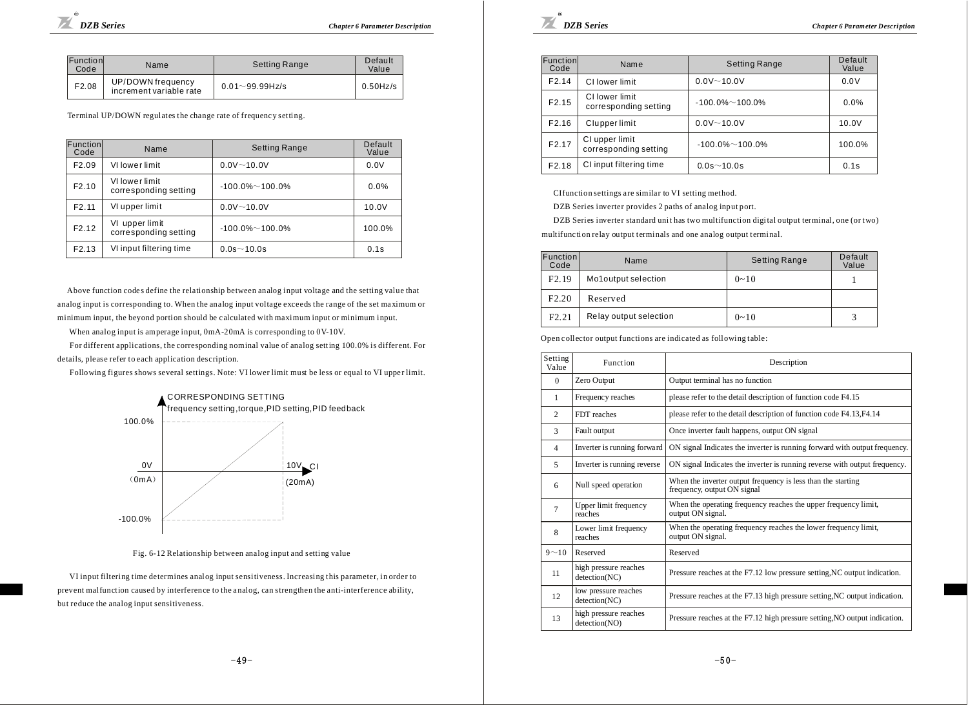| Function<br>Code | Name                                         | Setting Range       | Default<br>Value |
|------------------|----------------------------------------------|---------------------|------------------|
| F2.08            | UP/DOWN frequency<br>increment variable rate | $0.01 - 99.99$ Hz/s | $0.50$ Hz/s      |

Terminal UP/DOWN regulates the change rate of frequency setting.

| Function<br>Code  | Name                                    | <b>Setting Range</b> | Default<br>Value |
|-------------------|-----------------------------------------|----------------------|------------------|
| F <sub>2.09</sub> | VI lower limit                          | $0.0V - 10.0V$       | 0.0V             |
| F2.10             | VI lower limit<br>corresponding setting | $-100.0\%$ ~ 100.0%  | 0.0%             |
| F <sub>2.11</sub> | VI upper limit                          | $0.0V - 10.0V$       | 10.0V            |
| F <sub>2.12</sub> | VI upper limit<br>corresponding setting | $-100.0\%$ ~ 100.0%  | 100.0%           |
| F <sub>2.13</sub> | VI input filtering time                 | $0.0s - 10.0s$       | 0.1s             |

Above function code s define the relationship between analog i nput voltage and the setting value that analog input is corresponding to. When the analog input voltage exceeds the range of the set ma ximum or minimum input, the beyond portion should be calculated with maximum input or minimum input.

When analog input is amperage input, 0mA-20mA is corresponding to 0V-10V.

For different applications, the corresponding nominal value of analog setting 100.0% is different. For details, please refer to each application description.

Following figures shows several settings. Note: VI lower limit must be less or equal to VI upper limit.



Fig. 6-12 Relationship between analog input and setting value

VI input filtering time determines analog input sensitiveness. Increasing this parameter, in order to prevent mal function caused by interference to the a nalog, can strengthen the anti-interference ability, but reduce the analog input sensitiveness.



| Function<br>Code  | Name                                    | Setting Range       | Default<br>Value |
|-------------------|-----------------------------------------|---------------------|------------------|
| F <sub>2.14</sub> | CI lower limit                          | $0.0V - 10.0V$      | 0.0V             |
| F <sub>2.15</sub> | CI lower limit<br>corresponding setting | $-100.0\%$ ~ 100.0% | 0.0%             |
| F2.16             | Clupper limit                           | $0.0V - 10.0V$      | 10.0V            |
| F2.17             | CI upper limit<br>corresponding setting | $-100.0\%$ ~ 100.0% | 100.0%           |
| F2.18             | CI input filtering time                 | $0.0s - 10.0s$      | 0.1s             |

CI function settings are similar to VI setting method.

DZB Series inverter provides 2 paths of analog input port.

DZB Series inverter standard unit has two multifunction digital output terminal, one (or two) multifunction relay output terminals and one analog output terminal.

| Function<br>Code  | Name                   | <b>Setting Range</b> | Default<br>Value |
|-------------------|------------------------|----------------------|------------------|
| F <sub>2.19</sub> | Mo1output selection    | $0 - 10$             |                  |
| F <sub>2.20</sub> | Reserved               |                      |                  |
| F2.21             | Relay output selection | $0 - 10$             |                  |

Open collector output functions are indicated as following table:

| Setting<br>Value        | Function                               | Description                                                                                 |
|-------------------------|----------------------------------------|---------------------------------------------------------------------------------------------|
| $\Omega$                | Zero Output                            | Output terminal has no function                                                             |
| 1                       | Frequency reaches                      | please refer to the detail description of function code F4.15                               |
| $\overline{c}$          | FDT reaches                            | please refer to the detail description of function code F4.13,F4.14                         |
| $\ddot{\mathbf{3}}$     | Fault output                           | Once inverter fault happens, output ON signal                                               |
| $\overline{\mathbf{4}}$ | Inverter is running forward            | ON signal Indicates the inverter is running forward with output frequency.                  |
| 5                       | Inverter is running reverse            | ON signal Indicates the inverter is running reverse with output frequency.                  |
| 6                       | Null speed operation                   | When the inverter output frequency is less than the starting<br>frequency, output ON signal |
| $\overline{7}$          | Upper limit frequency<br>reaches       | When the operating frequency reaches the upper frequency limit,<br>output ON signal.        |
| 8                       | Lower limit frequency<br>reaches       | When the operating frequency reaches the lower frequency limit,<br>output ON signal.        |
| $9 - 10$                | Reserved                               | Reserved                                                                                    |
| 11                      | high pressure reaches<br>detection(NC) | Pressure reaches at the F7.12 low pressure setting, NC output indication.                   |
| 12                      | low pressure reaches<br>detection(NC)  | Pressure reaches at the F7.13 high pressure setting, NC output indication.                  |
| 13                      | high pressure reaches<br>detection(NO) | Pressure reaches at the F7.12 high pressure setting, NO output indication.                  |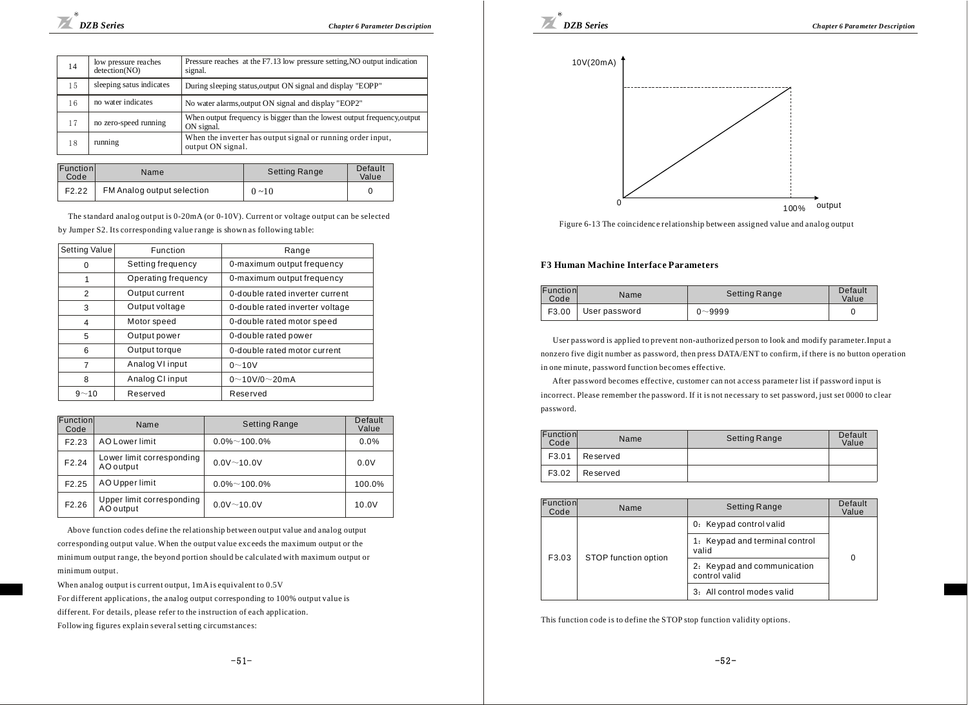| 14 | low pressure reaches<br>detection(NO) | Pressure reaches at the F7.13 low pressure setting, NO output indication<br>signal.    |
|----|---------------------------------------|----------------------------------------------------------------------------------------|
| 15 | sleeping satus indicates              | During sleeping status, output ON signal and display "EOPP"                            |
| 16 | no water indicates                    | No water a larms, output ON signal and display "EOP2"                                  |
| 17 | no zero-speed running                 | When output frequency is bigger than the lowest output frequency, output<br>ON signal. |
| 18 | running                               | When the inverter has output signal or running order input,<br>output ON signal.       |

| Function<br>Code | Name                       | <b>Setting Range</b> | Default<br>Value |
|------------------|----------------------------|----------------------|------------------|
| F2.22            | FM Analog output selection | $0 - 10$             |                  |

The standard analog output is 0-20mA (or 0-10V). Current or voltage output can be selected by Jumper S2. Its corresponding value range is shown as following table:

| Setting Value  | Function            | Range                           |
|----------------|---------------------|---------------------------------|
| 0              | Setting frequency   | 0-maximum output frequency      |
|                | Operating frequency | 0-maximum output frequency      |
| $\overline{2}$ | Output current      | 0-double rated inverter current |
| 3              | Output voltage      | 0-double rated inverter voltage |
| $\overline{4}$ | Motor speed         | 0-double rated motor speed      |
| 5              | Output power        | 0-double rated power            |
| 6              | Output torque       | 0-double rated motor current    |
| $\overline{7}$ | Analog VI input     | $0 - 10V$                       |
| 8              | Analog CI input     | $0 - 10V/0 - 20mA$              |
| $9 - 10$       | Reserved            | Reserved                        |

| Function<br>Code  | Name                                   | <b>Setting Range</b> | Default<br>Value |
|-------------------|----------------------------------------|----------------------|------------------|
| F <sub>2.23</sub> | AO Lower limit                         | $0.0\%$ ~ 100.0%     | 0.0%             |
| F2.24             | Lower limit corresponding<br>AO output | $0.0V - 10.0V$       | 0.0V             |
| F2.25             | AO Upper limit                         | $0.0\%$ ~ 100.0%     | 100.0%           |
| F <sub>2.26</sub> | Upper limit corresponding<br>AO output | $0.0V - 10.0V$       | 10.0V            |

Above function codes define the relationship between output val ue and analog output corresponding output value. When the output value exceeds the maximum output or the minimum output range, the beyond portion should be calculate d wit h maximum output or minimum output.

When analog output is current output, 1mA is equivalent to 0.5V

For different applications, the a nalog output corresponding to 100% output value is

different. For details, please refer to the instruction of each application.

Following figures explain several setting circumstances:

*DZB Series Chapter 6 Parameter Description*



Figure 6-13 The coincidence relationship between assigned value and analog output

#### **F3 Human Machine Interface Parameters**

| Function<br>Code | Name                  | Setting Range | Default<br>Value |
|------------------|-----------------------|---------------|------------------|
|                  | F3.00   User password | $0 - 9999$    |                  |

User pass word is applied to prevent non-authorized person to look and modify parameter. Input a nonzero five digit number as password, then press DATA/ENT to confirm, if there is no button operation in one mi nute, password function becomes effective.

After password becomes effective, customer can not access parameter list if password input is incorrect. Please remember the passw ord. If it is not necessary to set password, just set 0000 to clear password.

| Function<br>Code | Name     | Setting Range | Default<br>Value |
|------------------|----------|---------------|------------------|
| F3.01            | Reserved |               |                  |
| F3.02            | Reserved |               |                  |

| Function<br>Code | Name                    | Setting Range                                | Default<br>Value |
|------------------|-------------------------|----------------------------------------------|------------------|
| F3.03            | 0: Keypad control valid |                                              |                  |
|                  | STOP function option    | 1: Keypad and terminal control<br>valid      | $\Omega$         |
|                  |                         | 2. Keypad and communication<br>control valid |                  |
|                  |                         | 3: All control modes valid                   |                  |

This function code is to define the STOP stop function validity options.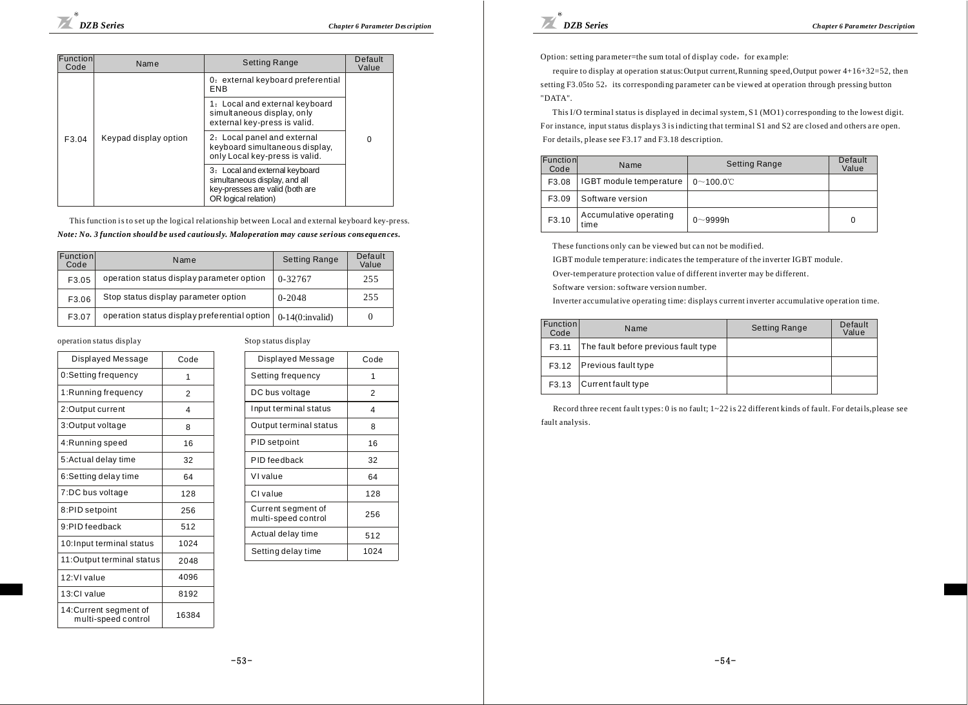| Function<br>Code | Name                  | <b>Setting Range</b>                                                                                                       | Default<br>Value |
|------------------|-----------------------|----------------------------------------------------------------------------------------------------------------------------|------------------|
| F3.04            | Keypad display option | 0: external keyboard preferential<br>ENB                                                                                   |                  |
|                  |                       | 1: Local and external keyboard<br>simultaneous display, only<br>external key-press is valid.                               |                  |
|                  |                       | 2: Local panel and external<br>keyboard simultaneous display,<br>only Local key-press is valid.                            | $\Omega$         |
|                  |                       | 3: Local and external keyboard<br>simultaneous display, and all<br>key-presses are valid (both are<br>OR logical relation) |                  |

This function is to set up the logical relationship between Local and external keyboard key-press.

*Note: No. 3 function should be used cautiou sly. Maloperation may cause seri ous consequences.*

| Function<br>Code | Name                                                           | <b>Setting Range</b> | Default<br>Value |
|------------------|----------------------------------------------------------------|----------------------|------------------|
| F3.05            | operation status display parameter option                      | 0-32767              | 255              |
| F3.06            | Stop status display parameter option                           | $0 - 2048$           | 255              |
| F3.07            | operation status display preferential option   0-14(0:invalid) |                      | 0                |

#### operation status display Stop status display

| operatron status urspia y                     |                |
|-----------------------------------------------|----------------|
| Displayed Message                             | Code           |
| 0:Setting frequency                           | 1              |
| 1: Running frequency                          | $\overline{2}$ |
| 2:Output current                              | 4              |
| 3:Output voltage                              | 8              |
| 4: Running speed                              | 16             |
| 5:Actual delay time                           | 32             |
| 6:Setting delay time                          | 64             |
| 7:DC bus voltage                              | 128            |
| 8:PID setpoint                                | 256            |
| 9:PID feedback                                | 512            |
| 10: Input terminal status                     | 1024           |
| 11: Output terminal status                    | 2048           |
| 12:VI value                                   | 4096           |
| 13:Cl value                                   | 8192           |
| 14: Current segment of<br>multi-speed control | 16384          |
|                                               |                |

| Displayed Message                         | Code           |
|-------------------------------------------|----------------|
| Setting frequency                         |                |
| DC bus voltage                            | $\overline{2}$ |
| Input terminal status                     | 4              |
| Output terminal status                    | 8              |
| PID setpoint                              | 16             |
| PID feedback                              | 32             |
| VI value                                  | 64             |
| Cl value                                  | 128            |
| Current segment of<br>multi-speed control | 256            |
| Actual delay time                         | 512            |
| Setting delay time                        | 1024           |



Option: setting parameter=the sum total of display code, for example:

require to display at operation status: Output current, Running speed, Output power 4+16+32=52, then setting F3.05to 52, its corresponding parameter can be viewed at operation through pressing button "DATA".

This I/O terminal status is displayed in decimal system, S 1 (MO1) corresponding to the lowest digit. For instance, input status displays 3 is indicting that terminal S1 and S2 are closed and others are open. For details, please see F3.17 and F3.18 description.

| Function<br>Code | Name                           | <b>Setting Range</b> | Default<br>Value |
|------------------|--------------------------------|----------------------|------------------|
| F3.08            | IGBT module temperature        | $0~100.0$ °C         |                  |
| F3.09            | Software version               |                      |                  |
| F3.10            | Accumulative operating<br>time | $0 - 9999h$          | 0                |

These functions only can be viewed but can not be modified.

IGBT module temperature: indicates the temperature of the inverter IGBT module.

Over-temperature protection value of different inverter may be different.

Software version: software version number.

Inverter accumulative operating time: displays current inverter accumulative operation time.

| Function<br>Code | Name                                 | Setting Range | Default<br>Value |
|------------------|--------------------------------------|---------------|------------------|
| F3.11            | The fault before previous fault type |               |                  |
| F3.12            | Previous fault type                  |               |                  |
| F3.13            | Current fault type                   |               |                  |

Record three recent fault types: 0 is no fault;  $1 \times 22$  is 22 different kinds of fault. For details, please see fault analysis.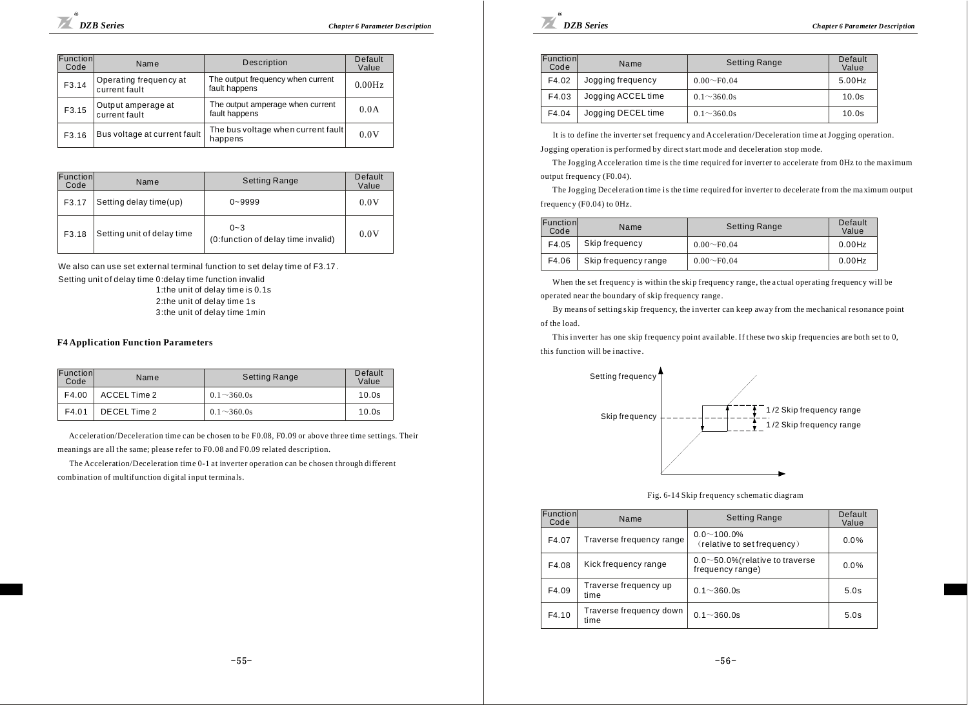| Function<br>Code | Name                                    | Description                                        | Default<br>Value |
|------------------|-----------------------------------------|----------------------------------------------------|------------------|
| F3.14            | Operating frequency at<br>current fault | The output frequency when current<br>fault happens | 0.00Hz           |
| F3.15            | Output amperage at<br>current fault     | The output amperage when current<br>fault happens  | 0.0A             |
| F3.16            | Bus voltage at current fault            | The bus voltage when current fault<br>happens      | 0.0V             |

| Function<br>Code | Name                       | <b>Setting Range</b>                          | Default<br>Value |
|------------------|----------------------------|-----------------------------------------------|------------------|
| F3.17            | Setting delay time(up)     | $0 - 9999$                                    | 0.0V             |
| F3.18            | Setting unit of delay time | $0 - 3$<br>(0:function of delay time invalid) | 0.0V             |

We also can use set external terminal fun ction to set delay time of F3.17.

Setting unit of delay time 0:delay time function invalid

1:the unit of delay time is 0.1s

2:the unit of delay time 1s 3:the unit of delay time 1min

#### **F4 Application Func tion Parameters**

| Function<br>Code | Name         | <b>Setting Range</b> | Default<br>Value |
|------------------|--------------|----------------------|------------------|
| F4.00            | ACCEL Time 2 | $0.1 \sim 360.0s$    | 10.0s            |
| F4.01            | DECEL Time 2 | $0.1 \sim 360.0$ s   | 10.0s            |

Acceleration/Deceleration time can be chosen to be F0.08, F0.09 or above three time settings. Their meanings are all the same; please refer to F0.08 and F0.09 related description.

The Acceleration/Deceleration time 0-1 at inverter operation can be chosen through different combination of multifunction digital input terminals.



| Function<br>Code | Name               | <b>Setting Range</b> | Default<br>Value |
|------------------|--------------------|----------------------|------------------|
| F4.02            | Jogging frequency  | $0.00 \sim F0.04$    | 5.00Hz           |
| F4.03            | Jogging ACCEL time | $0.1 \sim 360.0s$    | 10.0s            |
| F4.04            | Jogging DECEL time | $0.1 \sim 360.0s$    | 10.0s            |

It is to define the inverter set frequency and Acceleration/Deceleration time at Jogging operation.

Jogging operation is performed by direct start mode and deceleration stop mode.

The Jogging Acceleration time is the time required for inverter to accelerate from 0Hz to the maximum output frequency (F0.04).

The Jogging Deceleration time is the time required for inverter to decelerate from the maximum output frequency (F0.04) to 0Hz.

| Function<br>Code | Name                 | <b>Setting Range</b> | Default<br>Value |
|------------------|----------------------|----------------------|------------------|
| F4.05            | Skip frequency       | $0.00 \sim F0.04$    | $0.00$ Hz        |
| F4.06            | Skip frequency range | $0.00 \sim F0.04$    | $0.00$ Hz        |

When the set frequency is within the skip frequency range, the actual operating frequency will be operated near the boundary of skip frequency range.

By means of setting skip frequency, the inverter can keep away from the mechanical resonance point

#### of the load.

This inverter has one skip frequency point available. If these two skip frequencies are both set to 0, this function will be inactive.





| <b>Function</b><br>Code | Name                            | <b>Setting Range</b>                                       | Default<br>Value |
|-------------------------|---------------------------------|------------------------------------------------------------|------------------|
| F4.07                   | Traverse frequency range        | $0.0 - 100.0\%$<br>(relative to set frequency)             | 0.0%             |
| F4.08                   | Kick frequency range            | $0.0\neg 50.0\%$ (relative to traverse<br>frequency range) | $0.0\%$          |
| F4.09                   | Traverse frequency up<br>time   | $0.1 \sim 360.0s$                                          | 5.0s             |
| F4.10                   | Traverse frequency down<br>time | $0.1 \sim 360.0s$                                          | 5.0s             |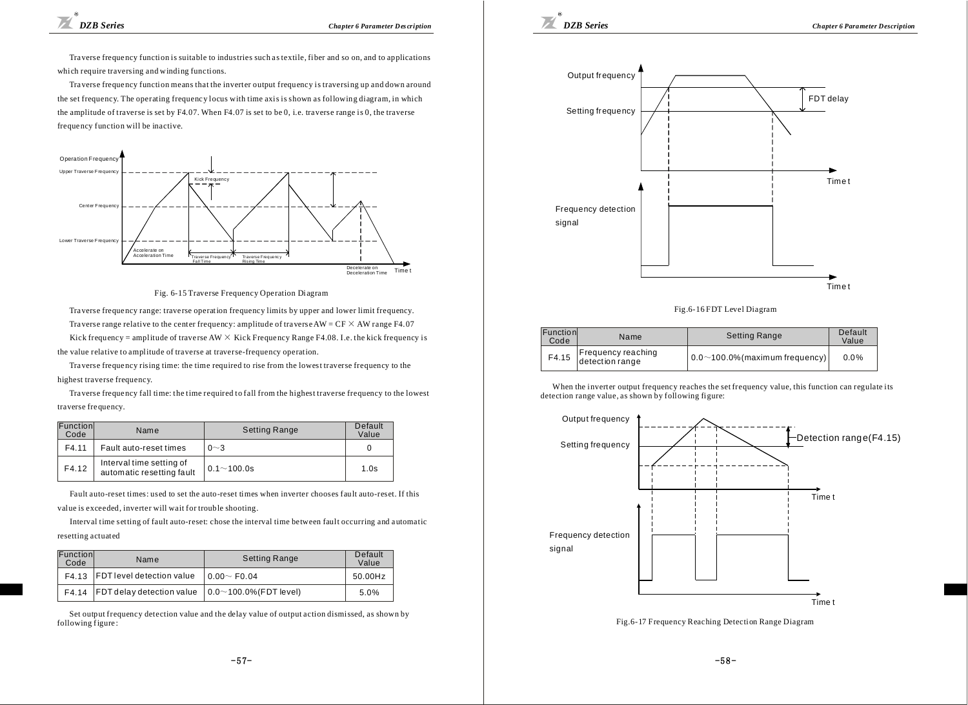Traverse frequency function is suitable to industries such as textile, fiber and so on, and to applications which require traversing and winding functions.

Tra verse frequency function means that the inverter output frequency is traversing up and down around the set frequency. The operating frequency locus with time axis is shown as following diagram, in which the amplitude of traverse is set by  $F4.07$ . When  $F4.07$  is set to be 0, i.e. traverse range is 0, the traverse freque ncy function will be inactive.



Fig. 6-15 Traverse Frequency Operation Diagram

Traverse frequency range: traverse operation frequency limits by upper and lower limit frequency. Traverse range relative to the center frequency: amplitude of traverse  $AW = CF \times AW$  range F4.07

Kick frequency = amplitude of traverse  $AW \times$  Kick Frequency Range F4.08. I.e. the kick frequency is

the value relative to amplitude of traverse at traverse-frequency operation.

Tra verse freque ncy rising time: the time required to rise from the lowest traverse frequency to the highest traverse frequency.

Traverse frequency fall time: the time required to fall from the highest traverse frequency to the lowest traverse fre quency.

| Function<br>Code | Name                                                  | <b>Setting Range</b> | Default<br>Value |
|------------------|-------------------------------------------------------|----------------------|------------------|
| F4.11            | Fault auto-reset times                                | $0 - 3$              |                  |
| F4.12            | Interval time setting of<br>automatic resetting fault | $0.1 - 100.0s$       | 1.0s             |

Fault auto -reset times: used to set the auto -reset times when inverter chooses fault auto-reset. If this value is exceeded, inverter will wait for trouble shooting.

Interval time setting of fault auto-reset: chose the interval time between fault occurring and automatic resetting actuated

| Function<br>Code | Name                                                               | <b>Setting Range</b> | Default<br>Value |
|------------------|--------------------------------------------------------------------|----------------------|------------------|
|                  | F4.13 FDT level detection value $\big  0.00 \sim$ F0.04            |                      | 50.00Hz          |
|                  | F4.14   FDT delay detection value   $0.0 \sim 100.0\%$ (FDT level) |                      | 5.0%             |

Set output frequency detection value and the delay value of output action dismissed, as shown by following figure :



Fig.6-16 FDT Level Diagram

| Function<br>Code | Name                                  | <b>Setting Range</b>                                | Default<br>Value |
|------------------|---------------------------------------|-----------------------------------------------------|------------------|
| F4.15            | Frequency reaching<br>detection range | $\vert 0.0 \sim$ 100.0% (maximum frequency) $\vert$ | 0.0%             |

When the inverter output frequency reaches the set frequency value, this function can regulate its detection range value, as shown by following figure:



Fig.6-17 Frequency Reaching Detection Range Diagram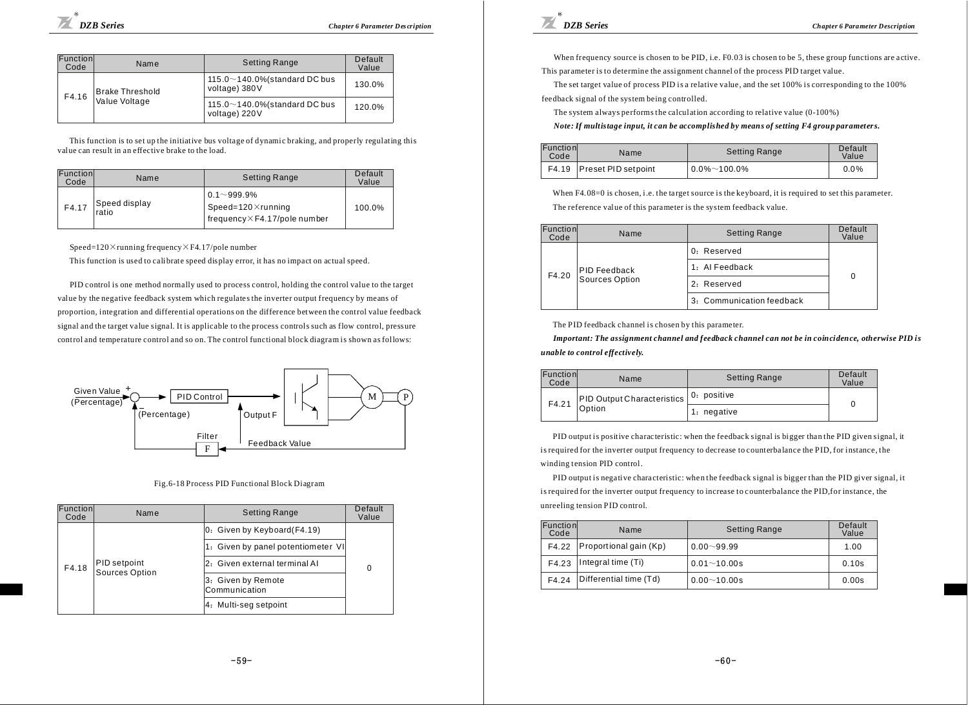|       | Function<br>Code       | Name                                                  | <b>Setting Range</b>                                 | Default<br>Value |
|-------|------------------------|-------------------------------------------------------|------------------------------------------------------|------------------|
| F4.16 | <b>Brake Threshold</b> | 115.0 $\sim$ 140.0% (standard DC bus<br>voltage) 380V | 130.0%                                               |                  |
|       |                        | Value Voltage                                         | 115.0 $\sim$ 140.0%(standard DC bus<br>voltage) 220V | 120.0%           |

This function is to set up the initiative bus voltage of dynamic braking, and properly regulating this val ue can result in an effective brake to the load.

| Function<br>Code | Name                   | <b>Setting Range</b>                                                          | Default<br>Value |
|------------------|------------------------|-------------------------------------------------------------------------------|------------------|
| F4.17            | Speed display<br>ratio | $10.1 - 999.9%$<br>Speed= $120 \times$ running<br>frequency×F4.17/pole number | 100.0%           |

 $Speed=120\times running$  frequency  $\times$  F4.17/pole number

This function is used to cali brate speed display error, it has no impact on actual speed.

PID control is one method normally used to process control, holding the control value to the target value by the negative feedback system which regulates the inverter output frequency by means of proportion, integration and differential operations on the difference between the control value feedback signal and the target value signal. It is applicable to the process controls such as flow control, pressure control and temperature control and so on. The control functional block diagram is shown as follows:



#### Fig.6-18 Process PID Functional Block Diagram

| Function<br>Code | Name                           | <b>Setting Range</b>                | Default<br>Value |
|------------------|--------------------------------|-------------------------------------|------------------|
|                  | PID setpoint<br>Sources Option | 0: Given by Keyboard(F4.19)         |                  |
|                  |                                | 1: Given by panel potentiometer VI  | 0                |
| F4.18            |                                | 2. Given external terminal Al       |                  |
|                  |                                | 3: Given by Remote<br>Communication |                  |
|                  |                                | 4: Multi-seg setpoint               |                  |



When frequency source is chosen to be PID, i.e. F0.03 is chosen to be 5, these group functions are active.

This par ameter is to determine the assignment channel of the process PID target value.

The set target value of process PID is a relative value, and the set 100% is corresponding to the 100%

fee dback signal of the system being controlled.

The system always performs the calculation according to relative value (0-100%)

*Note: If multistage input, it can be accomplished by means of setting F4 grou p parameters.*

| <b>Function</b><br>Code | Name                        | <b>Setting Range</b> | Default<br>Value |
|-------------------------|-----------------------------|----------------------|------------------|
|                         | F4.19   Preset PID setpoint | $0.0\%$ ~100.0%      | 0.0%             |

When F4.08=0 is chosen, i.e. the target source is the keyboard, it is required to set this parameter.

The reference val ue of this parameter is the system feedback value.

| Function<br>Code | Name                                  | <b>Setting Range</b>      | Default<br>Value |
|------------------|---------------------------------------|---------------------------|------------------|
|                  | <b>PID Feedback</b><br>Sources Option | 0: Reserved               |                  |
| F4.20            |                                       | 1: Al Feedback            | 0                |
|                  |                                       | 2. Reserved               |                  |
|                  |                                       | 3: Communication feedback |                  |

The PID feedback channel is chosen by this parameter.

*Important: The assignment channel and feedback channel can not be in coinci dence, otherwise PID i s unable to control effectively.*

| Function<br>Code | Name                       | <b>Setting Range</b>     | Default<br>Value |
|------------------|----------------------------|--------------------------|------------------|
| F4.21            | PID Output Characteristics | <sup>1</sup> 0: positive |                  |
|                  | <b>Option</b>              | 1: negative              |                  |

PID output is positive characteristic: when the feedback signal is bigger than the PID given signal, it is required for the inverter output frequency to decrease to counterbalance the PID, for instance, the winding tension PID control.

PID output is negative characteristic: when the feedback signal is bigger than the PID giver signal, it is required for the inverter output frequency to increase to counterbalance the PID, for instance, the unreeling tension PID control.

| Function<br>Code | Name                       | <b>Setting Range</b> | Default<br>Value |
|------------------|----------------------------|----------------------|------------------|
| F4.22            | Proportional gain (Kp)     | $0.00 - 99.99$       | 1.00             |
|                  | F4.23   Integral time (Ti) | $0.01 - 10.00s$      | 0.10s            |
| F4.24            | Differential time (Td)     | $0.00 - 10.00s$      | 0.00s            |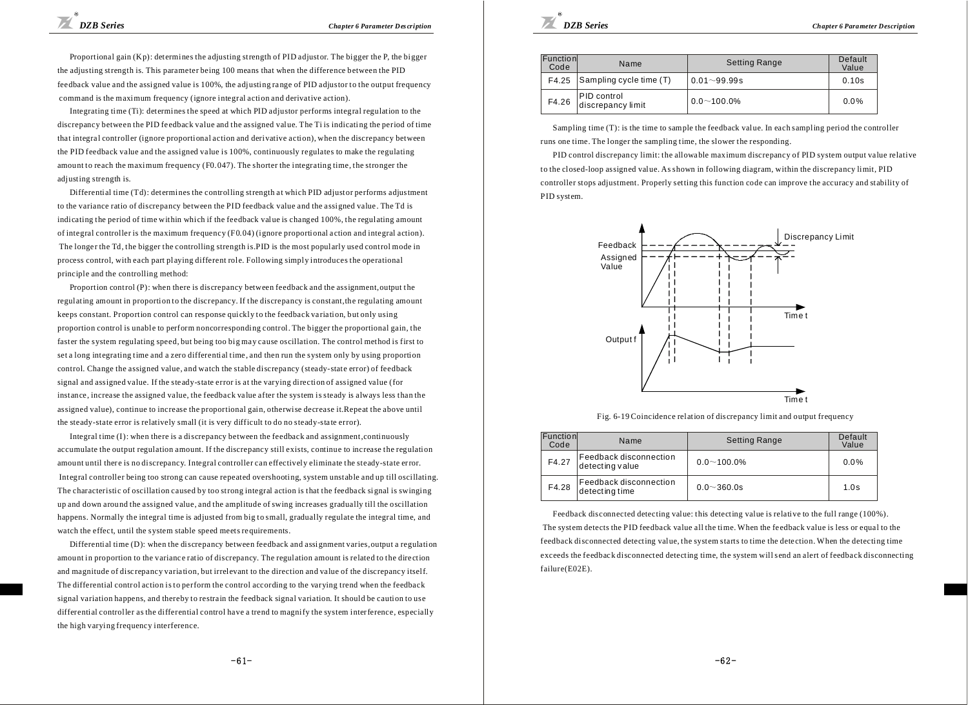Proportional gain  $(K_p)$ : determines the adjusting strength of PID adjustor. The bigger the P, the bigger the adjusting strength is. This parameter being 100 means that when the difference between the PID feedback value and the assigned value is 100%, the adjusting range of PID adjustor to the output frequency command is the maximum frequency (ignore i ntegral acti on and derivative action).

Integrating time (Ti): determines the speed at which PID adjustor performs integral regulation to the discrepancy between the PID feedback value and the assigned value. The Ti is indicating the period of time that integral controller (ignore proportional action and derivative action), when the discrepancy between the PID feedback value and the assigned value is 100%, continuously regulates to make the regulating amount to reach the maximum frequency (F0.047). The shorter the integrating time, the stronger the adjusting strength is.

Differential time (Td): determines the controlling strength at which PID adjustor performs adjustment to the variance ratio of discrepancy between the PID fee dback value and the a ssi gned value. The Td is indicating the period of time within which if the feedback value is changed 100%, the regulating amount of integral controller is the maximum frequency (F0.04) (ignore proportional action and integral action). The longer the Td, the bigger the controlling strength is. PID is the most popularly used control mode in process control, with each part playing different role. Following simply introduces the operational principle and the controlling method:

Proportion control  $(P)$ : when there is discrepancy between feedback and the assignment, output the regulating amount in proportion to the discrepancy. If the discrepancy is constant, the regulating amount keeps constant. Proportion control can response quickly to the feedback variation, but only using proportion control is unable to perform noncorresponding control. The bigger the proportional gain, the faster the system regulating speed, but being too big may cause oscillation. The control method is first to set a long integrating time and a zero differential time, and then run the system only by using proportion control. Change the assigned value, and watch the stable discrepancy (steady-state error) of feedback signal and assigned value. If the ste ady-state er ror is at the varying di recti on of assigne d value ( for instance, increase the assigned value, the feedback value after the system is steady is always less than the assigned value), continue to increase the proportional gain, otherwise decrease it.Repeat the above until the steady-state error is relatively small (it is very difficult to do no steady-state error).

Integral time  $(I)$ : when there is a discrepancy between the feedback and assignment, continuously accumulate the output regulation amount. If the discrepancy still exists, continue to increase the regulation amount until there is no discrepancy. Integral controller can effectively eliminate the steady-state error. Integral controller being too strong can cause repeated overshooting, system unstable and up till oscillating. The characteristic of oscillation caused by too strong integral action is that the feedback signal is swinging up and down around the assigned value, and the amplitude of swing increases gradually till the oscillation happens. Normally the integral time is adjusted from big to small, gradually regulate the integral time, and watch the effect, until the system stable speed meet s re quirements.

Differential time (D): when the discrepancy between feedback and assignment varies, output a regulation amount in proportion to the variance ratio of discrepancy. The regulation amount is related to the direction and magnitude of discrepancy variation, but irrelevant to the direction and value of the discrepancy itself. The differential control action is to perform the control according to the varying trend when the feedback signal variation happens, and thereby to restrain the feedback signal variation. It should be caution to use differential controller as the differential control have a trend to magnify the system interference, especially the high varying frequency interference.

*DZB Series Chapter 6 Parameter Description*

| Function<br>Code | Name                             | <b>Setting Range</b> | Default<br>Value |
|------------------|----------------------------------|----------------------|------------------|
|                  | F4.25 Sampling cycle time (T)    | $0.01 - 99.99s$      | 0.10s            |
| F4.26            | PID control<br>discrepancy limit | $0.0 - 100.0%$       | 0.0%             |

Sampling time (T): is the time to sample the feedback value. In each sampling period the controller runs one time. The longer the sampling time, the slower the responding.

PID control discrepancy limit: the allowable maximum discrepancy of PID system output value relative t o the cl osed-loop assigned val ue. As shown in following diagram, within the discrepancy limit, PID controller stops adjustment. Properly setting this function code can improve the accuracy and stability of P ID system.



Fig. 6-19 Coincidence relation of discrepancy limit and output frequency

| Function<br>Code | Name                                      | <b>Setting Range</b> | Default<br>Value |
|------------------|-------------------------------------------|----------------------|------------------|
| F4.27            | Feedback disconnection<br>detecting value | $0.0 - 100.0\%$      | 0.0%             |
| F4.28            | Feedback disconnection<br>detecting time  | $0.0 - 360.0s$       | 1.0s             |

Feedback disconnected detecting value: this detecting value is relative to the full range (100%). The system detects the PID feedback value all the time. When the feedback value is less or equal to the feedback disconnected detecting value, the system starts to time the detection. When the detecting time exceeds the feedback disconnected detecting time, the system will send an alert of feedback disconnecting  $failure(EO2E)$ .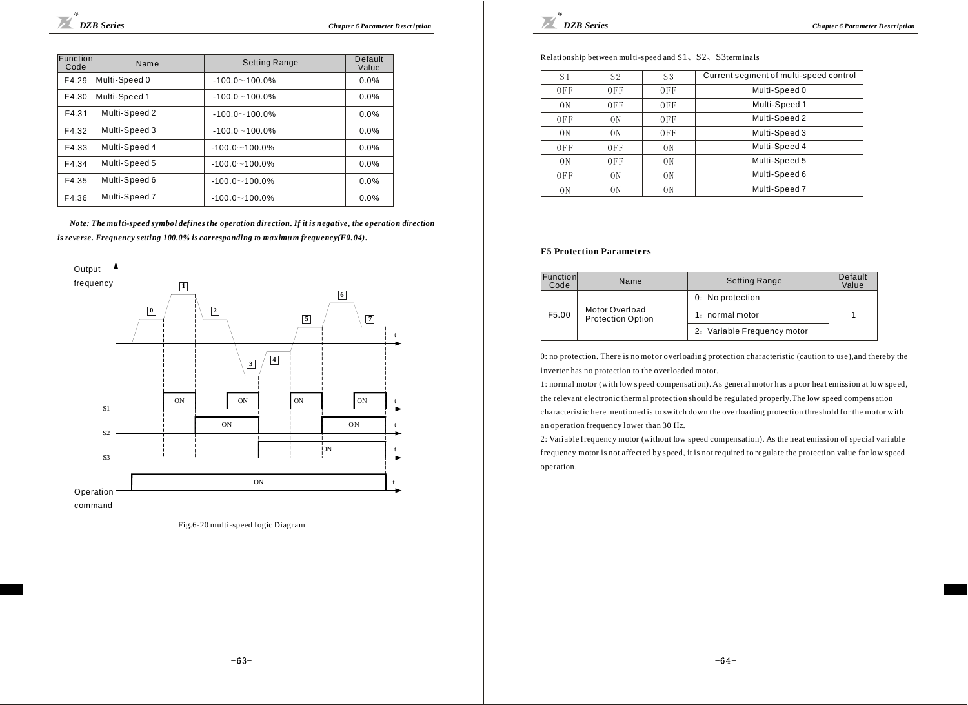| Function<br>Code | Name          | <b>Setting Range</b> | Default<br>Value |
|------------------|---------------|----------------------|------------------|
| F4.29            | Multi-Speed 0 | $-100.0 - 100.0%$    | 0.0%             |
| F4.30            | Multi-Speed 1 | $-100.0 - 100.0%$    | 0.0%             |
| F4.31            | Multi-Speed 2 | $-100.0 - 100.0%$    | 0.0%             |
| F4.32            | Multi-Speed 3 | $-100.0 - 100.0%$    | 0.0%             |
| F4.33            | Multi-Speed 4 | $-100.0 - 100.0%$    | 0.0%             |
| F4.34            | Multi-Speed 5 | $-100.0 - 100.0%$    | 0.0%             |
| F4.35            | Multi-Speed 6 | $-100.0 - 100.0%$    | 0.0%             |
| F4.36            | Multi-Speed 7 | $-100.0 - 100.0%$    | 0.0%             |

*Note: The multi-speed symbol defines the operation direction. If it is negative, the operation direction is reverse. Frequency setting 100.0% is corresponding to maximum frequency(F0.04).*



Fig.6-20 multi-speed logic Diagram



Relationship between multi-speed and  $S1$ ,  $S2$ ,  $S3$  terminals

| S1  | S2             | S <sub>3</sub> | Current segment of multi-speed control |
|-----|----------------|----------------|----------------------------------------|
| 0FF | 0FF            | 0FF            | Multi-Speed 0                          |
| 0N  | 0FF            | 0FF            | Multi-Speed 1                          |
| 0FF | 0N             | 0FF            | Multi-Speed 2                          |
| 0N  | 0 <sup>N</sup> | 0FF            | Multi-Speed 3                          |
| 0FF | 0FF            | 0N             | Multi-Speed 4                          |
| 0N  | 0FF            | 0N             | Multi-Speed 5                          |
| 0FF | 0N             | 0N             | Multi-Speed 6                          |
| 0N  | 0 <sup>N</sup> | 0N             | Multi-Speed 7                          |

#### **F5 Protection Parameters**

| Function<br>Code | Name                                       | <b>Setting Range</b>        | Default<br>Value |
|------------------|--------------------------------------------|-----------------------------|------------------|
|                  |                                            | 0. No protection            |                  |
| F5.00            | Motor Overload<br><b>Protection Option</b> | 1: normal motor             |                  |
|                  |                                            | 2. Variable Frequency motor |                  |

0: no protection. There is no motor overloading protection characteristic (caution to use), and thereby the inverter has no protection to the overloaded motor.

1: normal motor (with low speed compensation). As general motor has a poor heat emission at low speed, the relevant electronic thermal protection should be regulated properly. The low speed compensation characteristic here mentioned is to switch down the overloading protection threshold for the motor with an operation frequency lower than 30 Hz.

2: Variable frequency motor (without low speed compensation). As the heat emission of special variable frequency motor is not affected by speed, it is not required to regulate the protection value for low speed operation.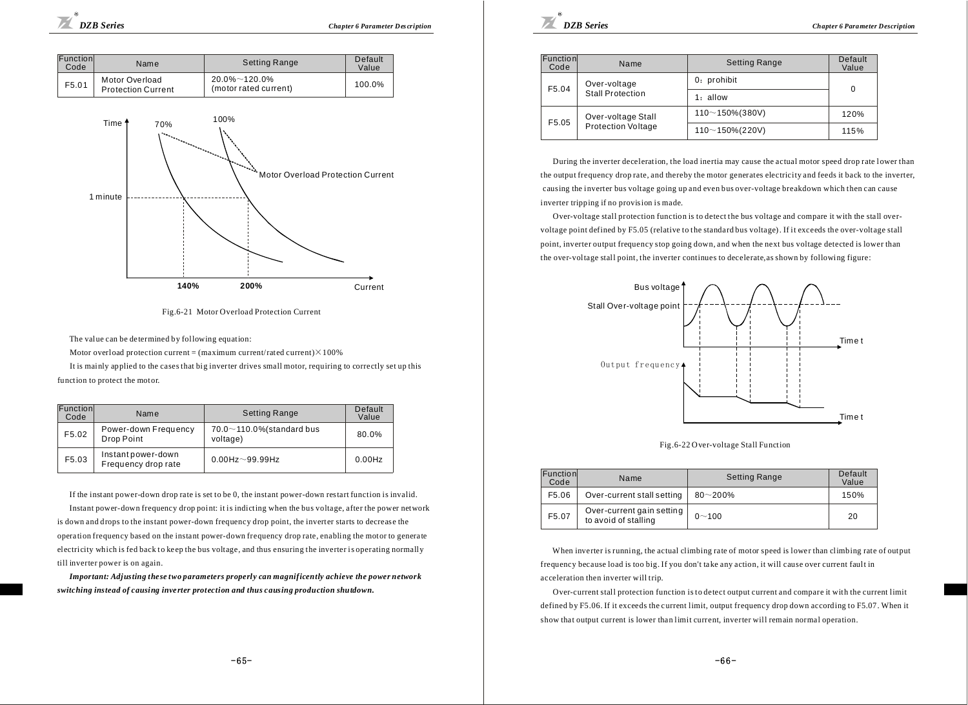*DZB Series Cha pter 6 Parameter D es cription*

| Function<br>Code | Name                                        | <b>Setting Range</b>                       | Default<br>Value |
|------------------|---------------------------------------------|--------------------------------------------|------------------|
| F5.01            | Motor Overload<br><b>Protection Current</b> | $20.0\%$ ~ 120.0%<br>(motor rated current) | 100.0%           |





The value can be determined by following equation:

Motor overload protection current = (maximum current/rated current) $\times$ 100%

It is mainly applied to the cases that big inverter drives small motor, requiring to correctly set up this

function to protect the motor.

| Function<br>Code | Name                                      | <b>Setting Range</b>                          | Default<br>Value |
|------------------|-------------------------------------------|-----------------------------------------------|------------------|
| F5.02            | Power-down Frequency<br>Drop Point        | $70.0 \sim 110.0\%$ (standard bus<br>voltage) | 80.0%            |
| F5.03            | Instant power-down<br>Frequency drop rate | $0.00Hz\sim99.99Hz$                           | $0.00$ Hz        |

If the instant power-down drop rate is set to be 0, the instant power-down restart function is invalid. Instant power-down frequency drop point: it is indicting when the bus voltage, after the power network is down and drops to the instant power-down frequency drop point, the inverter starts to decrease the operation frequency based on the instant power-down frequency drop rate, enabling the motor to generate electricity which is fed back to keep the bus voltage, and thus ensuring the inverter is operating normally till inverter power is on again.

*Important: Adjusting the se two parameters properly can magnificently achieve the power network switching instead of causing inve rter protection and thus c ausing production shutdown.*



| Function<br>Code | Name                                                     | Setting Range        | Default<br>Value |
|------------------|----------------------------------------------------------|----------------------|------------------|
| F5.04            | Over-voltage                                             | 0: prohibit          | 0                |
|                  | Stall Protection                                         | $1:$ allow           |                  |
|                  | Over-voltage Stall<br>F5.05<br><b>Protection Voltage</b> | $110 - 150\% (380V)$ | 120%             |
|                  |                                                          | $110 - 150\% (220V)$ | 115%             |

During the inverter deceleration, the load inertia may cause the actual motor speed drop rate lower than t he output frequency drop rate, and thereby the motor generates electricity and feeds it back to the inverter, causing the inverter bus voltage going up and even bus over-voltage breakdown which then can cause inverter tripping if no provision is made.

Over-voltage stall protection function is to detect the bus voltage and compare it with the stall overvoltage point defined by F5.05 (relative to the standard bus voltage). If it exceeds the over-voltage stall point, inverter output frequency stop going down, and when the next bus voltage detected is lower than the over-voltage stall point, the inverter continues to decelerate, as shown by following figure:



#### Fig.6-22 O ver-voltage Stall Function

| Function<br>Code | Name                                              | <b>Setting Range</b> | Default<br>Value |  |  |
|------------------|---------------------------------------------------|----------------------|------------------|--|--|
| F5.06            | Over-current stall setting                        | $80 - 200%$          | 150%             |  |  |
| F5.07            | Over-current gain setting<br>to avoid of stalling | $0 - 100$            | 20               |  |  |

When inverter is running, the actual climbing rate of motor speed is lower than climbing rate of output f requency because load is too big. I f you don't ta ke any action, it will cause over current fault in acceleration then inverter will trip.

Over-current stall protection function is to detect output current and compare it with the current limit defined by F5.06. If it exceeds the current limit, output frequency drop down according to F5.07. When it show that output current is lower than limit current, inverter will remain normal operation.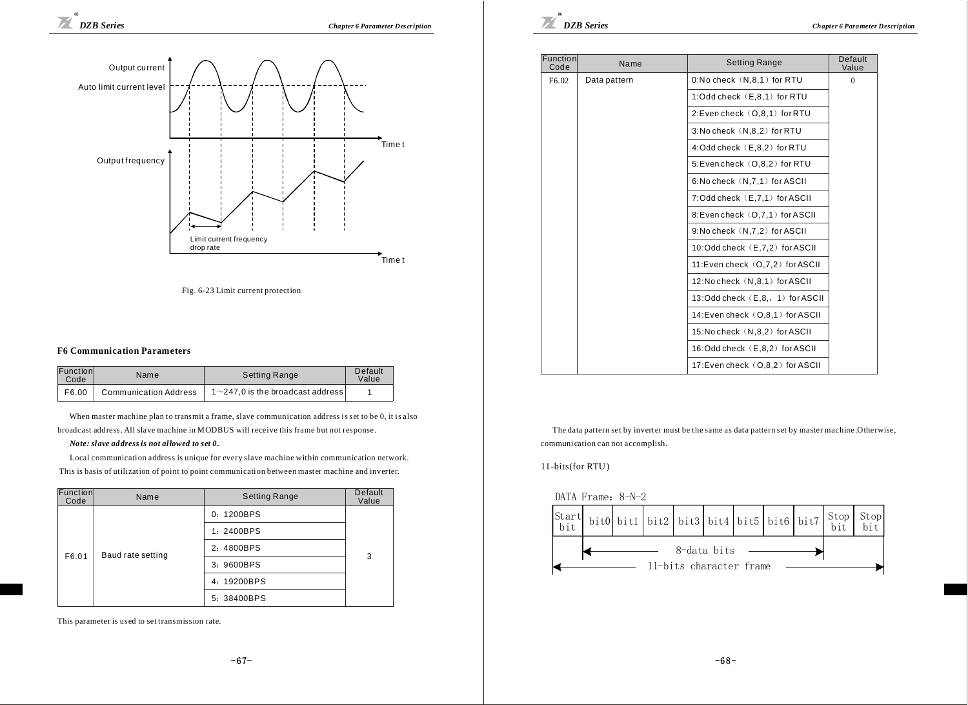

Fig. 6-23 Limit current protection

#### **F6 Communication Parameters**

| Function<br>Code | Name                         | <b>Setting Range</b>               | Default<br>Value |  |
|------------------|------------------------------|------------------------------------|------------------|--|
| F6.00            | <b>Communication Address</b> | $1~247.0$ is the broadcast address |                  |  |

When master machine plan to transmit a frame, slave communication address is set to be 0, it is also broadcast add ress. All slave machine in MODBUS will receive this frame but not response.

#### *Note: sl ave address is not allowed to set 0.*

Local communication address is unique for every slave machine within communication network. This is basis of utilization of point to point communication between master machine and inverter.

| Function<br>Code | Name              | <b>Setting Range</b>     | Default<br>Value |  |  |  |
|------------------|-------------------|--------------------------|------------------|--|--|--|
|                  |                   | 0: 1200BPS               |                  |  |  |  |
|                  |                   | 1: 2400BPS<br>2: 4800BPS |                  |  |  |  |
| F6.01            | Baud rate setting |                          |                  |  |  |  |
|                  |                   | 3: 9600BPS               | 3                |  |  |  |
|                  |                   | 4: 19200BPS              |                  |  |  |  |
|                  |                   | 5: 38400BPS              |                  |  |  |  |

This parameter is used to set transmis sion rate.

 $60$ 

| Function<br>Code | Name         | <b>Setting Range</b>              | Default<br>Value |
|------------------|--------------|-----------------------------------|------------------|
| F6.02            | Data pattern | 0:No check (N,8,1) for RTU        | $\Omega$         |
|                  |              | 1:Odd check (E,8,1) for RTU       |                  |
|                  |              | 2:Even check (O,8,1) for RTU      |                  |
|                  |              | 3:No check (N,8,2) for RTU        |                  |
|                  |              | 4:Odd check (E,8,2) for RTU       |                  |
|                  |              | 5: Even check (O,8,2) for RTU     |                  |
|                  |              | 6:No check (N,7,1) for ASCII      |                  |
|                  |              | 7:Odd check (E,7,1) for ASCII     |                  |
|                  |              | 8: Even check (O, 7, 1) for ASCII |                  |
|                  |              | 9:No check (N,7,2) for ASCII      |                  |
|                  |              | 10:Odd check (E,7,2) for ASCII    |                  |
|                  |              | 11:Even check (O,7,2) for ASCII   |                  |
|                  |              | 12:Nocheck (N,8,1) for ASCII      |                  |
|                  |              | 13:Odd check (E,8,, 1) for ASCII  |                  |
|                  |              | 14: Even check (O,8,1) for ASCII  |                  |
|                  |              | 15:No check (N,8,2) for ASCII     |                  |
|                  |              | 16:Odd check (E,8,2) for ASCII    |                  |
|                  |              | 17:Even check (O,8,2) for ASCII   |                  |

The data pattern set by inverter must be the same as data pattern set by master machine. Otherwise, communication can not accomplish.

#### 11-bits(for RTU )

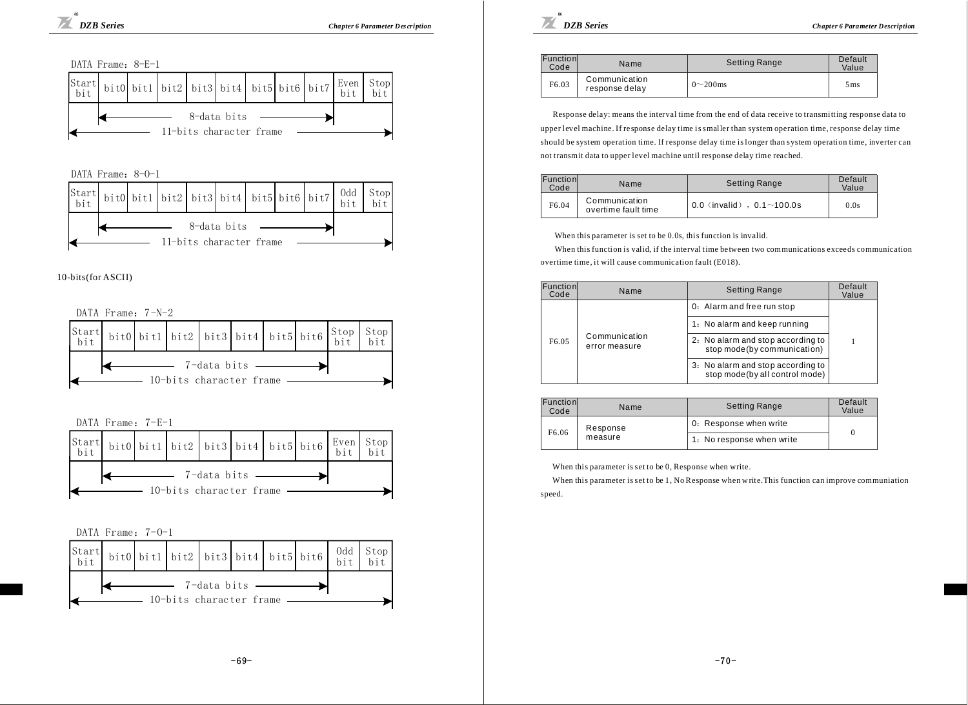

DATA Frame: 8-0-1



10-bits(for ASCII)



DATA Frame: 7-E-1



DATA Frame:  $7-0-1$ 





| Function<br>Code | Name                            | <b>Setting Range</b> | Default<br>Value |  |  |
|------------------|---------------------------------|----------------------|------------------|--|--|
| F6.03            | Communication<br>response delay | $0 \sim 200$ ms      | 5 <sub>ms</sub>  |  |  |

Response delay: means the interval time from the end of data receive to transmitting response data to upper level machine. If response delay time is smaller than system operation time, response delay time should be system operation time. If response delay time is longer than system operation time, inverter can not transmit data to upper level machine until response delay time reached.

| Function<br>Code | Name                                 | <b>Setting Range</b>                | Default<br>Value |  |
|------------------|--------------------------------------|-------------------------------------|------------------|--|
| F6.04            | Communication<br>overtime fault time | $0.0$ (invalid), $0.1 \sim 100.0$ s | 0.0s             |  |

When this parameter is set to be 0.0s, this function is invalid.

When this function is valid, if the interval time between two communications exceeds communication overtime time, it will cause communication fault (E018).

| Function<br>Code | Name                           | <b>Setting Range</b>                                                 | Default<br>Value |  |
|------------------|--------------------------------|----------------------------------------------------------------------|------------------|--|
|                  |                                | 0: Alarm and free run stop                                           |                  |  |
|                  | Communication<br>error measure | 1: No alarm and keep running                                         |                  |  |
| F6.05            |                                | 2. No alarm and stop according to<br>stop mode (by communication)    |                  |  |
|                  |                                | 3. No alarm and stop according to<br>stop mode (by all control mode) |                  |  |

| Function<br>Code | Name     | <b>Setting Range</b>      | Default<br>Value |
|------------------|----------|---------------------------|------------------|
| F6.06            | Response | 0: Response when write    |                  |
|                  | measure  | 1: No response when write |                  |

When this parameter is set to be 0, Response when write.

When this parameter is set to be 1, No Response when w rite.This function can improve communiation speed.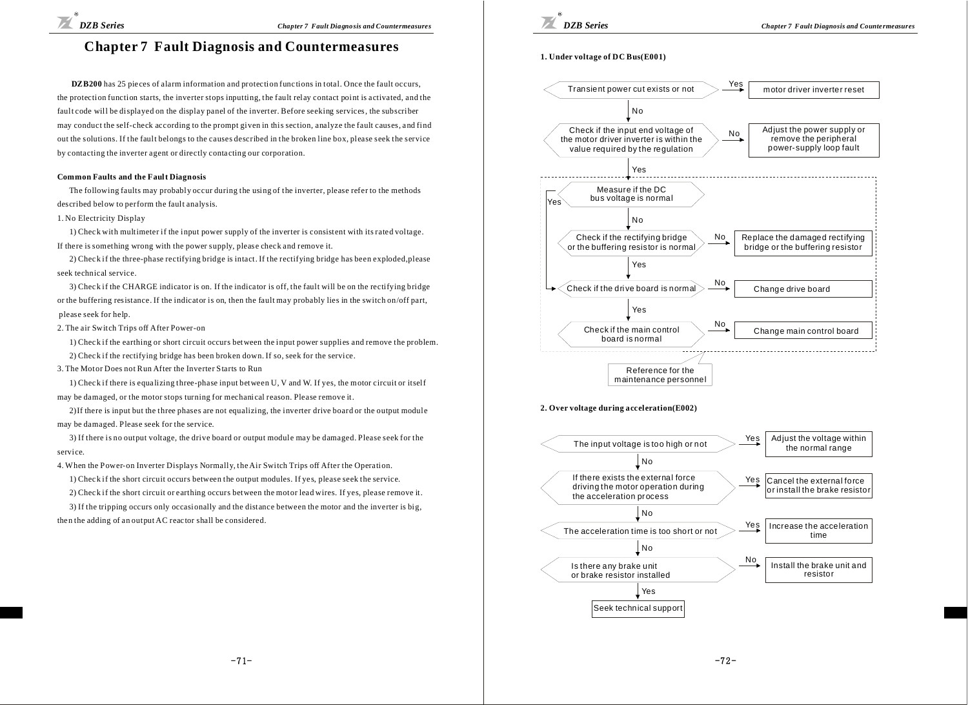## **Chapter 7 Fault Diagnosis and Countermeasures**

**DZB200** has 25 pieces of alarm information and protection functions in total. Once the fault occurs, the protection function starts, the inverter stops inputting, the fault relay contact point is activated, and the fault code will be displayed on the display panel of the inverter. Before seeking services, the subscriber may conduct the self-check according to the prompt given in this section, analyze the fault causes, and find out the solutions. If the fault belongs to the causes described in the broken line box, please seek the service by contacting the inverter agent or directly conta cting our corporation.

#### **Common Faults and the Faul t Diagnosis**

The following faults may probably occur during the using of the inverter, please refer to the methods described below to per form the fault analysis.

#### 1. No Electricity Display

1) Check with multimeter if the input power supply of the inverter is consistent with its rated voltage. If there is something wrong with the power supply, please check and remove it.

2) Check if the three-phase rectifying bridge is intact. If the rectifying bridge has been exploded, please seek technical service.

3) Check if the CHARGE indicator is on. If the indicator is off, the fault will be on the rectifying bridge or the buffering resistance. If the indicator is on, then the fault may probably lies in the switch on/off part, please seek for help.

2. The air Switch Trips off After Power -on

1) Check if the earthing or short circuit occurs between the input power supplies and remove the problem. 2) Check if the rectifying bridge has been broken down. If so, seek for the service.

3. The Motor Does not Run After the Inverter Starts to Run

1) Check if there is equalizing three-phase input between U, V and W. If yes, the motor circuit or itself may be damaged, or the motor stops turning for mechanical reason. Please remove it.

2) If there is input but the three phases are not equalizing, the i nverter drive board or the output module may be damaged. Please seek for the service.

3) I f there i s no out put voltage, the drive board or output module may be damaged. Please seek for the service.

4. When the Power-on Inverter Displays Normally, the Air Switch Trips off After the Operation.

1) Check if the short circuit occurs between the output modules. If yes, please seek the service.

2) Check if the short circuit or earthing occurs between the motor lead wires. If yes, please remove it.

3) If the tripping occurs only occasionally and the distance between the motor and the inverter is big, then the adding of an output AC reactor shall be considered.



#### **1. Under voltage of DC Bus(E001)**



**2. Over voltage during acc eleration(E002)**

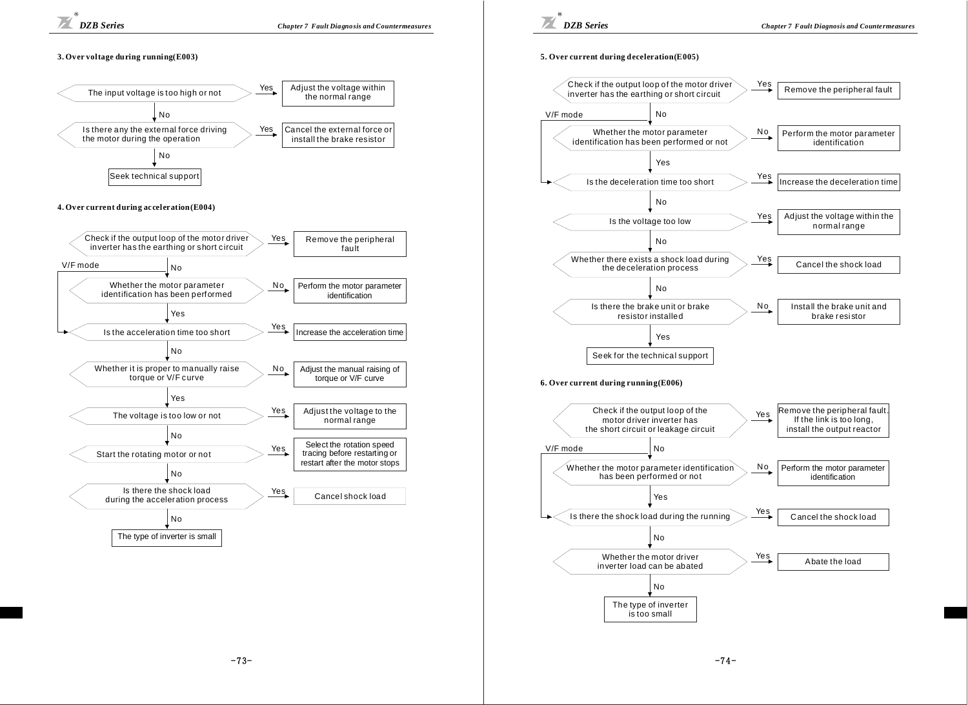#### **3. Over vol tage during running(E003)**



#### **4. Over current during acceleration (E004)**





#### **5. Over current during deceleration(E005)**

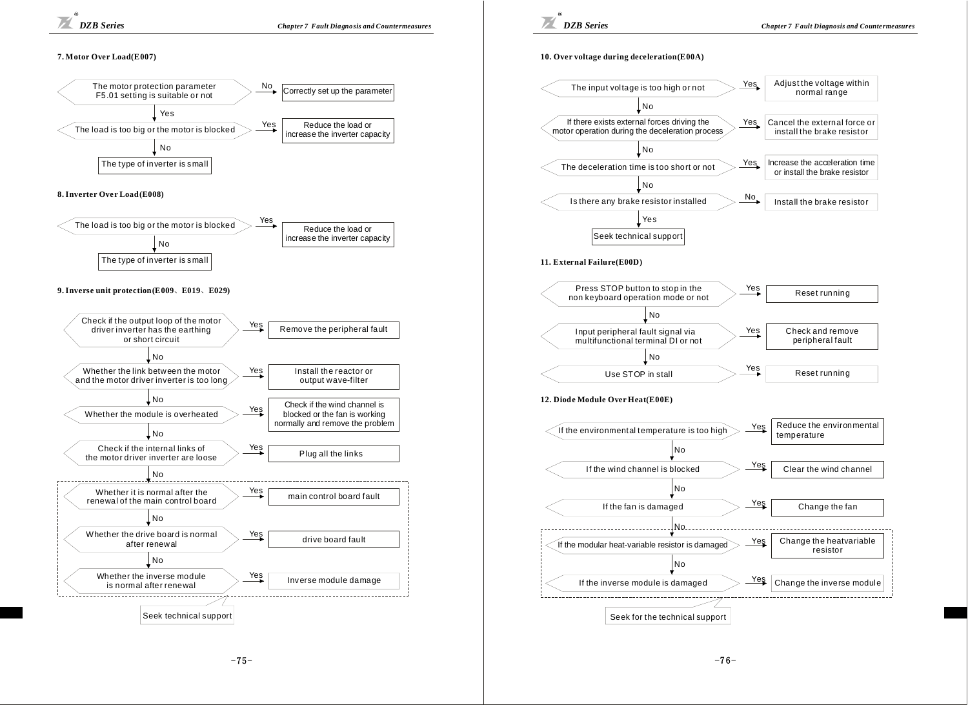#### **7. Motor Over Load(E007)**



#### **8. Inverter Over Load (E008)**



#### 9. Inverse unit protection (E009、E019、E029)



#### **10. Over voltage during deceleration(E00A)**



#### **12. Diode Module Over Hea t(E00E)**



-75- -76-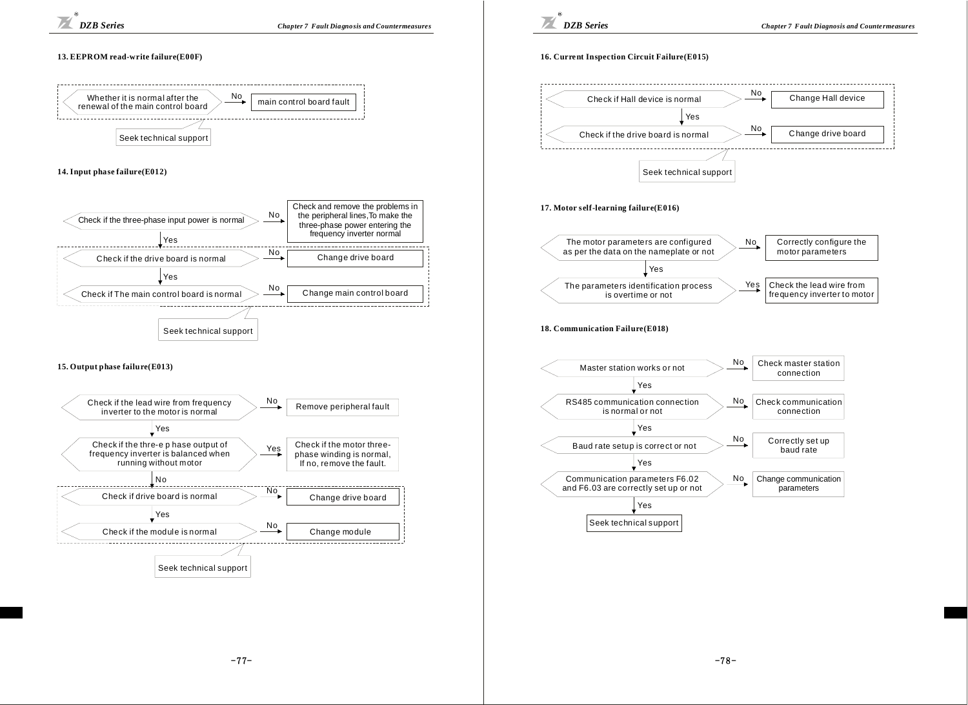

#### **13. EEPROM read-write failure(E00F)**



#### **14. Input phase failure(E012)**



#### **15. Output phase failure(E013)**





#### **16. Current Inspection Circuit Failure(E015)**

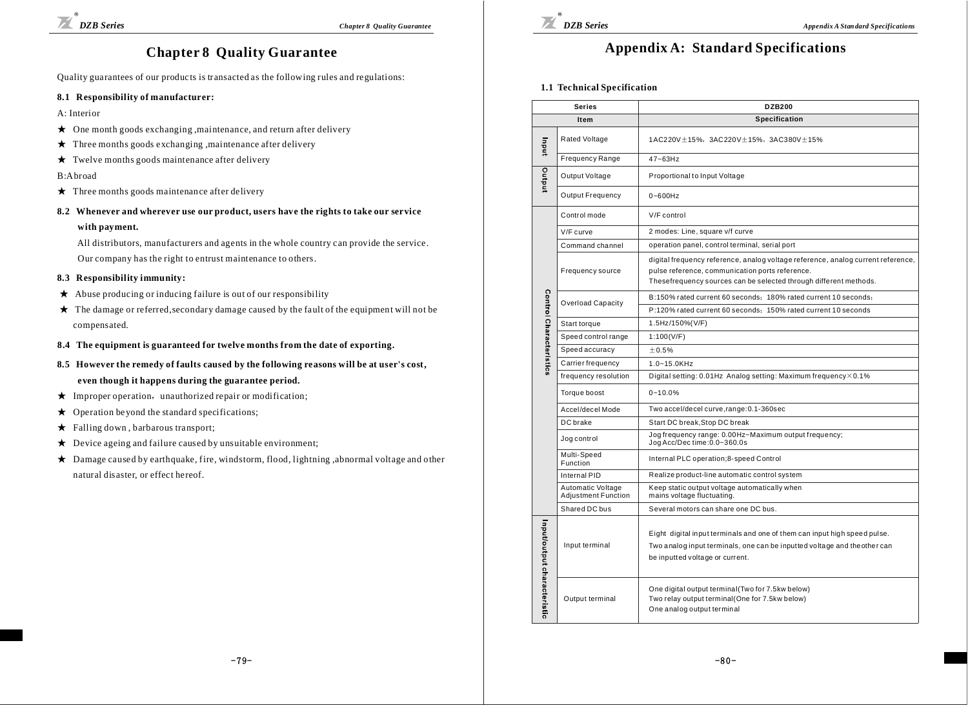## **Appendix A: Standard Specifications**

**1.1 Technical Specification**

| <b>Series</b>                  |                                                 | <b>DZB200</b>                                                                                                                                                                                            |  |  |  |  |
|--------------------------------|-------------------------------------------------|----------------------------------------------------------------------------------------------------------------------------------------------------------------------------------------------------------|--|--|--|--|
|                                | Item                                            | <b>Specification</b>                                                                                                                                                                                     |  |  |  |  |
| <b>upout</b>                   | Rated Voltage                                   | $1AC220V \pm 15\%$ , $3AC220V \pm 15\%$ , $3AC380V \pm 15\%$                                                                                                                                             |  |  |  |  |
|                                | <b>Frequency Range</b>                          | $47 - 63Hz$                                                                                                                                                                                              |  |  |  |  |
| pridano                        | Output Voltage                                  | Proportional to Input Voltage                                                                                                                                                                            |  |  |  |  |
|                                | Output Frequency                                | $0 - 600$ Hz                                                                                                                                                                                             |  |  |  |  |
|                                | Control mode                                    | V/F control                                                                                                                                                                                              |  |  |  |  |
|                                | V/F curve                                       | 2 modes: Line, square v/f curve                                                                                                                                                                          |  |  |  |  |
|                                | Command channel                                 | operation panel, control terminal, serial port                                                                                                                                                           |  |  |  |  |
|                                | Frequency source                                | digital frequency reference, analog voltage reference, analog current reference,<br>pulse reference, communication ports reference.<br>Thesefrequency sources can be selected through different methods. |  |  |  |  |
|                                |                                                 | B:150% rated current 60 seconds; 180% rated current 10 seconds;                                                                                                                                          |  |  |  |  |
|                                | Overload Capacity                               | P:120% rated current 60 seconds: 150% rated current 10 seconds                                                                                                                                           |  |  |  |  |
| <b>Control Characteristics</b> | Start torque                                    | 1.5Hz/150%(V/F)                                                                                                                                                                                          |  |  |  |  |
|                                | Speed control range                             | 1:100(V/F)                                                                                                                                                                                               |  |  |  |  |
|                                | Speed accuracy                                  | ±0.5%                                                                                                                                                                                                    |  |  |  |  |
|                                | Carrier frequency                               | 1.0~15.0KHz                                                                                                                                                                                              |  |  |  |  |
|                                | frequency resolution                            | Digital setting: 0.01Hz Analog setting: Maximum frequency × 0.1%                                                                                                                                         |  |  |  |  |
|                                | Torque boost                                    | $0 - 10.0%$                                                                                                                                                                                              |  |  |  |  |
|                                | Accel/decel Mode                                | Two accel/decel curve, range: 0.1-360sec                                                                                                                                                                 |  |  |  |  |
|                                | DC brake                                        | Start DC break, Stop DC break                                                                                                                                                                            |  |  |  |  |
|                                | Jog control                                     | Jog frequency range: 0.00Hz~Maximum output frequency;<br>Jog Acc/Dec time: 0.0~360.0s                                                                                                                    |  |  |  |  |
|                                | Multi-Speed<br>Function                         | Internal PLC operation;8-speed Control                                                                                                                                                                   |  |  |  |  |
|                                | Internal PID                                    | Realize product-line automatic control system                                                                                                                                                            |  |  |  |  |
|                                | Automatic Voltage<br><b>Adjustment Function</b> | Keep static output voltage automatically when<br>mains voltage fluctuating.                                                                                                                              |  |  |  |  |
|                                | Shared DC bus                                   | Several motors can share one DC bus.                                                                                                                                                                     |  |  |  |  |
| Input/output characteristic    | Input terminal                                  | Eight digital input terminals and one of them can input high speed pulse.<br>Two analog input terminals, one can be inputted voltage and theother can<br>be inputted voltage or current.                 |  |  |  |  |
|                                | Output terminal                                 | One digital output terminal(Two for 7.5kw below)<br>Two relay output terminal(One for 7.5kw below)<br>One analog output terminal                                                                         |  |  |  |  |

## **Chapter 8 Quality Guarantee**

Quality guarantees of our products is transacted as the following rules and regulations:

#### **8.1 Responsibility of manufacturer:**

A: Interior

- One month goods exchanging ,maintenance, and return after delivery ★
- Three months goods exchanging ,maintenance after delivery ★
- ★ Twelve months goods maintenance after delivery

#### B:Abroad

- Three months goods maintenance after delivery ★
- **8.2 Whenever and wherever use our product, users have the rights to take our service with payment.**

All distributors, manufacturers and agents in the whole country can provide the service. Our company has the right to entrust maintenance to others.

#### **8.3 Responsibility immunity:**

- ★ Abuse producing or inducing failure is out of our responsibility
- The damage or referred,secondary damage caused by the fault of the equipment will not be ★ compensated.
- **8.4 The equipment is guaranteed for twelve months from the date of exporting.**
- **8.5 However the remedy of faults caused by the following re asons will be at user's cost, even though it happens during the guarantee period.**
- ★ Improper operation, unauthorized repair or modification;
- ★ Operation beyond the standard specifications;
- Falling down , barbarous transport; ★
- Device ageing and failure caused by unsuitable environment; ★
- ★ Damage caused by earthquake, fire, windstorm, flood, lightning, abnormal voltage and other natural disaster, or effect hereof.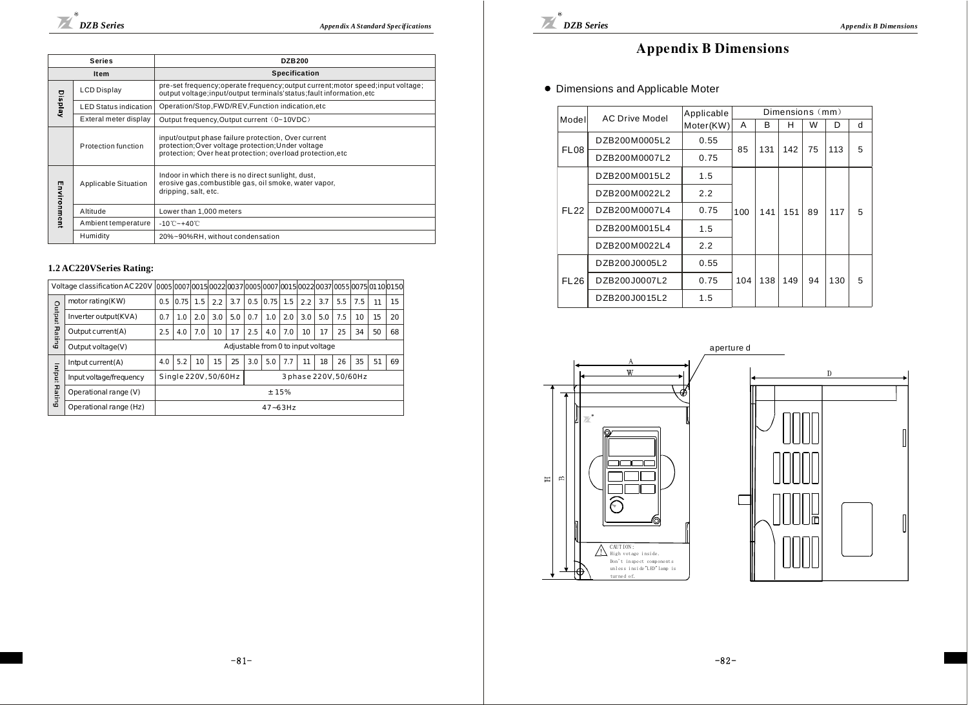|             | <b>Series</b>                | <b>DZB200</b>                                                                                                                                                           |  |  |  |  |
|-------------|------------------------------|-------------------------------------------------------------------------------------------------------------------------------------------------------------------------|--|--|--|--|
|             | <b>Item</b>                  | <b>Specification</b>                                                                                                                                                    |  |  |  |  |
|             | <b>LCD Display</b>           | pre-set frequency; operate frequency; output current; motor speed; input voltage;<br>output voltage;input/output terminals'status;fault information,etc                 |  |  |  |  |
| Display     | <b>LED Status indication</b> | Operation/Stop, FWD/REV, Function indication, etc                                                                                                                       |  |  |  |  |
|             | Exteral meter display        | Output frequency, Output current (0~10VDC)                                                                                                                              |  |  |  |  |
|             | Protection function          | input/output phase failure protection, Over current<br>protection; Over voltage protection; Under voltage<br>protection; Over heat protection; overload protection, etc |  |  |  |  |
| Environment | Applicable Situation         | Indoor in which there is no direct sunlight, dust,<br>erosive gas, combustible gas, oil smoke, water vapor,<br>dripping, salt, etc.                                     |  |  |  |  |
|             | Altitude                     | Lower than 1,000 meters                                                                                                                                                 |  |  |  |  |
|             | Ambient temperature          | $-10^{\circ}\text{C}-+40^{\circ}\text{C}$                                                                                                                               |  |  |  |  |
|             | Humidity                     | 20%~90%RH, without condensation                                                                                                                                         |  |  |  |  |

## **1.2 AC220VSeries Rating:**

|                                         | Voltage classification AC 220V |                      |      |     |     |     |                       |      |                                    |     |     |     |     |                                                                              |    |
|-----------------------------------------|--------------------------------|----------------------|------|-----|-----|-----|-----------------------|------|------------------------------------|-----|-----|-----|-----|------------------------------------------------------------------------------|----|
| Output                                  | motor rating (KW)              | 0.5                  | 0.75 | 1.5 | 2.2 | 37  | 0.5                   | 0.75 | 1.5                                | 2.2 | 3.7 | 5.5 | 7.5 | 11                                                                           | 15 |
|                                         | Inverter output(KVA)           | 0.7                  | 1.0  | 2.0 | 3.0 | 5.0 | 0.7                   | 1.0  | 20                                 | 3.0 | 5.0 | 7.5 | 10  | 15                                                                           | 20 |
|                                         | Output current(A)              | 2.5                  | 4.0  | 7.0 | 10  | 17  | 2.5                   | 4.0  | 7.0                                | 10  | 17  | 25  | 34  | 50                                                                           | 68 |
|                                         | Output voltage(V)              |                      |      |     |     |     |                       |      | Adjustable from 0 to input voltage |     |     |     |     | 0005 0007 0015 0022 0037 0005 0007 0015 0022 0037 0055 0075 01 10 0150<br>51 |    |
|                                         | Intput current(A)              | 4.0                  | 5.2  | 10  | 15  | 25  | 3.0                   | 5.0  | 7.7                                | 11  | 18  | 26  | 35  |                                                                              | 69 |
| Rating<br><b>India</b><br><b>Rating</b> | Input voltage/frequency        | Single 220V, 50/60Hz |      |     |     |     | 3 phase 220V, 50/60Hz |      |                                    |     |     |     |     |                                                                              |    |
|                                         | Operational range (V)          | ±15%                 |      |     |     |     |                       |      |                                    |     |     |     |     |                                                                              |    |
|                                         | Operational range (Hz)         | $47 - 6.3H7$         |      |     |     |     |                       |      |                                    |     |     |     |     |                                                                              |    |

## Appendix B Dimensions

Dimensions and Applicable Moter

| Model            | <b>AC Drive Model</b> | Applicable | Dimensions (mm) |     |     |    |            |   |  |
|------------------|-----------------------|------------|-----------------|-----|-----|----|------------|---|--|
|                  |                       | Moter(KW)  | A               | B   | н   | W  | D          | d |  |
|                  | DZB200M0005L2         | 0.55       | 85              | 131 | 142 | 75 | 113        | 5 |  |
| FL <sub>08</sub> | DZB200M0007L2         | 0.75       |                 |     |     |    |            |   |  |
|                  | DZB200M0015L2         | 1.5        |                 |     |     |    |            |   |  |
|                  | DZB200M0022L2         | 2.2        |                 |     | 151 | 89 | 117<br>130 |   |  |
| <b>FL22</b>      | DZB200M0007L4         | 0.75       | 100             | 141 |     |    |            | 5 |  |
|                  | DZB200M0015L4         | 1.5        |                 |     |     |    |            |   |  |
|                  | DZB200M0022L4         | 2.2        |                 |     |     |    |            |   |  |
|                  | DZB200J0005L2         | 0.55       |                 |     |     |    |            |   |  |
| FL26             | DZB200J0007L2         | 0.75       | 104             | 138 | 149 | 94 |            | 5 |  |
|                  | DZB200J0015L2         | 1.5        |                 |     |     |    |            |   |  |



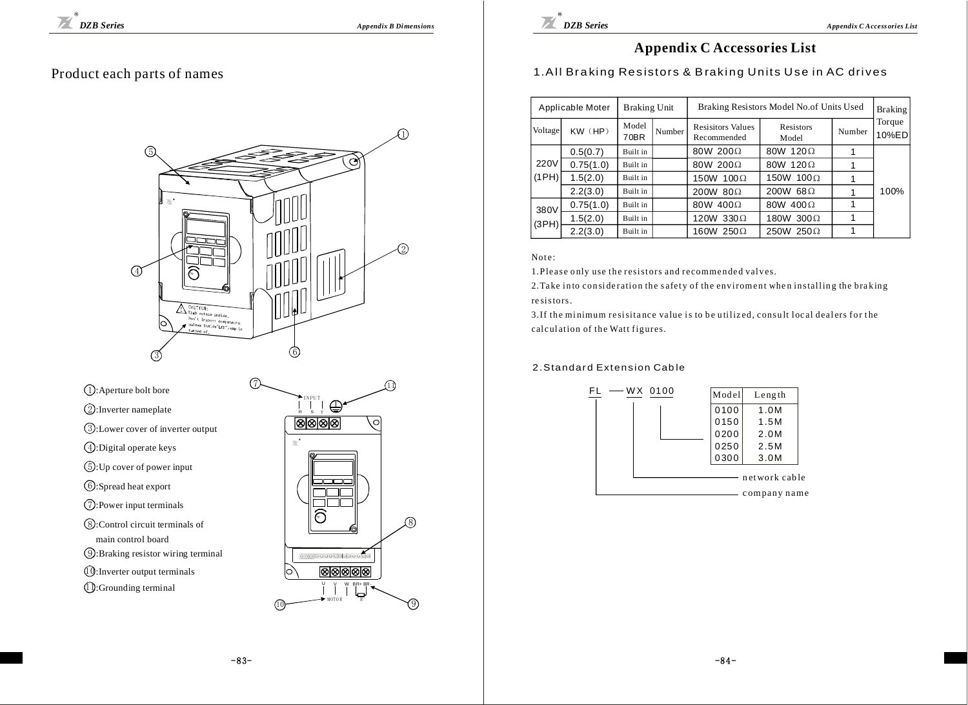## Product each parts of names



7

6

1 :Aperture bolt bore

2 :Inverter nameplate

3 :Lower cover of inverter output

3

4 :Digital operate keys

5 :Up cover of power input

6 :Spread heat export

7 :Power input terminals

8 :Control circuit terminals of main control board

9 :Braking resistor wiring terminal

10:Inverter output terminals

11:Grounding terminal





## **Appendix C Accessories List**

## 1.All Braking Resistors & Braking Units Use in AC drives

| Applicable Moter |           | Braking Unit  |        | Braking Resistors Model No.of Units Used |                           |        | <b>Braking</b>  |
|------------------|-----------|---------------|--------|------------------------------------------|---------------------------|--------|-----------------|
| Voltage          | KW (HP)   | Model<br>70BR | Number | <b>Resisitors Values</b><br>Recommended  | <b>Resistors</b><br>Model | Number | Torque<br>10%ED |
| 220V<br>(1PH)    | 0.5(0.7)  | Built in      |        | 80W 200Ω                                 | 80W 120Ω                  |        | 100%            |
|                  | 0.75(1.0) | Built in      |        | 80W 200Ω                                 | 80W 120Ω                  |        |                 |
|                  | 1.5(2.0)  | Built in      |        | 150W 100Ω                                | 150W 100Ω                 |        |                 |
|                  | 2.2(3.0)  | Built in      |        | 200W 80Ω                                 | 200W 68Ω                  |        |                 |
| 380V<br>(3PH)    | 0.75(1.0) | Built in      |        | 80W 400Ω                                 | 80W 400Ω                  |        |                 |
|                  | 1.5(2.0)  | Built in      |        | 120W 330Ω                                | 180W 300Ω                 |        |                 |
|                  | 2.2(3.0)  | Built in      |        | 160W 250Ω                                | 250W 250Ω                 |        |                 |

Note:

1.Please only use the resistors and recommended valves.

2. Take into consideration the safety of the enviroment when installing the braking resistors.

3.If the minimum resisitance value is to be utilized, consult local dealers for the calculation of the Watt figures.

#### 2.Standard Extension Cable

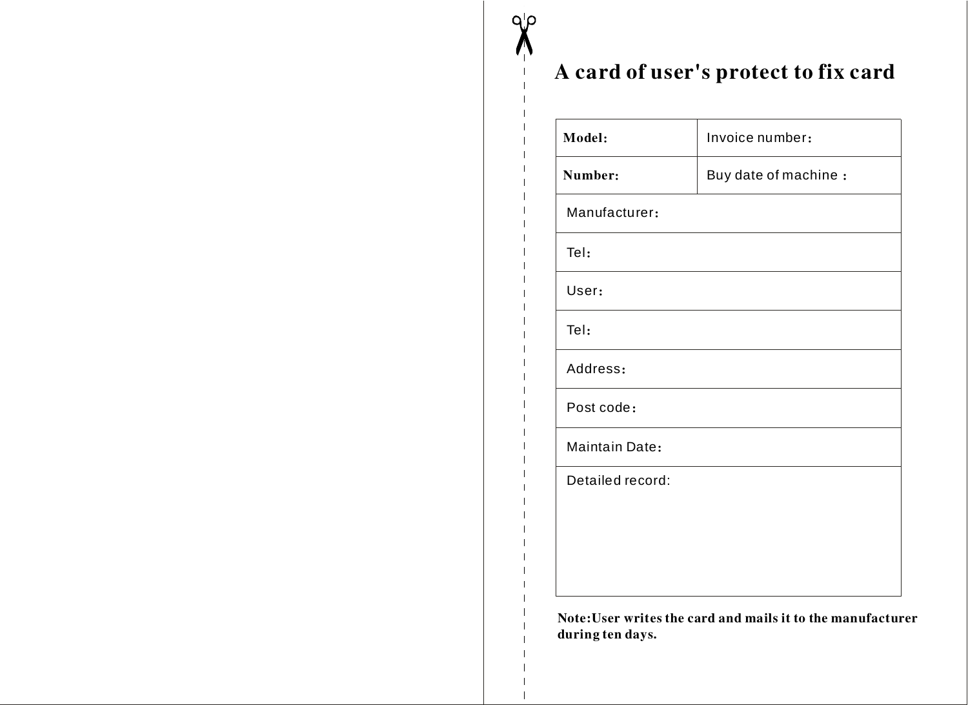## A card of user's protect to fix card

 $q_{\mathcal{P}}$ 

| Model:           | Invoice number:      |  |  |  |
|------------------|----------------------|--|--|--|
| Number:          | Buy date of machine: |  |  |  |
| Manufacturer:    |                      |  |  |  |
| Tel:             |                      |  |  |  |
| User:            |                      |  |  |  |
| Tel:             |                      |  |  |  |
| Address:         |                      |  |  |  |
| Post code:       |                      |  |  |  |
| Maintain Date:   |                      |  |  |  |
| Detailed record: |                      |  |  |  |
|                  |                      |  |  |  |
|                  |                      |  |  |  |
|                  |                      |  |  |  |

Note:User writes the card and mails it to the manufacturer during ten days.